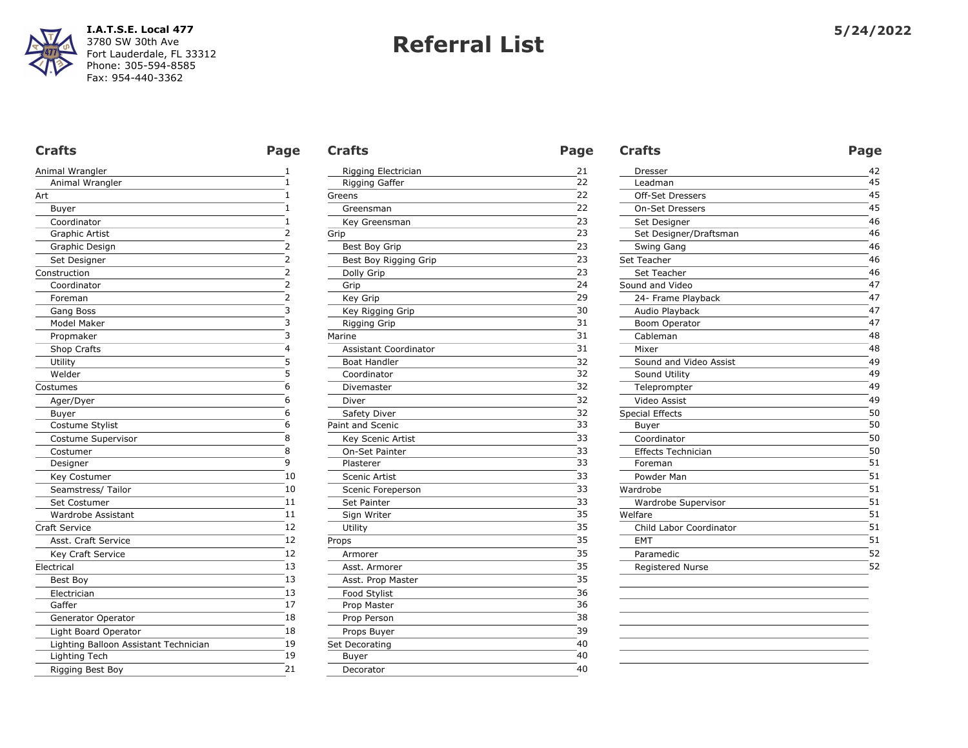| Animal Wrangler                       | 1              |
|---------------------------------------|----------------|
| Animal Wrangler                       | 1              |
| Art                                   | 1              |
| Buyer                                 | 1              |
| Coordinator                           | 1              |
| <b>Graphic Artist</b>                 | 2              |
| Graphic Design                        | 2              |
| Set Designer                          | 2              |
| Construction                          | $\overline{2}$ |
| Coordinator                           | 2              |
| Foreman                               | 2              |
| Gang Boss                             | 3              |
| Model Maker                           | 3              |
| Propmaker                             | 3              |
| Shop Crafts                           | 4              |
| Utility                               | 5              |
| Welder                                | 5              |
| Costumes                              | 6              |
| Ager/Dyer                             | 6              |
| Buyer                                 | 6              |
| Costume Stylist                       | 6              |
| Costume Supervisor                    | 8              |
| Costumer                              | 8              |
| Designer                              | 9              |
| Key Costumer                          | 10             |
| Seamstress/ Tailor                    | 10             |
| Set Costumer                          | 11             |
| <b>Wardrobe Assistant</b>             | 11             |
| <b>Craft Service</b>                  | 12             |
| Asst. Craft Service                   | 12             |
| Key Craft Service                     | 12             |
| Electrical                            | 13             |
| Best Boy                              | 13             |
| Electrician                           | 13             |
| Gaffer                                | 17             |
| Generator Operator                    | 18             |
| Light Board Operator                  | 18             |
| Lighting Balloon Assistant Technician | 19             |
| Lighting Tech                         | 19             |
| Rigging Best Boy                      | 21             |

| Rigging Electrician<br>Rigging Gaffer<br>Greens | 21<br>22<br>22 |
|-------------------------------------------------|----------------|
|                                                 |                |
|                                                 |                |
|                                                 |                |
| Greensman                                       | 22             |
| Key Greensman                                   | 23             |
| Grip                                            | 23             |
| Best Boy Grip                                   | 23             |
| Best Boy Rigging Grip                           | 23             |
| Dolly Grip                                      | 23             |
| Grip                                            | 24             |
| Key Grip                                        | 29             |
| Key Rigging Grip                                | 30             |
| <b>Rigging Grip</b>                             | 31             |
| Marine                                          | 31             |
| <b>Assistant Coordinator</b>                    | 31             |
| <b>Boat Handler</b>                             | 32             |
| Coordinator                                     | 32             |
| Divemaster                                      | 32             |
| Diver                                           | 32             |
| Safety Diver                                    | 32             |
| Paint and Scenic                                | 33             |
| Key Scenic Artist                               | 33             |
| On-Set Painter                                  | 33             |
| Plasterer                                       | 33             |
| <b>Scenic Artist</b>                            | 33             |
| Scenic Foreperson                               | 33             |
| Set Painter                                     | 33             |
| Sign Writer                                     | 35             |
| Utility                                         | 35             |
| Props                                           | 35             |
| Armorer                                         | 35             |
| Asst. Armorer                                   | 35             |
| Asst. Prop Master                               | 35             |
| Food Stylist                                    | 36             |
| Prop Master                                     | 36             |
| Prop Person                                     | 38             |
| Props Buyer                                     | 39             |
| Set Decorating                                  | 40             |
| Buyer                                           | 40             |
| Decorator                                       | 40             |

| <b>Crafts</b>         | Page | <b>Crafts</b>                | Page | <b>Crafts</b>             | Page |
|-----------------------|------|------------------------------|------|---------------------------|------|
| Animal Wrangler       |      | Rigging Electrician          | 21   | Dresser                   | 42   |
| Animal Wrangler       |      | Rigging Gaffer               | 22   | Leadman                   | 45   |
| Art                   |      | Greens                       | 22   | <b>Off-Set Dressers</b>   | 45   |
| Buyer                 |      | Greensman                    | 22   | <b>On-Set Dressers</b>    | 45   |
| Coordinator           |      | Key Greensman                | 23   | Set Designer              | 46   |
| <b>Graphic Artist</b> |      | Grip                         | 23   | Set Designer/Draftsman    | 46   |
| Graphic Design        |      | Best Boy Grip                | 23   | Swing Gang                | 46   |
| Set Designer          |      | Best Boy Rigging Grip        | 23   | Set Teacher               | 46   |
| Construction          |      | Dolly Grip                   | 23   | Set Teacher               | 46   |
| Coordinator           |      | Grip                         | 24   | Sound and Video           | 47   |
| Foreman               |      | Key Grip                     | 29   | 24- Frame Playback        | 47   |
| Gang Boss             |      | Key Rigging Grip             | 30   | Audio Playback            | 47   |
| Model Maker           |      | Rigging Grip                 | 31   | Boom Operator             | 47   |
| Propmaker             |      | Marine                       | 31   | Cableman                  | 48   |
| Shop Crafts           |      | <b>Assistant Coordinator</b> | 31   | Mixer                     | 48   |
| Utility               |      | <b>Boat Handler</b>          | 32   | Sound and Video Assist    | 49   |
| Welder                |      | Coordinator                  | 32   | Sound Utility             | 49   |
| Costumes              | 6    | Divemaster                   | 32   | Teleprompter              | 49   |
| Ager/Dyer             | 6    | Diver                        | 32   | Video Assist              | 49   |
| Buyer                 | 6    | Safety Diver                 | 32   | <b>Special Effects</b>    | 50   |
| Costume Stylist       | 6    | Paint and Scenic             | 33   | Buyer                     | 50   |
| Costume Supervisor    | 8    | Key Scenic Artist            | 33   | Coordinator               | 50   |
| Costumer              | 8    | On-Set Painter               | 33   | <b>Effects Technician</b> | 50   |
| Designer              | 9    | Plasterer                    | 33   | Foreman                   | 51   |
| Key Costumer          | 10   | Scenic Artist                | 33   | Powder Man                | 51   |
| Seamstress/ Tailor    | 10   | Scenic Foreperson            | 33   | Wardrobe                  | 51   |
| Set Costumer          | 11   | Set Painter                  | 33   | Wardrobe Supervisor       | 51   |
| Wardrobe Assistant    | 11   | Sign Writer                  | 35   | Welfare                   | 51   |
| <b>Craft Service</b>  | 12   | Utility                      | 35   | Child Labor Coordinator   | 51   |
| Asst. Craft Service   | 12   | Props                        | 35   | EMT                       | 51   |
| Key Craft Service     | 12   | Armorer                      | 35   | Paramedic                 | 52   |
| Electrical            | 13   | Asst. Armorer                | 35   | Registered Nurse          | 52   |
| Best Bov              | 13   | Asst. Prop Master            | 35   |                           |      |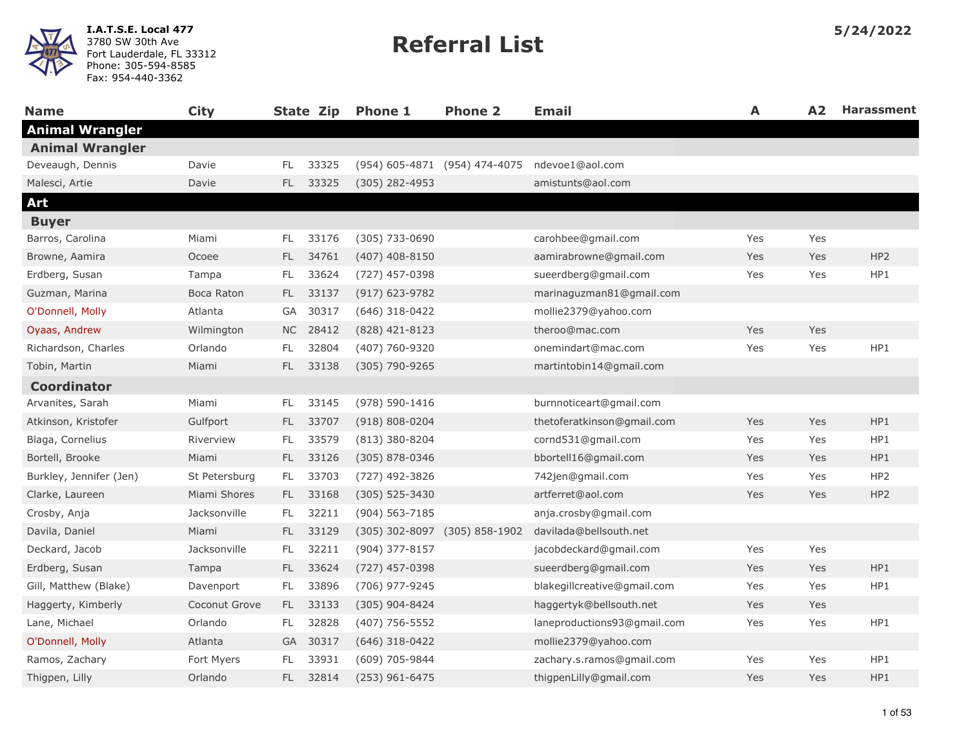| <b>Name</b>             | <b>City</b>   |           | State Zip | <b>Phone 1</b>     | <b>Phone 2</b>                | <b>Email</b>                | A   | A2  | <b>Harassment</b> |
|-------------------------|---------------|-----------|-----------|--------------------|-------------------------------|-----------------------------|-----|-----|-------------------|
| <b>Animal Wrangler</b>  |               |           |           |                    |                               |                             |     |     |                   |
| <b>Animal Wrangler</b>  |               |           |           |                    |                               |                             |     |     |                   |
| Deveaugh, Dennis        | Davie         | FL        | 33325     |                    | (954) 605-4871 (954) 474-4075 | ndevoe1@aol.com             |     |     |                   |
| Malesci, Artie          | Davie         | <b>FL</b> | 33325     | (305) 282-4953     |                               | amistunts@aol.com           |     |     |                   |
| Art                     |               |           |           |                    |                               |                             |     |     |                   |
| <b>Buyer</b>            |               |           |           |                    |                               |                             |     |     |                   |
| Barros, Carolina        | Miami         | FL.       | 33176     | (305) 733-0690     |                               | carohbee@gmail.com          | Yes | Yes |                   |
| Browne, Aamira          | Ocoee         | FL.       | 34761     | $(407)$ 408-8150   |                               | aamirabrowne@gmail.com      | Yes | Yes | HP <sub>2</sub>   |
| Erdberg, Susan          | Tampa         | FL.       | 33624     | (727) 457-0398     |                               | sueerdberg@gmail.com        | Yes | Yes | HP1               |
| Guzman, Marina          | Boca Raton    | FL.       | 33137     | $(917)$ 623-9782   |                               | marinaguzman81@gmail.com    |     |     |                   |
| O'Donnell, Molly        | Atlanta       | GA        | 30317     | $(646)$ 318-0422   |                               | mollie2379@yahoo.com        |     |     |                   |
| Oyaas, Andrew           | Wilmington    |           | NC 28412  | (828) 421-8123     |                               | theroo@mac.com              | Yes | Yes |                   |
| Richardson, Charles     | Orlando       | FL.       | 32804     | (407) 760-9320     |                               | onemindart@mac.com          | Yes | Yes | HP1               |
| Tobin, Martin           | Miami         | FL.       | 33138     | (305) 790-9265     |                               | martintobin14@gmail.com     |     |     |                   |
| <b>Coordinator</b>      |               |           |           |                    |                               |                             |     |     |                   |
| Arvanites, Sarah        | Miami         | FL.       | 33145     | (978) 590-1416     |                               | burnnoticeart@gmail.com     |     |     |                   |
| Atkinson, Kristofer     | Gulfport      | FL.       | 33707     | $(918) 808 - 0204$ |                               | thetoferatkinson@gmail.com  | Yes | Yes | HP1               |
| Blaga, Cornelius        | Riverview     | FL.       | 33579     | (813) 380-8204     |                               | cornd531@gmail.com          | Yes | Yes | HP1               |
| Bortell, Brooke         | Miami         | <b>FL</b> | 33126     | (305) 878-0346     |                               | bbortell16@gmail.com        | Yes | Yes | HP1               |
| Burkley, Jennifer (Jen) | St Petersburg | FL.       | 33703     | (727) 492-3826     |                               | 742jen@gmail.com            | Yes | Yes | HP <sub>2</sub>   |
| Clarke, Laureen         | Miami Shores  | FL.       | 33168     | $(305)$ 525-3430   |                               | artferret@aol.com           | Yes | Yes | HP <sub>2</sub>   |
| Crosby, Anja            | Jacksonville  | FL.       | 32211     | $(904) 563 - 7185$ |                               | anja.crosby@gmail.com       |     |     |                   |
| Davila, Daniel          | Miami         | FL.       | 33129     |                    | (305) 302-8097 (305) 858-1902 | davilada@bellsouth.net      |     |     |                   |
| Deckard, Jacob          | Jacksonville  | FL.       | 32211     | (904) 377-8157     |                               | jacobdeckard@gmail.com      | Yes | Yes |                   |
| Erdberg, Susan          | Tampa         | FL.       | 33624     | $(727)$ 457-0398   |                               | sueerdberg@gmail.com        | Yes | Yes | HP1               |
| Gill, Matthew (Blake)   | Davenport     | FL.       | 33896     | (706) 977-9245     |                               | blakegillcreative@gmail.com | Yes | Yes | HP1               |
| Haggerty, Kimberly      | Coconut Grove | FL.       | 33133     | (305) 904-8424     |                               | haggertyk@bellsouth.net     | Yes | Yes |                   |
| Lane, Michael           | Orlando       | FL.       | 32828     | $(407)$ 756-5552   |                               | laneproductions93@gmail.com | Yes | Yes | HP1               |
| O'Donnell, Molly        | Atlanta       | <b>GA</b> | 30317     | $(646)$ 318-0422   |                               | mollie2379@yahoo.com        |     |     |                   |
| Ramos, Zachary          | Fort Myers    | FL        | 33931     | (609) 705-9844     |                               | zachary.s.ramos@gmail.com   | Yes | Yes | HP1               |
| Thigpen, Lilly          | Orlando       | <b>FL</b> | 32814     | (253) 961-6475     |                               | thigpenLilly@gmail.com      | Yes | Yes | HP1               |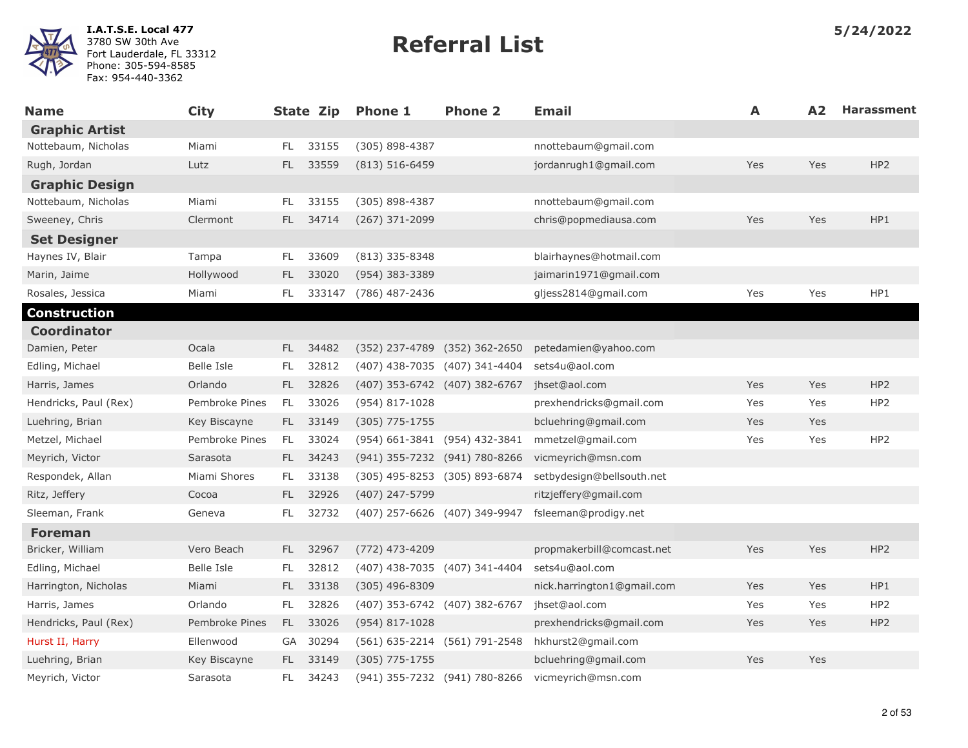

| Name                  | <b>City</b>    |      | State Zip | <b>Phone 1</b>                | <b>Phone 2</b>                | <b>Email</b>               | A   | A <sub>2</sub> | <b>Harassment</b> |
|-----------------------|----------------|------|-----------|-------------------------------|-------------------------------|----------------------------|-----|----------------|-------------------|
| <b>Graphic Artist</b> |                |      |           |                               |                               |                            |     |                |                   |
| Nottebaum, Nicholas   | Miami          | FL.  | 33155     | (305) 898-4387                |                               | nnottebaum@gmail.com       |     |                |                   |
| Rugh, Jordan          | Lutz           | FL.  | 33559     | $(813) 516 - 6459$            |                               | jordanrugh1@gmail.com      | Yes | Yes            | HP <sub>2</sub>   |
| <b>Graphic Design</b> |                |      |           |                               |                               |                            |     |                |                   |
| Nottebaum, Nicholas   | Miami          | FL.  | 33155     | (305) 898-4387                |                               | nnottebaum@gmail.com       |     |                |                   |
| Sweeney, Chris        | Clermont       | FL.  | 34714     | (267) 371-2099                |                               | chris@popmediausa.com      | Yes | Yes            | HP1               |
| <b>Set Designer</b>   |                |      |           |                               |                               |                            |     |                |                   |
| Haynes IV, Blair      | Tampa          | FL.  | 33609     | (813) 335-8348                |                               | blairhaynes@hotmail.com    |     |                |                   |
| Marin, Jaime          | Hollywood      | FL.  | 33020     | (954) 383-3389                |                               | jaimarin1971@gmail.com     |     |                |                   |
| Rosales, Jessica      | Miami          | FL.  | 333147    | (786) 487-2436                |                               | gljess2814@gmail.com       | Yes | Yes            | HP1               |
| <b>Construction</b>   |                |      |           |                               |                               |                            |     |                |                   |
| <b>Coordinator</b>    |                |      |           |                               |                               |                            |     |                |                   |
| Damien, Peter         | Ocala          | FL.  | 34482     |                               | (352) 237-4789 (352) 362-2650 | petedamien@yahoo.com       |     |                |                   |
| Edling, Michael       | Belle Isle     | FL.  | 32812     |                               | (407) 438-7035 (407) 341-4404 | sets4u@aol.com             |     |                |                   |
| Harris, James         | Orlando        | FL.  | 32826     | (407) 353-6742 (407) 382-6767 |                               | jhset@aol.com              | Yes | Yes            | HP <sub>2</sub>   |
| Hendricks, Paul (Rex) | Pembroke Pines | FL.  | 33026     | (954) 817-1028                |                               | prexhendricks@gmail.com    | Yes | Yes            | HP <sub>2</sub>   |
| Luehring, Brian       | Key Biscayne   | FL.  | 33149     | $(305)$ 775-1755              |                               | bcluehring@gmail.com       | Yes | Yes            |                   |
| Metzel, Michael       | Pembroke Pines | FL.  | 33024     |                               | (954) 661-3841 (954) 432-3841 | mmetzel@gmail.com          | Yes | Yes            | HP <sub>2</sub>   |
| Meyrich, Victor       | Sarasota       | FL.  | 34243     | (941) 355-7232 (941) 780-8266 |                               | vicmeyrich@msn.com         |     |                |                   |
| Respondek, Allan      | Miami Shores   | FL.  | 33138     |                               | (305) 495-8253 (305) 893-6874 | setbydesign@bellsouth.net  |     |                |                   |
| Ritz, Jeffery         | Cocoa          | FL.  | 32926     | (407) 247-5799                |                               | ritzjeffery@gmail.com      |     |                |                   |
| Sleeman, Frank        | Geneva         | FL.  | 32732     |                               | (407) 257-6626 (407) 349-9947 | fsleeman@prodigy.net       |     |                |                   |
| <b>Foreman</b>        |                |      |           |                               |                               |                            |     |                |                   |
| Bricker, William      | Vero Beach     | FL - | 32967     | (772) 473-4209                |                               | propmakerbill@comcast.net  | Yes | Yes            | HP <sub>2</sub>   |
| Edling, Michael       | Belle Isle     | FL.  | 32812     |                               | (407) 438-7035 (407) 341-4404 | sets4u@aol.com             |     |                |                   |
| Harrington, Nicholas  | Miami          | FL.  | 33138     | (305) 496-8309                |                               | nick.harrington1@gmail.com | Yes | Yes            | HP1               |
| Harris, James         | Orlando        | FL.  | 32826     | (407) 353-6742 (407) 382-6767 |                               | jhset@aol.com              | Yes | Yes            | HP2               |
| Hendricks, Paul (Rex) | Pembroke Pines | FL.  | 33026     | (954) 817-1028                |                               | prexhendricks@gmail.com    | Yes | Yes            | HP <sub>2</sub>   |
| Hurst II, Harry       | Ellenwood      | GA   | 30294     |                               | (561) 635-2214 (561) 791-2548 | hkhurst2@gmail.com         |     |                |                   |
| Luehring, Brian       | Key Biscayne   | FL.  | 33149     | $(305)$ 775-1755              |                               | bcluehring@gmail.com       | Yes | Yes            |                   |
| Meyrich, Victor       | Sarasota       | FL.  | 34243     |                               | (941) 355-7232 (941) 780-8266 | vicmeyrich@msn.com         |     |                |                   |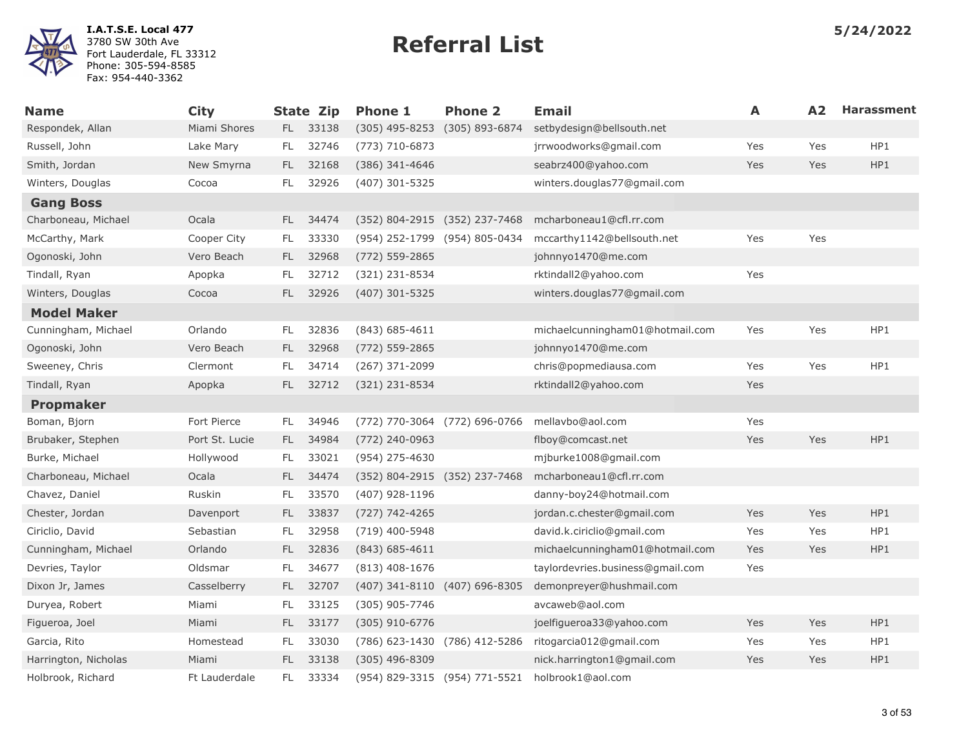

| <b>Name</b>          | <b>City</b>    |     | <b>State Zip</b> | <b>Phone 1</b>                | <b>Phone 2</b>                | <b>Email</b>                     | A   | A2  | <b>Harassment</b> |
|----------------------|----------------|-----|------------------|-------------------------------|-------------------------------|----------------------------------|-----|-----|-------------------|
| Respondek, Allan     | Miami Shores   |     | FL 33138         | $(305)$ 495-8253              | (305) 893-6874                | setbydesign@bellsouth.net        |     |     |                   |
| Russell, John        | Lake Mary      | FL. | 32746            | $(773) 710 - 6873$            |                               | jrrwoodworks@gmail.com           | Yes | Yes | HP1               |
| Smith, Jordan        | New Smyrna     | FL. | 32168            | (386) 341-4646                |                               | seabrz400@yahoo.com              | Yes | Yes | HP1               |
| Winters, Douglas     | Cocoa          | FL. | 32926            | (407) 301-5325                |                               | winters.douglas77@gmail.com      |     |     |                   |
| <b>Gang Boss</b>     |                |     |                  |                               |                               |                                  |     |     |                   |
| Charboneau, Michael  | Ocala          | FL. | 34474            | (352) 804-2915 (352) 237-7468 |                               | mcharboneau1@cfl.rr.com          |     |     |                   |
| McCarthy, Mark       | Cooper City    | FL. | 33330            | (954) 252-1799 (954) 805-0434 |                               | mccarthy1142@bellsouth.net       | Yes | Yes |                   |
| Ogonoski, John       | Vero Beach     | FL. | 32968            | (772) 559-2865                |                               | johnnyo1470@me.com               |     |     |                   |
| Tindall, Ryan        | Apopka         | FL  | 32712            | (321) 231-8534                |                               | rktindall2@yahoo.com             | Yes |     |                   |
| Winters, Douglas     | Cocoa          | FL. | 32926            | $(407)$ 301-5325              |                               | winters.douglas77@gmail.com      |     |     |                   |
| <b>Model Maker</b>   |                |     |                  |                               |                               |                                  |     |     |                   |
| Cunningham, Michael  | Orlando        | FL. | 32836            | $(843) 685 - 4611$            |                               | michaelcunningham01@hotmail.com  | Yes | Yes | HP1               |
| Ogonoski, John       | Vero Beach     | FL. | 32968            | (772) 559-2865                |                               | johnnyo1470@me.com               |     |     |                   |
| Sweeney, Chris       | Clermont       | FL  | 34714            | (267) 371-2099                |                               | chris@popmediausa.com            | Yes | Yes | HP1               |
| Tindall, Ryan        | Apopka         | FL. | 32712            | (321) 231-8534                |                               | rktindall2@yahoo.com             | Yes |     |                   |
| <b>Propmaker</b>     |                |     |                  |                               |                               |                                  |     |     |                   |
| Boman, Bjorn         | Fort Pierce    | FL. | 34946            |                               | (772) 770-3064 (772) 696-0766 | mellavbo@aol.com                 | Yes |     |                   |
| Brubaker, Stephen    | Port St. Lucie | FL. | 34984            | $(772)$ 240-0963              |                               | flboy@comcast.net                | Yes | Yes | HP1               |
| Burke, Michael       | Hollywood      | FL. | 33021            | (954) 275-4630                |                               | mjburke1008@gmail.com            |     |     |                   |
| Charboneau, Michael  | Ocala          | FL. | 34474            | (352) 804-2915 (352) 237-7468 |                               | mcharboneau1@cfl.rr.com          |     |     |                   |
| Chavez, Daniel       | Ruskin         | FL. | 33570            | (407) 928-1196                |                               | danny-boy24@hotmail.com          |     |     |                   |
| Chester, Jordan      | Davenport      | FL. | 33837            | (727) 742-4265                |                               | jordan.c.chester@gmail.com       | Yes | Yes | HP1               |
| Ciriclio, David      | Sebastian      | FL  | 32958            | (719) 400-5948                |                               | david.k.ciriclio@gmail.com       | Yes | Yes | HP1               |
| Cunningham, Michael  | Orlando        | FL. | 32836            | $(843) 685 - 4611$            |                               | michaelcunningham01@hotmail.com  | Yes | Yes | HP1               |
| Devries, Taylor      | Oldsmar        | FL  | 34677            | $(813)$ 408-1676              |                               | taylordevries.business@gmail.com | Yes |     |                   |
| Dixon Jr, James      | Casselberry    | FL. | 32707            |                               | (407) 341-8110 (407) 696-8305 | demonpreyer@hushmail.com         |     |     |                   |
| Duryea, Robert       | Miami          | FL  | 33125            | (305) 905-7746                |                               | avcaweb@aol.com                  |     |     |                   |
| Figueroa, Joel       | Miami          | FL. | 33177            | $(305)$ 910-6776              |                               | joelfigueroa33@yahoo.com         | Yes | Yes | HP1               |
| Garcia, Rito         | Homestead      | FL. | 33030            |                               | (786) 623-1430 (786) 412-5286 | ritogarcia012@gmail.com          | Yes | Yes | HP1               |
| Harrington, Nicholas | Miami          | FL. | 33138            | $(305)$ 496-8309              |                               | nick.harrington1@gmail.com       | Yes | Yes | HP1               |
| Holbrook, Richard    | Ft Lauderdale  | FL  | 33334            |                               | (954) 829-3315 (954) 771-5521 | holbrook1@aol.com                |     |     |                   |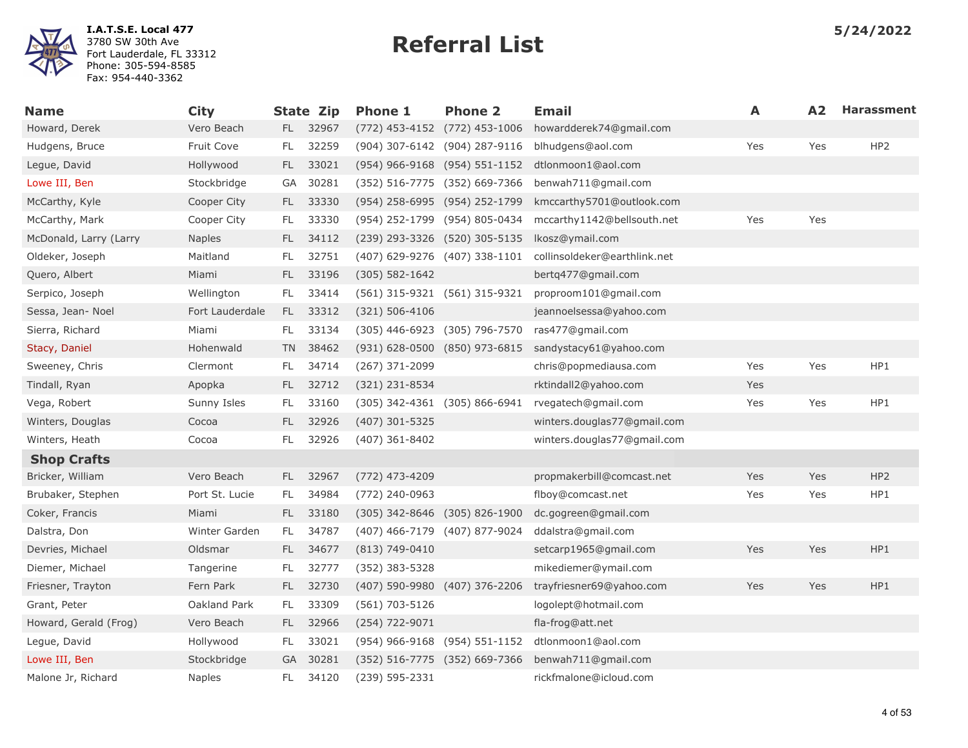

| <b>Name</b>            | <b>City</b>     |     | <b>State Zip</b> | <b>Phone 1</b>                    | <b>Phone 2</b>                | Email                        | A   | A2  | <b>Harassment</b> |
|------------------------|-----------------|-----|------------------|-----------------------------------|-------------------------------|------------------------------|-----|-----|-------------------|
| Howard, Derek          | Vero Beach      |     | FL 32967         |                                   | (772) 453-4152 (772) 453-1006 | howardderek74@gmail.com      |     |     |                   |
| Hudgens, Bruce         | Fruit Cove      | FL. | 32259            |                                   | (904) 307-6142 (904) 287-9116 | blhudgens@aol.com            | Yes | Yes | HP <sub>2</sub>   |
| Legue, David           | Hollywood       | FL. | 33021            |                                   | (954) 966-9168 (954) 551-1152 | dtlonmoon1@aol.com           |     |     |                   |
| Lowe III, Ben          | Stockbridge     | GA  | 30281            |                                   | (352) 516-7775 (352) 669-7366 | benwah711@gmail.com          |     |     |                   |
| McCarthy, Kyle         | Cooper City     | FL. | 33330            | (954) 258-6995 (954) 252-1799     |                               | kmccarthy5701@outlook.com    |     |     |                   |
| McCarthy, Mark         | Cooper City     | FL. | 33330            |                                   | (954) 252-1799 (954) 805-0434 | mccarthy1142@bellsouth.net   | Yes | Yes |                   |
| McDonald, Larry (Larry | <b>Naples</b>   | FL. | 34112            | (239) 293-3326 (520) 305-5135     |                               | lkosz@ymail.com              |     |     |                   |
| Oldeker, Joseph        | Maitland        | FL. | 32751            | (407) 629-9276 (407) 338-1101     |                               | collinsoldeker@earthlink.net |     |     |                   |
| Quero, Albert          | Miami           | FL. | 33196            | $(305) 582 - 1642$                |                               | bertg477@gmail.com           |     |     |                   |
| Serpico, Joseph        | Wellington      | FL. | 33414            | (561) 315-9321 (561) 315-9321     |                               | proproom101@gmail.com        |     |     |                   |
| Sessa, Jean- Noel      | Fort Lauderdale |     | FL 33312         | $(321) 506 - 4106$                |                               | jeannoelsessa@yahoo.com      |     |     |                   |
| Sierra, Richard        | Miami           | FL. | 33134            |                                   | (305) 446-6923 (305) 796-7570 | ras477@gmail.com             |     |     |                   |
| Stacy, Daniel          | Hohenwald       | TN. | 38462            |                                   | (931) 628-0500 (850) 973-6815 | sandystacy61@yahoo.com       |     |     |                   |
| Sweeney, Chris         | Clermont        | FL. | 34714            | (267) 371-2099                    |                               | chris@popmediausa.com        | Yes | Yes | HP1               |
| Tindall, Ryan          | Apopka          | FL. | 32712            | (321) 231-8534                    |                               | rktindall2@yahoo.com         | Yes |     |                   |
| Vega, Robert           | Sunny Isles     | FL. | 33160            | $(305)$ 342-4361 $(305)$ 866-6941 |                               | rvegatech@gmail.com          | Yes | Yes | HP1               |
| Winters, Douglas       | Cocoa           | FL. | 32926            | (407) 301-5325                    |                               | winters.douglas77@gmail.com  |     |     |                   |
| Winters, Heath         | Cocoa           | FL  | 32926            | (407) 361-8402                    |                               | winters.douglas77@gmail.com  |     |     |                   |
| <b>Shop Crafts</b>     |                 |     |                  |                                   |                               |                              |     |     |                   |
| Bricker, William       | Vero Beach      | FL. | 32967            | (772) 473-4209                    |                               | propmakerbill@comcast.net    | Yes | Yes | HP <sub>2</sub>   |
| Brubaker, Stephen      | Port St. Lucie  | FL. | 34984            | (772) 240-0963                    |                               | flboy@comcast.net            | Yes | Yes | HP1               |
| Coker, Francis         | Miami           | FL. | 33180            | $(305)$ 342-8646 $(305)$ 826-1900 |                               | dc.gogreen@gmail.com         |     |     |                   |
| Dalstra, Don           | Winter Garden   | FL. | 34787            |                                   | (407) 466-7179 (407) 877-9024 | ddalstra@gmail.com           |     |     |                   |
| Devries, Michael       | Oldsmar         | FL. | 34677            | (813) 749-0410                    |                               | setcarp1965@gmail.com        | Yes | Yes | HP1               |
| Diemer, Michael        | Tangerine       | FL. | 32777            | $(352)$ 383-5328                  |                               | mikediemer@ymail.com         |     |     |                   |
| Friesner, Trayton      | Fern Park       | FL. | 32730            | (407) 590-9980 (407) 376-2206     |                               | trayfriesner69@yahoo.com     | Yes | Yes | HP1               |
| Grant, Peter           | Oakland Park    | FL. | 33309            | (561) 703-5126                    |                               | logolept@hotmail.com         |     |     |                   |
| Howard, Gerald (Frog)  | Vero Beach      | FL. | 32966            | (254) 722-9071                    |                               | fla-frog@att.net             |     |     |                   |
| Legue, David           | Hollywood       | FL. | 33021            |                                   | (954) 966-9168 (954) 551-1152 | dtlonmoon1@aol.com           |     |     |                   |
| Lowe III, Ben          | Stockbridge     | GA  | 30281            |                                   | (352) 516-7775 (352) 669-7366 | benwah711@gmail.com          |     |     |                   |
| Malone Jr, Richard     | <b>Naples</b>   | FL  | 34120            | (239) 595-2331                    |                               | rickfmalone@icloud.com       |     |     |                   |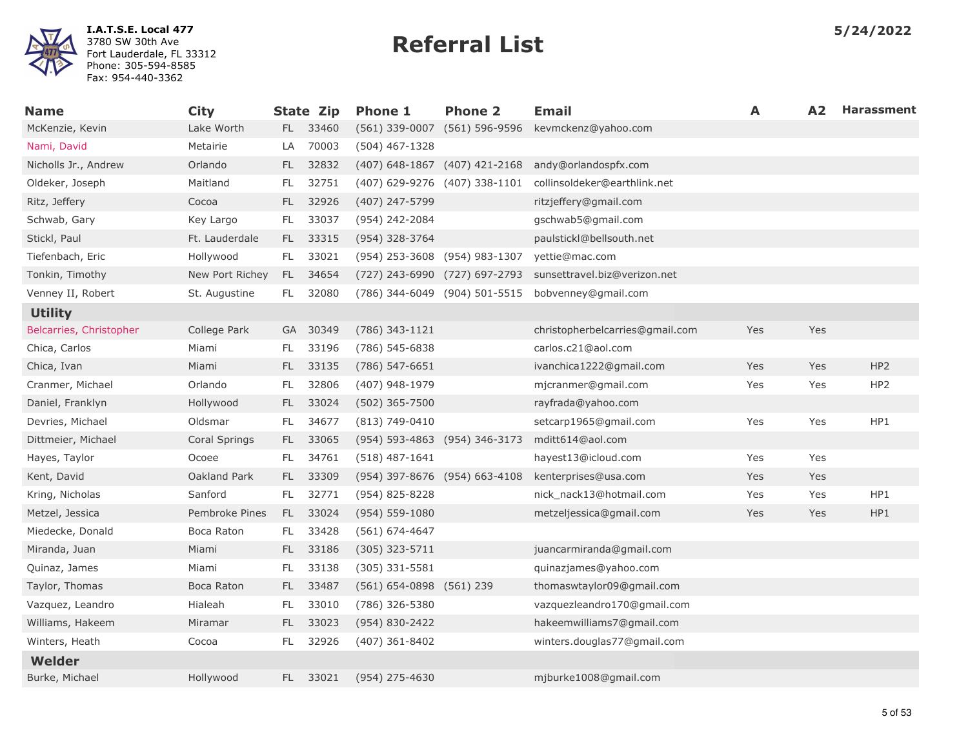

| <b>Name</b>             | <b>City</b>     |      | <b>State Zip</b> | <b>Phone 1</b>                 | <b>Phone 2</b>                | <b>Email</b>                    | A   | A <sub>2</sub> | <b>Harassment</b> |
|-------------------------|-----------------|------|------------------|--------------------------------|-------------------------------|---------------------------------|-----|----------------|-------------------|
| McKenzie, Kevin         | Lake Worth      |      | FL 33460         | $(561)$ 339-0007               | $(561) 596 - 9596$            | kevmckenz@yahoo.com             |     |                |                   |
| Nami, David             | Metairie        | LA   | 70003            | $(504)$ 467-1328               |                               |                                 |     |                |                   |
| Nicholls Jr., Andrew    | Orlando         | FL   | 32832            | (407) 648-1867 (407) 421-2168  |                               | andy@orlandospfx.com            |     |                |                   |
| Oldeker, Joseph         | Maitland        | FL.  | 32751            | (407) 629-9276 (407) 338-1101  |                               | collinsoldeker@earthlink.net    |     |                |                   |
| Ritz, Jeffery           | Cocoa           | FL   | 32926            | (407) 247-5799                 |                               | ritzjeffery@gmail.com           |     |                |                   |
| Schwab, Gary            | Key Largo       | FL.  | 33037            | (954) 242-2084                 |                               | gschwab5@gmail.com              |     |                |                   |
| Stickl, Paul            | Ft. Lauderdale  | FL - | 33315            | (954) 328-3764                 |                               | paulstickl@bellsouth.net        |     |                |                   |
| Tiefenbach, Eric        | Hollywood       | FL.  | 33021            | (954) 253-3608 (954) 983-1307  |                               | yettie@mac.com                  |     |                |                   |
| Tonkin, Timothy         | New Port Richey | FL.  | 34654            | (727) 243-6990 (727) 697-2793  |                               | sunsettravel.biz@verizon.net    |     |                |                   |
| Venney II, Robert       | St. Augustine   | FL.  | 32080            |                                | (786) 344-6049 (904) 501-5515 | bobvenney@gmail.com             |     |                |                   |
| <b>Utility</b>          |                 |      |                  |                                |                               |                                 |     |                |                   |
| Belcarries, Christopher | College Park    |      | GA 30349         | (786) 343-1121                 |                               | christopherbelcarries@gmail.com | Yes | Yes            |                   |
| Chica, Carlos           | Miami           | FL.  | 33196            | (786) 545-6838                 |                               | carlos.c21@aol.com              |     |                |                   |
| Chica, Ivan             | Miami           | FL.  | 33135            | (786) 547-6651                 |                               | ivanchica1222@gmail.com         | Yes | Yes            | HP <sub>2</sub>   |
| Cranmer, Michael        | Orlando         | FL.  | 32806            | (407) 948-1979                 |                               | mjcranmer@gmail.com             | Yes | Yes            | HP <sub>2</sub>   |
| Daniel, Franklyn        | Hollywood       | FL.  | 33024            | (502) 365-7500                 |                               | rayfrada@yahoo.com              |     |                |                   |
| Devries, Michael        | Oldsmar         | FL   | 34677            | $(813) 749-0410$               |                               | setcarp1965@gmail.com           | Yes | Yes            | HP1               |
| Dittmeier, Michael      | Coral Springs   | FL.  | 33065            | (954) 593-4863 (954) 346-3173  |                               | mditt614@aol.com                |     |                |                   |
| Hayes, Taylor           | Ocoee           | FL.  | 34761            | $(518)$ 487-1641               |                               | hayest13@icloud.com             | Yes | Yes            |                   |
| Kent, David             | Oakland Park    | FL.  | 33309            | (954) 397-8676 (954) 663-4108  |                               | kenterprises@usa.com            | Yes | Yes            |                   |
| Kring, Nicholas         | Sanford         | FL.  | 32771            | (954) 825-8228                 |                               | nick_nack13@hotmail.com         | Yes | Yes            | HP1               |
| Metzel, Jessica         | Pembroke Pines  | FL.  | 33024            | $(954) 559 - 1080$             |                               | metzeljessica@gmail.com         | Yes | Yes            | HP1               |
| Miedecke, Donald        | Boca Raton      | FL.  | 33428            | $(561) 674 - 4647$             |                               |                                 |     |                |                   |
| Miranda, Juan           | Miami           | FL.  | 33186            | (305) 323-5711                 |                               | juancarmiranda@gmail.com        |     |                |                   |
| Quinaz, James           | Miami           | FL.  | 33138            | $(305)$ 331-5581               |                               | quinazjames@yahoo.com           |     |                |                   |
| Taylor, Thomas          | Boca Raton      | FL.  | 33487            | $(561) 654 - 0898$ $(561) 239$ |                               | thomaswtaylor09@gmail.com       |     |                |                   |
| Vazquez, Leandro        | Hialeah         | FL   | 33010            | (786) 326-5380                 |                               | vazquezleandro170@gmail.com     |     |                |                   |
| Williams, Hakeem        | Miramar         | FL.  | 33023            | $(954) 830 - 2422$             |                               | hakeemwilliams7@gmail.com       |     |                |                   |
| Winters, Heath          | Cocoa           | FL.  | 32926            | $(407)$ 361-8402               |                               | winters.douglas77@gmail.com     |     |                |                   |
| Welder                  |                 |      |                  |                                |                               |                                 |     |                |                   |
| Burke, Michael          | Hollywood       | FL.  | 33021            | (954) 275-4630                 |                               | mjburke1008@gmail.com           |     |                |                   |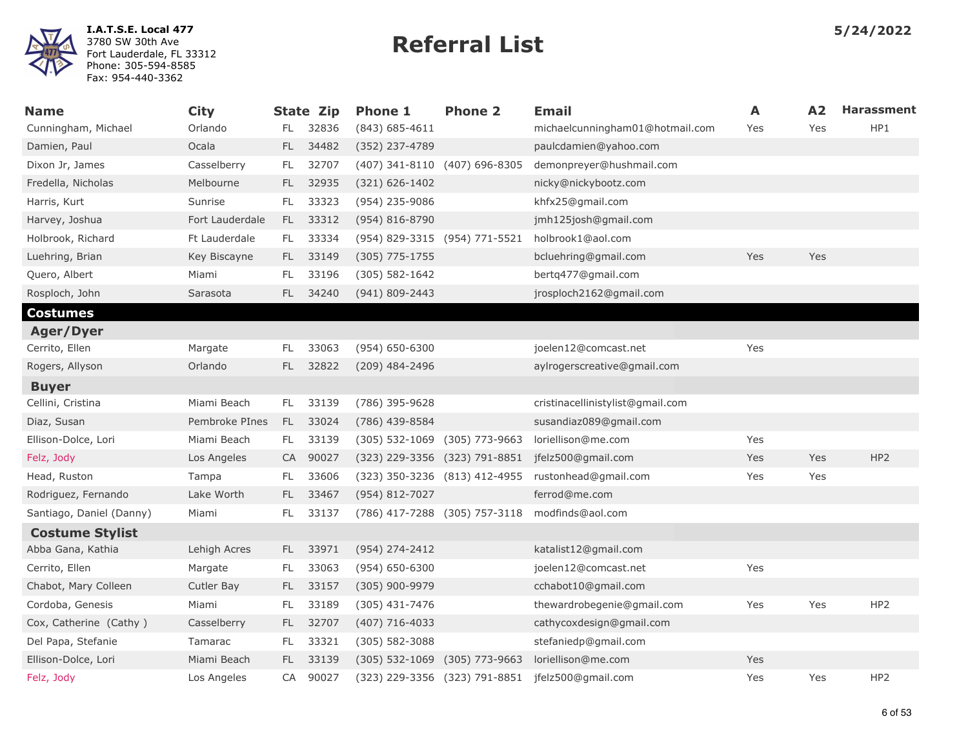

| <b>Name</b>              | <b>City</b>     |           | <b>State Zip</b> | <b>Phone 1</b>                    | <b>Phone 2</b>                | <b>Email</b>                                     | A   | A2  | <b>Harassment</b> |
|--------------------------|-----------------|-----------|------------------|-----------------------------------|-------------------------------|--------------------------------------------------|-----|-----|-------------------|
| Cunningham, Michael      | Orlando         | FL.       | 32836            | $(843) 685 - 4611$                |                               | michaelcunningham01@hotmail.com                  | Yes | Yes | HP1               |
| Damien, Paul             | Ocala           | FL.       | 34482            | (352) 237-4789                    |                               | paulcdamien@yahoo.com                            |     |     |                   |
| Dixon Jr, James          | Casselberry     | FL.       | 32707            | (407) 341-8110 (407) 696-8305     |                               | demonpreyer@hushmail.com                         |     |     |                   |
| Fredella, Nicholas       | Melbourne       | FL.       | 32935            | $(321) 626 - 1402$                |                               | nicky@nickybootz.com                             |     |     |                   |
| Harris, Kurt             | Sunrise         | FL        | 33323            | (954) 235-9086                    |                               | khfx25@gmail.com                                 |     |     |                   |
| Harvey, Joshua           | Fort Lauderdale | FL.       | 33312            | $(954) 816 - 8790$                |                               | jmh125josh@gmail.com                             |     |     |                   |
| Holbrook, Richard        | Ft Lauderdale   | FL.       | 33334            | (954) 829-3315 (954) 771-5521     |                               | holbrook1@aol.com                                |     |     |                   |
| Luehring, Brian          | Key Biscayne    | FL.       | 33149            | $(305)$ 775-1755                  |                               | bcluehring@gmail.com                             | Yes | Yes |                   |
| Quero, Albert            | Miami           | FL        | 33196            | $(305) 582 - 1642$                |                               | bertq477@gmail.com                               |     |     |                   |
| Rosploch, John           | Sarasota        | FL.       | 34240            | (941) 809-2443                    |                               | jrosploch2162@gmail.com                          |     |     |                   |
| Costumes                 |                 |           |                  |                                   |                               |                                                  |     |     |                   |
| <b>Ager/Dyer</b>         |                 |           |                  |                                   |                               |                                                  |     |     |                   |
| Cerrito, Ellen           | Margate         | FL.       | 33063            | (954) 650-6300                    |                               | joelen12@comcast.net                             | Yes |     |                   |
| Rogers, Allyson          | Orlando         | <b>FL</b> | 32822            | (209) 484-2496                    |                               | aylrogerscreative@gmail.com                      |     |     |                   |
| <b>Buyer</b>             |                 |           |                  |                                   |                               |                                                  |     |     |                   |
| Cellini, Cristina        | Miami Beach     | FL.       | 33139            | (786) 395-9628                    |                               | cristinacellinistylist@gmail.com                 |     |     |                   |
| Diaz, Susan              | Pembroke PInes  | FL.       | 33024            | (786) 439-8584                    |                               | susandiaz089@gmail.com                           |     |     |                   |
| Ellison-Dolce, Lori      | Miami Beach     | FL.       | 33139            | $(305)$ 532-1069                  | (305) 773-9663                | loriellison@me.com                               | Yes |     |                   |
| Felz, Jody               | Los Angeles     | CA        | 90027            | (323) 229-3356 (323) 791-8851     |                               | jfelz500@gmail.com                               | Yes | Yes | HP <sub>2</sub>   |
| Head, Ruston             | Tampa           | FL        | 33606            | $(323)$ 350-3236 $(813)$ 412-4955 |                               | rustonhead@gmail.com                             | Yes | Yes |                   |
| Rodriguez, Fernando      | Lake Worth      | FL.       | 33467            | (954) 812-7027                    |                               | ferrod@me.com                                    |     |     |                   |
| Santiago, Daniel (Danny) | Miami           | FL        | 33137            |                                   | (786) 417-7288 (305) 757-3118 | modfinds@aol.com                                 |     |     |                   |
| <b>Costume Stylist</b>   |                 |           |                  |                                   |                               |                                                  |     |     |                   |
| Abba Gana, Kathia        | Lehigh Acres    | FL.       | 33971            | (954) 274-2412                    |                               | katalist12@gmail.com                             |     |     |                   |
| Cerrito, Ellen           | Margate         | FL        | 33063            | $(954) 650 - 6300$                |                               | joelen12@comcast.net                             | Yes |     |                   |
| Chabot, Mary Colleen     | Cutler Bay      | FL.       | 33157            | $(305)$ 900-9979                  |                               | cchabot10@gmail.com                              |     |     |                   |
| Cordoba, Genesis         | Miami           | FL.       | 33189            | (305) 431-7476                    |                               | thewardrobegenie@gmail.com                       | Yes | Yes | HP <sub>2</sub>   |
| Cox, Catherine (Cathy)   | Casselberry     | FL.       | 32707            | $(407)$ 716-4033                  |                               | cathycoxdesign@gmail.com                         |     |     |                   |
| Del Papa, Stefanie       | Tamarac         | <b>FL</b> | 33321            | $(305) 582 - 3088$                |                               | stefaniedp@gmail.com                             |     |     |                   |
| Ellison-Dolce, Lori      | Miami Beach     | FL.       | 33139            | $(305)$ 532-1069                  | (305) 773-9663                | loriellison@me.com                               | Yes |     |                   |
| Felz, Jody               | Los Angeles     | CA        | 90027            |                                   |                               | (323) 229-3356 (323) 791-8851 jfelz500@gmail.com | Yes | Yes | HP <sub>2</sub>   |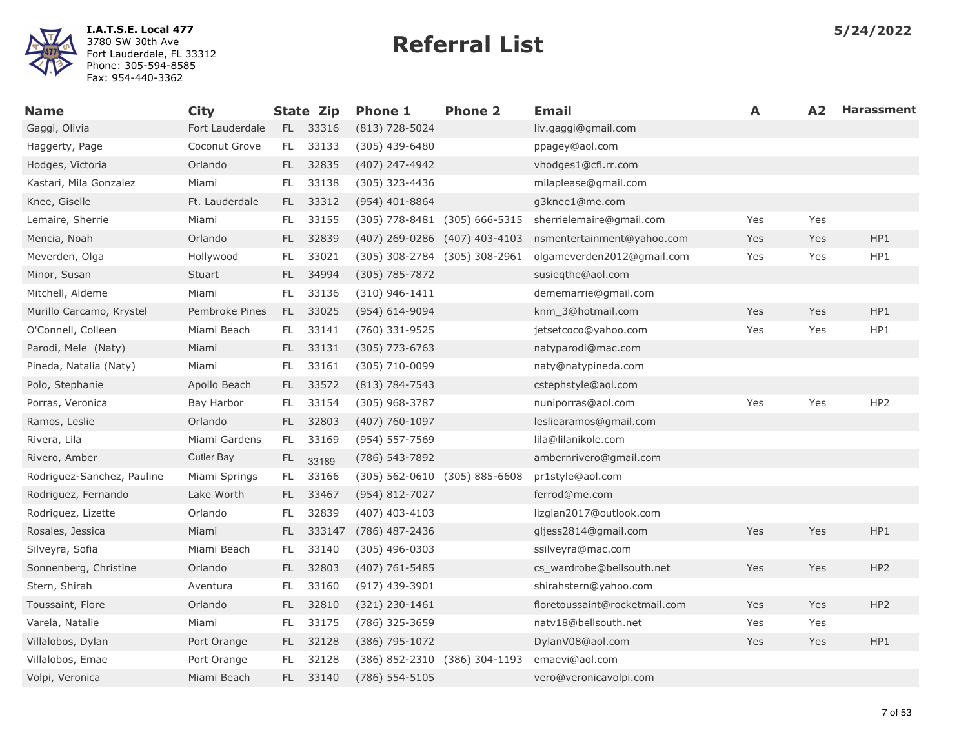

| <b>Name</b>                | <b>City</b>     |           | State Zip | <b>Phone 1</b>     | <b>Phone 2</b>                    | <b>Email</b>                  | A          | A2  | <b>Harassment</b> |
|----------------------------|-----------------|-----------|-----------|--------------------|-----------------------------------|-------------------------------|------------|-----|-------------------|
| Gaggi, Olivia              | Fort Lauderdale | FL.       | 33316     | $(813)$ 728-5024   |                                   | liv.gaggi@gmail.com           |            |     |                   |
| Haggerty, Page             | Coconut Grove   | FL.       | 33133     | $(305)$ 439-6480   |                                   | ppagey@aol.com                |            |     |                   |
| Hodges, Victoria           | Orlando         | FL.       | 32835     | (407) 247-4942     |                                   | vhodges1@cfl.rr.com           |            |     |                   |
| Kastari, Mila Gonzalez     | Miami           | FL.       | 33138     | (305) 323-4436     |                                   | milaplease@gmail.com          |            |     |                   |
| Knee, Giselle              | Ft. Lauderdale  | FL.       | 33312     | $(954)$ 401-8864   |                                   | g3knee1@me.com                |            |     |                   |
| Lemaire, Sherrie           | Miami           | FL        | 33155     |                    | $(305)$ 778-8481 $(305)$ 666-5315 | sherrielemaire@gmail.com      | Yes        | Yes |                   |
| Mencia, Noah               | Orlando         | FL.       | 32839     |                    | (407) 269-0286 (407) 403-4103     | nsmentertainment@yahoo.com    | Yes        | Yes | HP1               |
| Meverden, Olga             | Hollywood       | FL.       | 33021     |                    | (305) 308-2784 (305) 308-2961     | olgameverden2012@gmail.com    | Yes        | Yes | HP1               |
| Minor, Susan               | Stuart          | FL.       | 34994     | $(305) 785 - 7872$ |                                   | susiegthe@aol.com             |            |     |                   |
| Mitchell, Aldeme           | Miami           | FL.       | 33136     | $(310)$ 946-1411   |                                   | dememarrie@gmail.com          |            |     |                   |
| Murillo Carcamo, Krystel   | Pembroke Pines  | FL.       | 33025     | $(954) 614 - 9094$ |                                   | knm 3@hotmail.com             | Yes        | Yes | HP1               |
| O'Connell, Colleen         | Miami Beach     | FL.       | 33141     | (760) 331-9525     |                                   | jetsetcoco@yahoo.com          | Yes        | Yes | HP1               |
| Parodi, Mele (Naty)        | Miami           |           | FL 33131  | $(305)$ 773-6763   |                                   | natyparodi@mac.com            |            |     |                   |
| Pineda, Natalia (Naty)     | Miami           | FL        | 33161     | (305) 710-0099     |                                   | naty@natypineda.com           |            |     |                   |
| Polo, Stephanie            | Apollo Beach    | FL.       | 33572     | $(813) 784 - 7543$ |                                   | cstephstyle@aol.com           |            |     |                   |
| Porras, Veronica           | Bay Harbor      | FL.       | 33154     | $(305)$ 968-3787   |                                   | nuniporras@aol.com            | Yes        | Yes | HP <sub>2</sub>   |
| Ramos, Leslie              | Orlando         | FL.       | 32803     | $(407) 760 - 1097$ |                                   | lesliearamos@gmail.com        |            |     |                   |
| Rivera, Lila               | Miami Gardens   | FL.       | 33169     | (954) 557-7569     |                                   | lila@lilanikole.com           |            |     |                   |
| Rivero, Amber              | Cutler Bay      | <b>FL</b> | 33189     | (786) 543-7892     |                                   | ambernrivero@gmail.com        |            |     |                   |
| Rodriguez-Sanchez, Pauline | Miami Springs   | FL.       | 33166     |                    | $(305)$ 562-0610 $(305)$ 885-6608 | pr1style@aol.com              |            |     |                   |
| Rodriguez, Fernando        | Lake Worth      |           | FL 33467  | (954) 812-7027     |                                   | ferrod@me.com                 |            |     |                   |
| Rodriguez, Lizette         | Orlando         | FL        | 32839     | $(407)$ 403-4103   |                                   | lizgian2017@outlook.com       |            |     |                   |
| Rosales, Jessica           | Miami           | FL.       | 333147    | (786) 487-2436     |                                   | gljess2814@gmail.com          | Yes        | Yes | HP1               |
| Silveyra, Sofia            | Miami Beach     | FL.       | 33140     | $(305)$ 496-0303   |                                   | ssilveyra@mac.com             |            |     |                   |
| Sonnenberg, Christine      | Orlando         | FL.       | 32803     | $(407) 761 - 5485$ |                                   | cs wardrobe@bellsouth.net     | <b>Yes</b> | Yes | HP <sub>2</sub>   |
| Stern, Shirah              | Aventura        | FL.       | 33160     | $(917)$ 439-3901   |                                   | shirahstern@yahoo.com         |            |     |                   |
| Toussaint, Flore           | Orlando         | FL.       | 32810     | $(321)$ 230-1461   |                                   | floretoussaint@rocketmail.com | Yes        | Yes | HP <sub>2</sub>   |
| Varela, Natalie            | Miami           | FL        | 33175     | (786) 325-3659     |                                   | natv18@bellsouth.net          | Yes        | Yes |                   |
| Villalobos, Dylan          | Port Orange     | FL.       | 32128     | (386) 795-1072     |                                   | DylanV08@aol.com              | Yes        | Yes | HP1               |
| Villalobos, Emae           | Port Orange     | FL        | 32128     |                    | (386) 852-2310 (386) 304-1193     | emaevi@aol.com                |            |     |                   |
| Volpi, Veronica            | Miami Beach     | FL.       | 33140     | (786) 554-5105     |                                   | vero@veronicavolpi.com        |            |     |                   |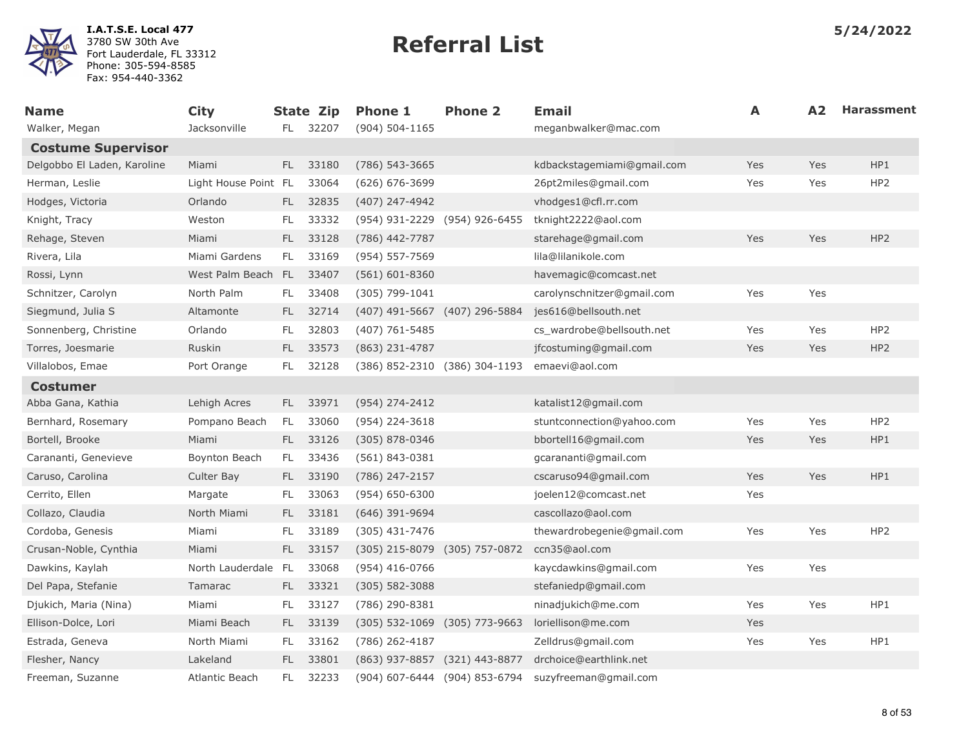

| <b>Name</b>                 | <b>City</b>          |      | <b>State Zip</b> | <b>Phone 1</b>                    | <b>Phone 2</b>                | <b>Email</b>               | A   | A <sub>2</sub> | <b>Harassment</b> |
|-----------------------------|----------------------|------|------------------|-----------------------------------|-------------------------------|----------------------------|-----|----------------|-------------------|
| Walker, Megan               | Jacksonville         |      | FL 32207         | (904) 504-1165                    |                               | meganbwalker@mac.com       |     |                |                   |
| <b>Costume Supervisor</b>   |                      |      |                  |                                   |                               |                            |     |                |                   |
| Delgobbo El Laden, Karoline | Miami                | FL.  | 33180            | $(786)$ 543-3665                  |                               | kdbackstagemiami@gmail.com | Yes | Yes            | HP1               |
| Herman, Leslie              | Light House Point FL |      | 33064            | $(626) 676 - 3699$                |                               | 26pt2miles@gmail.com       | Yes | Yes            | HP <sub>2</sub>   |
| Hodges, Victoria            | Orlando              | FL - | 32835            | (407) 247-4942                    |                               | vhodges1@cfl.rr.com        |     |                |                   |
| Knight, Tracy               | Weston               | FL.  | 33332            | (954) 931-2229 (954) 926-6455     |                               | tknight2222@aol.com        |     |                |                   |
| Rehage, Steven              | Miami                | FL.  | 33128            | (786) 442-7787                    |                               | starehage@gmail.com        | Yes | Yes            | HP <sub>2</sub>   |
| Rivera, Lila                | Miami Gardens        | FL.  | 33169            | (954) 557-7569                    |                               | lila@lilanikole.com        |     |                |                   |
| Rossi, Lynn                 | West Palm Beach FL   |      | 33407            | $(561) 601 - 8360$                |                               | havemagic@comcast.net      |     |                |                   |
| Schnitzer, Carolyn          | North Palm           | FL.  | 33408            | (305) 799-1041                    |                               | carolynschnitzer@gmail.com | Yes | Yes            |                   |
| Siegmund, Julia S           | Altamonte            | FL - | 32714            | (407) 491-5667 (407) 296-5884     |                               | jes616@bellsouth.net       |     |                |                   |
| Sonnenberg, Christine       | Orlando              | FL.  | 32803            | (407) 761-5485                    |                               | cs_wardrobe@bellsouth.net  | Yes | Yes            | HP <sub>2</sub>   |
| Torres, Joesmarie           | Ruskin               | FL   | 33573            | (863) 231-4787                    |                               | jfcostuming@gmail.com      | Yes | Yes            | HP <sub>2</sub>   |
| Villalobos, Emae            | Port Orange          | FL.  | 32128            |                                   | (386) 852-2310 (386) 304-1193 | emaevi@aol.com             |     |                |                   |
| <b>Costumer</b>             |                      |      |                  |                                   |                               |                            |     |                |                   |
| Abba Gana, Kathia           | Lehigh Acres         | FL.  | 33971            | (954) 274-2412                    |                               | katalist12@gmail.com       |     |                |                   |
| Bernhard, Rosemary          | Pompano Beach        | FL.  | 33060            | (954) 224-3618                    |                               | stuntconnection@yahoo.com  | Yes | Yes            | HP <sub>2</sub>   |
| Bortell, Brooke             | Miami                | FL.  | 33126            | (305) 878-0346                    |                               | bbortell16@gmail.com       | Yes | Yes            | HP1               |
| Carananti, Genevieve        | Boynton Beach        | FL.  | 33436            | (561) 843-0381                    |                               | gcarananti@gmail.com       |     |                |                   |
| Caruso, Carolina            | Culter Bay           | FL.  | 33190            | (786) 247-2157                    |                               | cscaruso94@gmail.com       | Yes | Yes            | HP1               |
| Cerrito, Ellen              | Margate              | FL.  | 33063            | $(954) 650 - 6300$                |                               | joelen12@comcast.net       | Yes |                |                   |
| Collazo, Claudia            | North Miami          | FL.  | 33181            | $(646)$ 391-9694                  |                               | cascollazo@aol.com         |     |                |                   |
| Cordoba, Genesis            | Miami                | FL.  | 33189            | $(305)$ 431-7476                  |                               | thewardrobegenie@gmail.com | Yes | Yes            | HP <sub>2</sub>   |
| Crusan-Noble, Cynthia       | Miami                | FL.  | 33157            | (305) 215-8079 (305) 757-0872     |                               | ccn35@aol.com              |     |                |                   |
| Dawkins, Kaylah             | North Lauderdale FL  |      | 33068            | $(954)$ 416-0766                  |                               | kaycdawkins@gmail.com      | Yes | Yes            |                   |
| Del Papa, Stefanie          | Tamarac              | FL - | 33321            | $(305) 582 - 3088$                |                               | stefaniedp@gmail.com       |     |                |                   |
| Djukich, Maria (Nina)       | Miami                | FL.  | 33127            | (786) 290-8381                    |                               | ninadjukich@me.com         | Yes | Yes            | HP1               |
| Ellison-Dolce, Lori         | Miami Beach          | FL.  | 33139            | $(305)$ 532-1069 $(305)$ 773-9663 |                               | loriellison@me.com         | Yes |                |                   |
| Estrada, Geneva             | North Miami          | FL.  | 33162            | (786) 262-4187                    |                               | Zelldrus@gmail.com         | Yes | Yes            | HP1               |
| Flesher, Nancy              | Lakeland             | FL.  | 33801            | (863) 937-8857 (321) 443-8877     |                               | drchoice@earthlink.net     |     |                |                   |
| Freeman, Suzanne            | Atlantic Beach       | FL.  | 32233            |                                   | (904) 607-6444 (904) 853-6794 | suzyfreeman@gmail.com      |     |                |                   |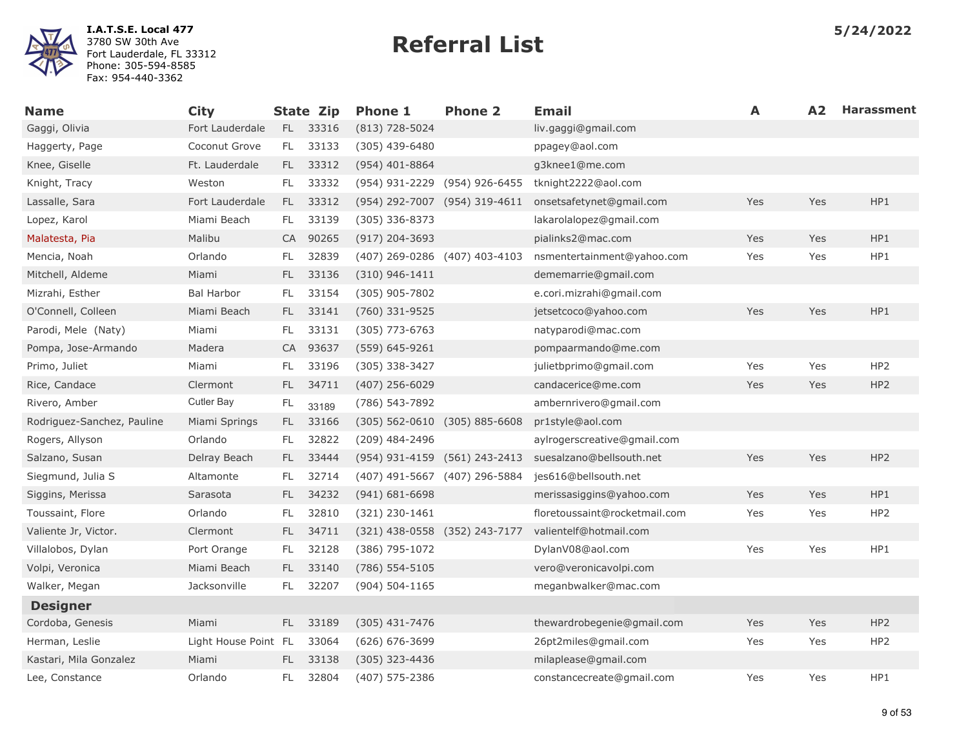

| <b>Name</b>                | <b>City</b>          |      | State Zip | <b>Phone 1</b>                    | <b>Phone 2</b> | <b>Email</b>                  | A   | A <sub>2</sub> | <b>Harassment</b> |
|----------------------------|----------------------|------|-----------|-----------------------------------|----------------|-------------------------------|-----|----------------|-------------------|
| Gaggi, Olivia              | Fort Lauderdale      |      | FL 33316  | $(813)$ 728-5024                  |                | liv.gaggi@gmail.com           |     |                |                   |
| Haggerty, Page             | Coconut Grove        | FL.  | 33133     | $(305)$ 439-6480                  |                | ppagey@aol.com                |     |                |                   |
| Knee, Giselle              | Ft. Lauderdale       | FL - | 33312     | $(954)$ 401-8864                  |                | g3knee1@me.com                |     |                |                   |
| Knight, Tracy              | Weston               | FL.  | 33332     | (954) 931-2229 (954) 926-6455     |                | tknight2222@aol.com           |     |                |                   |
| Lassalle, Sara             | Fort Lauderdale      | FL.  | 33312     | (954) 292-7007 (954) 319-4611     |                | onsetsafetynet@gmail.com      | Yes | Yes            | HP1               |
| Lopez, Karol               | Miami Beach          | FL   | 33139     | (305) 336-8373                    |                | lakarolalopez@gmail.com       |     |                |                   |
| Malatesta, Pia             | Malibu               |      | CA 90265  | (917) 204-3693                    |                | pialinks2@mac.com             | Yes | Yes            | HP1               |
| Mencia, Noah               | Orlando              | FL.  | 32839     | (407) 269-0286 (407) 403-4103     |                | nsmentertainment@yahoo.com    | Yes | Yes            | HP1               |
| Mitchell, Aldeme           | Miami                | FL.  | 33136     | $(310)$ 946-1411                  |                | dememarrie@gmail.com          |     |                |                   |
| Mizrahi, Esther            | <b>Bal Harbor</b>    | FL.  | 33154     | (305) 905-7802                    |                | e.cori.mizrahi@gmail.com      |     |                |                   |
| O'Connell, Colleen         | Miami Beach          | FL.  | 33141     | (760) 331-9525                    |                | jetsetcoco@yahoo.com          | Yes | Yes            | HP1               |
| Parodi, Mele (Naty)        | Miami                | FL.  | 33131     | $(305)$ 773-6763                  |                | natyparodi@mac.com            |     |                |                   |
| Pompa, Jose-Armando        | Madera               |      | CA 93637  | (559) 645-9261                    |                | pompaarmando@me.com           |     |                |                   |
| Primo, Juliet              | Miami                | FL   | 33196     | (305) 338-3427                    |                | julietbprimo@gmail.com        | Yes | Yes            | HP <sub>2</sub>   |
| Rice, Candace              | Clermont             | FL.  | 34711     | $(407)$ 256-6029                  |                | candacerice@me.com            | Yes | Yes            | HP2               |
| Rivero, Amber              | Cutler Bay           | FL   | 33189     | (786) 543-7892                    |                | ambernrivero@gmail.com        |     |                |                   |
| Rodriguez-Sanchez, Pauline | Miami Springs        | FL.  | 33166     | $(305)$ 562-0610 $(305)$ 885-6608 |                | pr1style@aol.com              |     |                |                   |
| Rogers, Allyson            | Orlando              | FL.  | 32822     | (209) 484-2496                    |                | aylrogerscreative@gmail.com   |     |                |                   |
| Salzano, Susan             | Delray Beach         | FL.  | 33444     | (954) 931-4159 (561) 243-2413     |                | suesalzano@bellsouth.net      | Yes | Yes            | HP <sub>2</sub>   |
| Siegmund, Julia S          | Altamonte            | FL.  | 32714     | (407) 491-5667 (407) 296-5884     |                | jes616@bellsouth.net          |     |                |                   |
| Siggins, Merissa           | Sarasota             | FL.  | 34232     | $(941) 681 - 6698$                |                | merissasiggins@yahoo.com      | Yes | Yes            | HP1               |
| Toussaint, Flore           | Orlando              | FL.  | 32810     | $(321)$ 230-1461                  |                | floretoussaint@rocketmail.com | Yes | Yes            | HP <sub>2</sub>   |
| Valiente Jr, Victor.       | Clermont             | FL.  | 34711     | (321) 438-0558 (352) 243-7177     |                | valientelf@hotmail.com        |     |                |                   |
| Villalobos, Dylan          | Port Orange          | FL.  | 32128     | (386) 795-1072                    |                | DylanV08@aol.com              | Yes | Yes            | HP1               |
| Volpi, Veronica            | Miami Beach          | FL.  | 33140     | $(786)$ 554-5105                  |                | vero@veronicavolpi.com        |     |                |                   |
| Walker, Megan              | Jacksonville         | FL.  | 32207     | $(904) 504 - 1165$                |                | meganbwalker@mac.com          |     |                |                   |
| <b>Designer</b>            |                      |      |           |                                   |                |                               |     |                |                   |
| Cordoba, Genesis           | Miami                | FL.  | 33189     | $(305)$ 431-7476                  |                | thewardrobegenie@gmail.com    | Yes | Yes            | HP <sub>2</sub>   |
| Herman, Leslie             | Light House Point FL |      | 33064     | $(626) 676 - 3699$                |                | 26pt2miles@gmail.com          | Yes | Yes            | HP <sub>2</sub>   |
| Kastari, Mila Gonzalez     | Miami                | FL.  | 33138     | (305) 323-4436                    |                | milaplease@gmail.com          |     |                |                   |
| Lee, Constance             | Orlando              | FL.  | 32804     | (407) 575-2386                    |                | constancecreate@gmail.com     | Yes | Yes            | HP1               |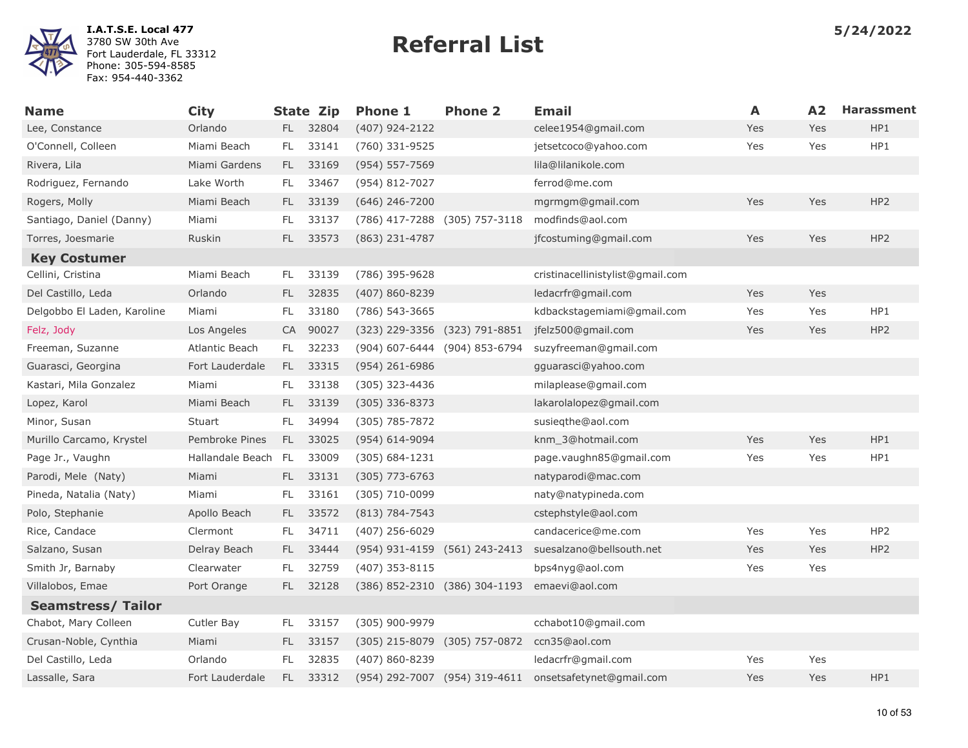

| <b>Name</b>                 | <b>City</b>         |      | <b>State Zip</b> | <b>Phone 1</b>                | <b>Phone 2</b>                | <b>Email</b>                     | A   | A2  | <b>Harassment</b> |
|-----------------------------|---------------------|------|------------------|-------------------------------|-------------------------------|----------------------------------|-----|-----|-------------------|
| Lee, Constance              | Orlando             |      | FL 32804         | (407) 924-2122                |                               | celee1954@gmail.com              | Yes | Yes | HP1               |
| O'Connell, Colleen          | Miami Beach         | FL.  | 33141            | (760) 331-9525                |                               | jetsetcoco@yahoo.com             | Yes | Yes | HP1               |
| Rivera, Lila                | Miami Gardens       |      | FL 33169         | (954) 557-7569                |                               | lila@lilanikole.com              |     |     |                   |
| Rodriguez, Fernando         | Lake Worth          | FL.  | 33467            | (954) 812-7027                |                               | ferrod@me.com                    |     |     |                   |
| Rogers, Molly               | Miami Beach         | FL.  | 33139            | $(646)$ 246-7200              |                               | mgrmgm@gmail.com                 | Yes | Yes | HP <sub>2</sub>   |
| Santiago, Daniel (Danny)    | Miami               | FL   | 33137            | (786) 417-7288 (305) 757-3118 |                               | modfinds@aol.com                 |     |     |                   |
| Torres, Joesmarie           | Ruskin              | FL.  | 33573            | (863) 231-4787                |                               | jfcostuming@gmail.com            | Yes | Yes | HP <sub>2</sub>   |
| <b>Key Costumer</b>         |                     |      |                  |                               |                               |                                  |     |     |                   |
| Cellini, Cristina           | Miami Beach         | FL.  | 33139            | (786) 395-9628                |                               | cristinacellinistylist@gmail.com |     |     |                   |
| Del Castillo, Leda          | Orlando             | FL.  | 32835            | (407) 860-8239                |                               | ledacrfr@gmail.com               | Yes | Yes |                   |
| Delgobbo El Laden, Karoline | Miami               | FL   | 33180            | (786) 543-3665                |                               | kdbackstagemiami@gmail.com       | Yes | Yes | HP1               |
| Felz, Jody                  | Los Angeles         |      | CA 90027         | (323) 229-3356 (323) 791-8851 |                               | jfelz500@gmail.com               | Yes | Yes | HP <sub>2</sub>   |
| Freeman, Suzanne            | Atlantic Beach      | FL.  | 32233            |                               | (904) 607-6444 (904) 853-6794 | suzyfreeman@gmail.com            |     |     |                   |
| Guarasci, Georgina          | Fort Lauderdale     | FL.  | 33315            | (954) 261-6986                |                               | gguarasci@yahoo.com              |     |     |                   |
| Kastari, Mila Gonzalez      | Miami               | FL.  | 33138            | (305) 323-4436                |                               | milaplease@gmail.com             |     |     |                   |
| Lopez, Karol                | Miami Beach         | FL - | 33139            | (305) 336-8373                |                               | lakarolalopez@gmail.com          |     |     |                   |
| Minor, Susan                | Stuart              | FL.  | 34994            | (305) 785-7872                |                               | susiegthe@aol.com                |     |     |                   |
| Murillo Carcamo, Krystel    | Pembroke Pines      | FL.  | 33025            | (954) 614-9094                |                               | knm 3@hotmail.com                | Yes | Yes | HP1               |
| Page Jr., Vaughn            | Hallandale Beach FL |      | 33009            | $(305) 684 - 1231$            |                               | page.vaughn85@gmail.com          | Yes | Yes | HP1               |
| Parodi, Mele (Naty)         | Miami               | FL.  | 33131            | $(305)$ 773-6763              |                               | natyparodi@mac.com               |     |     |                   |
| Pineda, Natalia (Naty)      | Miami               | FL.  | 33161            | $(305)$ 710-0099              |                               | naty@natypineda.com              |     |     |                   |
| Polo, Stephanie             | Apollo Beach        |      | FL 33572         | (813) 784-7543                |                               | cstephstyle@aol.com              |     |     |                   |
| Rice, Candace               | Clermont            | FL.  | 34711            | (407) 256-6029                |                               | candacerice@me.com               | Yes | Yes | HP <sub>2</sub>   |
| Salzano, Susan              | Delray Beach        | FL.  | 33444            | (954) 931-4159 (561) 243-2413 |                               | suesalzano@bellsouth.net         | Yes | Yes | HP <sub>2</sub>   |
| Smith Jr, Barnaby           | Clearwater          | FL   | 32759            | $(407)$ 353-8115              |                               | bps4nyg@aol.com                  | Yes | Yes |                   |
| Villalobos, Emae            | Port Orange         | FL.  | 32128            | (386) 852-2310 (386) 304-1193 |                               | emaevi@aol.com                   |     |     |                   |
| <b>Seamstress/Tailor</b>    |                     |      |                  |                               |                               |                                  |     |     |                   |
| Chabot, Mary Colleen        | Cutler Bay          | FL.  | 33157            | (305) 900-9979                |                               | cchabot10@gmail.com              |     |     |                   |
| Crusan-Noble, Cynthia       | Miami               | FL.  | 33157            | (305) 215-8079 (305) 757-0872 |                               | ccn35@aol.com                    |     |     |                   |
| Del Castillo, Leda          | Orlando             | FL   | 32835            | (407) 860-8239                |                               | ledacrfr@gmail.com               | Yes | Yes |                   |
| Lassalle, Sara              | Fort Lauderdale     |      | FL 33312         |                               | (954) 292-7007 (954) 319-4611 | onsetsafetynet@gmail.com         | Yes | Yes | HP1               |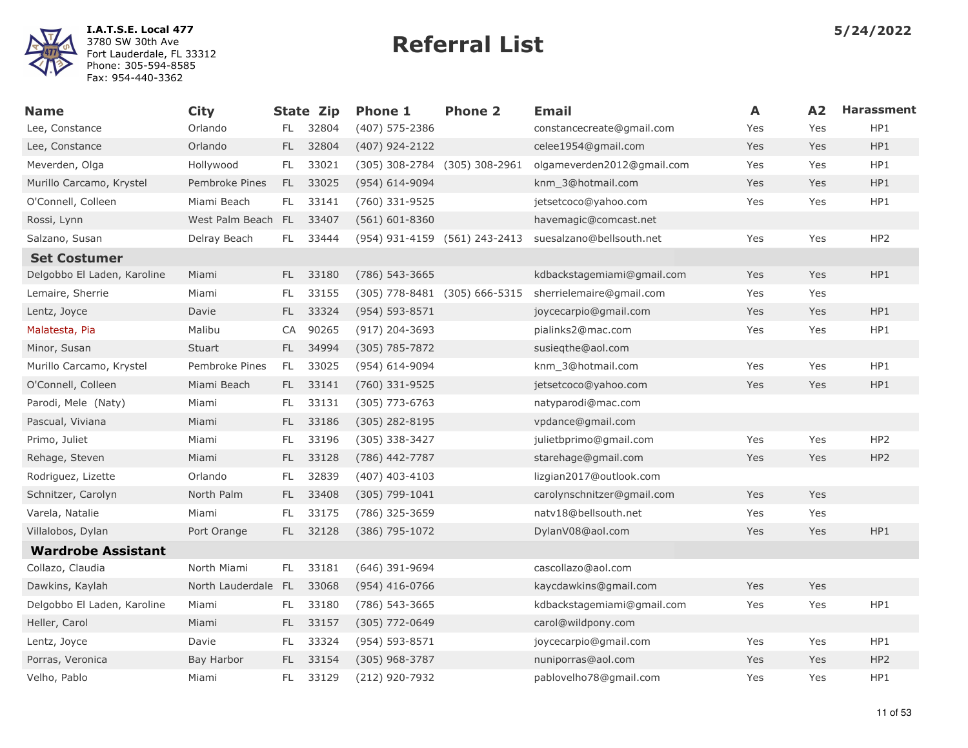

| <b>Name</b>                 | <b>City</b>         |     | <b>State Zip</b> | <b>Phone 1</b>                | <b>Phone 2</b>                | <b>Email</b>               | A   | A2  | <b>Harassment</b> |
|-----------------------------|---------------------|-----|------------------|-------------------------------|-------------------------------|----------------------------|-----|-----|-------------------|
| Lee, Constance              | Orlando             | FL. | 32804            | (407) 575-2386                |                               | constancecreate@gmail.com  | Yes | Yes | HP1               |
| Lee, Constance              | Orlando             | FL. | 32804            | (407) 924-2122                |                               | celee1954@gmail.com        | Yes | Yes | HP1               |
| Meverden, Olga              | Hollywood           | FL. | 33021            | (305) 308-2784 (305) 308-2961 |                               | olgameverden2012@gmail.com | Yes | Yes | HP1               |
| Murillo Carcamo, Krystel    | Pembroke Pines      | FL. | 33025            | (954) 614-9094                |                               | knm 3@hotmail.com          | Yes | Yes | HP1               |
| O'Connell, Colleen          | Miami Beach         | FL. | 33141            | (760) 331-9525                |                               | jetsetcoco@yahoo.com       | Yes | Yes | HP1               |
| Rossi, Lynn                 | West Palm Beach FL  |     | 33407            | $(561) 601 - 8360$            |                               | havemagic@comcast.net      |     |     |                   |
| Salzano, Susan              | Delray Beach        | FL. | 33444            |                               | (954) 931-4159 (561) 243-2413 | suesalzano@bellsouth.net   | Yes | Yes | HP <sub>2</sub>   |
| <b>Set Costumer</b>         |                     |     |                  |                               |                               |                            |     |     |                   |
| Delgobbo El Laden, Karoline | Miami               | FL. | 33180            | (786) 543-3665                |                               | kdbackstagemiami@gmail.com | Yes | Yes | HP1               |
| Lemaire, Sherrie            | Miami               | FL. | 33155            | (305) 778-8481 (305) 666-5315 |                               | sherrielemaire@gmail.com   | Yes | Yes |                   |
| Lentz, Joyce                | Davie               | FL. | 33324            | (954) 593-8571                |                               | joycecarpio@gmail.com      | Yes | Yes | HP1               |
| Malatesta, Pia              | Malibu              | CA  | 90265            | $(917)$ 204-3693              |                               | pialinks2@mac.com          | Yes | Yes | HP1               |
| Minor, Susan                | Stuart              | FL. | 34994            | $(305)$ 785-7872              |                               | susiegthe@aol.com          |     |     |                   |
| Murillo Carcamo, Krystel    | Pembroke Pines      | FL. | 33025            | $(954)$ 614-9094              |                               | knm 3@hotmail.com          | Yes | Yes | HP1               |
| O'Connell, Colleen          | Miami Beach         | FL. | 33141            | (760) 331-9525                |                               | jetsetcoco@yahoo.com       | Yes | Yes | HP1               |
| Parodi, Mele (Naty)         | Miami               | FL. | 33131            | $(305)$ 773-6763              |                               | natyparodi@mac.com         |     |     |                   |
| Pascual, Viviana            | Miami               | FL. | 33186            | $(305)$ 282-8195              |                               | vpdance@gmail.com          |     |     |                   |
| Primo, Juliet               | Miami               | FL. | 33196            | (305) 338-3427                |                               | julietbprimo@gmail.com     | Yes | Yes | HP <sub>2</sub>   |
| Rehage, Steven              | Miami               | FL. | 33128            | (786) 442-7787                |                               | starehage@gmail.com        | Yes | Yes | HP <sub>2</sub>   |
| Rodriguez, Lizette          | Orlando             | FL. | 32839            | $(407)$ 403-4103              |                               | lizgian2017@outlook.com    |     |     |                   |
| Schnitzer, Carolyn          | North Palm          | FL. | 33408            | $(305) 799 - 1041$            |                               | carolynschnitzer@gmail.com | Yes | Yes |                   |
| Varela, Natalie             | Miami               | FL. | 33175            | (786) 325-3659                |                               | natv18@bellsouth.net       | Yes | Yes |                   |
| Villalobos, Dylan           | Port Orange         | FL. | 32128            | (386) 795-1072                |                               | DylanV08@aol.com           | Yes | Yes | HP1               |
| <b>Wardrobe Assistant</b>   |                     |     |                  |                               |                               |                            |     |     |                   |
| Collazo, Claudia            | North Miami         | FL. | 33181            | $(646)$ 391-9694              |                               | cascollazo@aol.com         |     |     |                   |
| Dawkins, Kaylah             | North Lauderdale FL |     | 33068            | $(954)$ 416-0766              |                               | kaycdawkins@gmail.com      | Yes | Yes |                   |
| Delgobbo El Laden, Karoline | Miami               | FL. | 33180            | (786) 543-3665                |                               | kdbackstagemiami@gmail.com | Yes | Yes | HP1               |
| Heller, Carol               | Miami               | FL. | 33157            | (305) 772-0649                |                               | carol@wildpony.com         |     |     |                   |
| Lentz, Joyce                | Davie               | FL  | 33324            | $(954) 593 - 8571$            |                               | joycecarpio@gmail.com      | Yes | Yes | HP1               |
| Porras, Veronica            | Bay Harbor          | FL. | 33154            | (305) 968-3787                |                               | nuniporras@aol.com         | Yes | Yes | HP <sub>2</sub>   |
| Velho, Pablo                | Miami               | FL. | 33129            | (212) 920-7932                |                               | pablovelho78@gmail.com     | Yes | Yes | HP1               |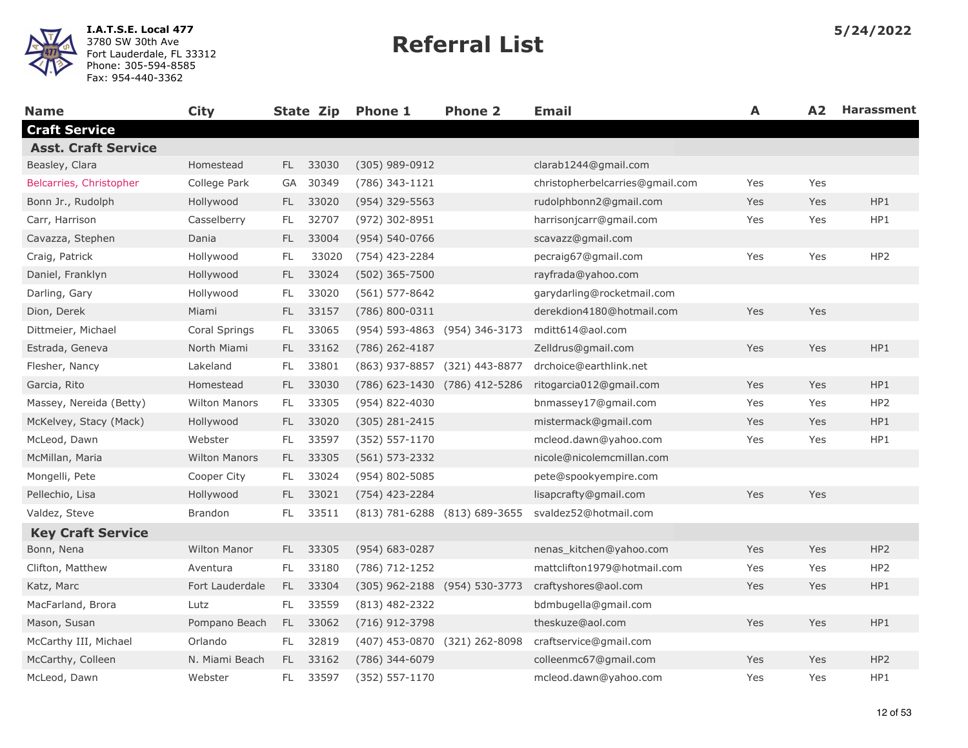

| <b>Name</b>                | <b>City</b>          |      | State Zip | <b>Phone 1</b>     | <b>Phone 2</b>                | <b>Email</b>                    | A   | A <sub>2</sub> | <b>Harassment</b> |
|----------------------------|----------------------|------|-----------|--------------------|-------------------------------|---------------------------------|-----|----------------|-------------------|
| <b>Craft Service</b>       |                      |      |           |                    |                               |                                 |     |                |                   |
| <b>Asst. Craft Service</b> |                      |      |           |                    |                               |                                 |     |                |                   |
| Beasley, Clara             | Homestead            | FL.  | 33030     | (305) 989-0912     |                               | clarab1244@gmail.com            |     |                |                   |
| Belcarries, Christopher    | College Park         | GA   | 30349     | (786) 343-1121     |                               | christopherbelcarries@gmail.com | Yes | Yes            |                   |
| Bonn Jr., Rudolph          | Hollywood            | FL.  | 33020     | (954) 329-5563     |                               | rudolphbonn2@gmail.com          | Yes | Yes            | HP1               |
| Carr, Harrison             | Casselberry          | FL.  | 32707     | (972) 302-8951     |                               | harrisonjcarr@gmail.com         | Yes | Yes            | HP1               |
| Cavazza, Stephen           | Dania                | FL.  | 33004     | (954) 540-0766     |                               | scavazz@gmail.com               |     |                |                   |
| Craig, Patrick             | Hollywood            | FL   | 33020     | (754) 423-2284     |                               | pecraig67@gmail.com             | Yes | Yes            | HP <sub>2</sub>   |
| Daniel, Franklyn           | Hollywood            | FL   | 33024     | (502) 365-7500     |                               | rayfrada@yahoo.com              |     |                |                   |
| Darling, Gary              | Hollywood            | FL.  | 33020     | $(561) 577 - 8642$ |                               | garydarling@rocketmail.com      |     |                |                   |
| Dion, Derek                | Miami                | FL   | 33157     | (786) 800-0311     |                               | derekdion4180@hotmail.com       | Yes | Yes            |                   |
| Dittmeier, Michael         | Coral Springs        | FL.  | 33065     |                    | (954) 593-4863 (954) 346-3173 | mditt614@aol.com                |     |                |                   |
| Estrada, Geneva            | North Miami          | FL.  | 33162     | (786) 262-4187     |                               | Zelldrus@gmail.com              | Yes | Yes            | HP1               |
| Flesher, Nancy             | Lakeland             | FL.  | 33801     |                    | (863) 937-8857 (321) 443-8877 | drchoice@earthlink.net          |     |                |                   |
| Garcia, Rito               | Homestead            | FL.  | 33030     |                    | (786) 623-1430 (786) 412-5286 | ritogarcia012@gmail.com         | Yes | Yes            | HP1               |
| Massey, Nereida (Betty)    | <b>Wilton Manors</b> | FL.  | 33305     | (954) 822-4030     |                               | bnmassey17@gmail.com            | Yes | Yes            | HP <sub>2</sub>   |
| McKelvey, Stacy (Mack)     | Hollywood            | FL.  | 33020     | $(305)$ 281-2415   |                               | mistermack@gmail.com            | Yes | Yes            | HP1               |
| McLeod, Dawn               | Webster              | FL.  | 33597     | $(352) 557 - 1170$ |                               | mcleod.dawn@yahoo.com           | Yes | Yes            | HP1               |
| McMillan, Maria            | <b>Wilton Manors</b> | FL.  | 33305     | $(561) 573 - 2332$ |                               | nicole@nicolemcmillan.com       |     |                |                   |
| Mongelli, Pete             | Cooper City          | FL.  | 33024     | (954) 802-5085     |                               | pete@spookyempire.com           |     |                |                   |
| Pellechio, Lisa            | Hollywood            | FL.  | 33021     | (754) 423-2284     |                               | lisapcrafty@gmail.com           | Yes | Yes            |                   |
| Valdez, Steve              | <b>Brandon</b>       | FL.  | 33511     |                    | (813) 781-6288 (813) 689-3655 | svaldez52@hotmail.com           |     |                |                   |
| <b>Key Craft Service</b>   |                      |      |           |                    |                               |                                 |     |                |                   |
| Bonn, Nena                 | <b>Wilton Manor</b>  | FL.  | 33305     | (954) 683-0287     |                               | nenas_kitchen@yahoo.com         | Yes | Yes            | HP <sub>2</sub>   |
| Clifton, Matthew           | Aventura             | FL.  | 33180     | (786) 712-1252     |                               | mattclifton1979@hotmail.com     | Yes | Yes            | HP <sub>2</sub>   |
| Katz, Marc                 | Fort Lauderdale      | FL - | 33304     |                    | (305) 962-2188 (954) 530-3773 | craftyshores@aol.com            | Yes | Yes            | HP1               |
| MacFarland, Brora          | Lutz                 | FL.  | 33559     | (813) 482-2322     |                               | bdmbugella@gmail.com            |     |                |                   |
| Mason, Susan               | Pompano Beach        | FL.  | 33062     | (716) 912-3798     |                               | theskuze@aol.com                | Yes | Yes            | HP1               |
| McCarthy III, Michael      | Orlando              | FL.  | 32819     |                    | (407) 453-0870 (321) 262-8098 | craftservice@gmail.com          |     |                |                   |
| McCarthy, Colleen          | N. Miami Beach       | FL.  | 33162     | (786) 344-6079     |                               | colleenmc67@gmail.com           | Yes | Yes            | HP <sub>2</sub>   |
| McLeod, Dawn               | Webster              | FL.  | 33597     | (352) 557-1170     |                               | mcleod.dawn@yahoo.com           | Yes | Yes            | HP1               |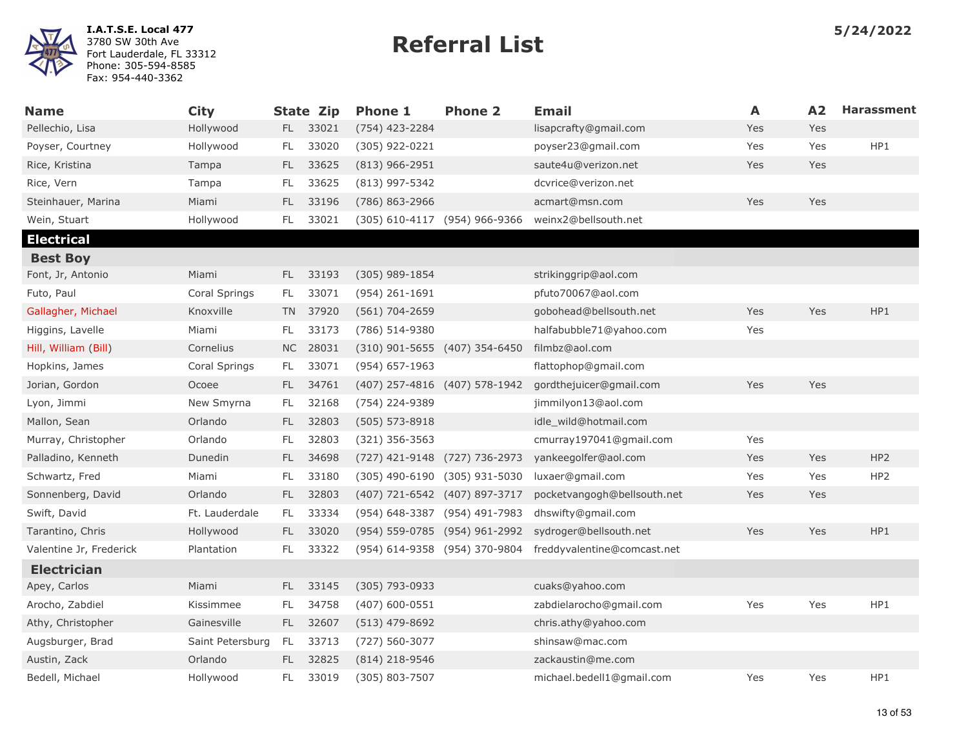

| <b>Name</b>             | <b>City</b>      |           | <b>State Zip</b> | <b>Phone 1</b>                | <b>Phone 2</b> | <b>Email</b>                | A   | A2  | <b>Harassment</b> |
|-------------------------|------------------|-----------|------------------|-------------------------------|----------------|-----------------------------|-----|-----|-------------------|
| Pellechio, Lisa         | Hollywood        |           | FL 33021         | (754) 423-2284                |                | lisapcrafty@gmail.com       | Yes | Yes |                   |
| Poyser, Courtney        | Hollywood        | FL        | 33020            | $(305)$ 922-0221              |                | poyser23@gmail.com          | Yes | Yes | HP1               |
| Rice, Kristina          | Tampa            | FL.       | 33625            | $(813)$ 966-2951              |                | saute4u@verizon.net         | Yes | Yes |                   |
| Rice, Vern              | Tampa            | FL.       | 33625            | (813) 997-5342                |                | dcvrice@verizon.net         |     |     |                   |
| Steinhauer, Marina      | Miami            | FL        | 33196            | (786) 863-2966                |                | acmart@msn.com              | Yes | Yes |                   |
| Wein, Stuart            | Hollywood        | FL.       | 33021            | (305) 610-4117 (954) 966-9366 |                | weinx2@bellsouth.net        |     |     |                   |
| <b>Electrical</b>       |                  |           |                  |                               |                |                             |     |     |                   |
| <b>Best Boy</b>         |                  |           |                  |                               |                |                             |     |     |                   |
| Font, Jr, Antonio       | Miami            | FL.       | 33193            | $(305)$ 989-1854              |                | strikinggrip@aol.com        |     |     |                   |
| Futo, Paul              | Coral Springs    | FL.       | 33071            | (954) 261-1691                |                | pfuto70067@aol.com          |     |     |                   |
| Gallagher, Michael      | Knoxville        |           | TN 37920         | $(561) 704 - 2659$            |                | gobohead@bellsouth.net      | Yes | Yes | HP1               |
| Higgins, Lavelle        | Miami            | FL.       | 33173            | (786) 514-9380                |                | halfabubble71@yahoo.com     | Yes |     |                   |
| Hill, William (Bill)    | Cornelius        | <b>NC</b> | 28031            | (310) 901-5655 (407) 354-6450 |                | filmbz@aol.com              |     |     |                   |
| Hopkins, James          | Coral Springs    | FL.       | 33071            | $(954) 657 - 1963$            |                | flattophop@gmail.com        |     |     |                   |
| Jorian, Gordon          | Ocoee            | FL.       | 34761            | (407) 257-4816 (407) 578-1942 |                | gordthejuicer@gmail.com     | Yes | Yes |                   |
| Lyon, Jimmi             | New Smyrna       | FL        | 32168            | (754) 224-9389                |                | jimmilyon13@aol.com         |     |     |                   |
| Mallon, Sean            | Orlando          | FL.       | 32803            | $(505) 573 - 8918$            |                | idle wild@hotmail.com       |     |     |                   |
| Murray, Christopher     | Orlando          | FL        | 32803            | $(321)$ 356-3563              |                | cmurray197041@gmail.com     | Yes |     |                   |
| Palladino, Kenneth      | Dunedin          | FL        | 34698            | (727) 421-9148 (727) 736-2973 |                | yankeegolfer@aol.com        | Yes | Yes | HP <sub>2</sub>   |
| Schwartz, Fred          | Miami            | FL        | 33180            | (305) 490-6190                | (305) 931-5030 | luxaer@gmail.com            | Yes | Yes | HP <sub>2</sub>   |
| Sonnenberg, David       | Orlando          | FL.       | 32803            | (407) 721-6542 (407) 897-3717 |                | pocketvangogh@bellsouth.net | Yes | Yes |                   |
| Swift, David            | Ft. Lauderdale   | FL.       | 33334            | (954) 648-3387 (954) 491-7983 |                | dhswifty@gmail.com          |     |     |                   |
| Tarantino, Chris        | Hollywood        | FL.       | 33020            | (954) 559-0785 (954) 961-2992 |                | sydroger@bellsouth.net      | Yes | Yes | HP1               |
| Valentine Jr, Frederick | Plantation       | FL        | 33322            | (954) 614-9358 (954) 370-9804 |                | freddyvalentine@comcast.net |     |     |                   |
| <b>Electrician</b>      |                  |           |                  |                               |                |                             |     |     |                   |
| Apey, Carlos            | Miami            | FL.       | 33145            | (305) 793-0933                |                | cuaks@yahoo.com             |     |     |                   |
| Arocho, Zabdiel         | Kissimmee        | FL.       | 34758            | $(407) 600 - 0551$            |                | zabdielarocho@gmail.com     | Yes | Yes | HP1               |
| Athy, Christopher       | Gainesville      | FL.       | 32607            | $(513)$ 479-8692              |                | chris.athy@yahoo.com        |     |     |                   |
| Augsburger, Brad        | Saint Petersburg | FL.       | 33713            | (727) 560-3077                |                | shinsaw@mac.com             |     |     |                   |
| Austin, Zack            | Orlando          | FL.       | 32825            | $(814)$ 218-9546              |                | zackaustin@me.com           |     |     |                   |
| Bedell, Michael         | Hollywood        | FL.       | 33019            | (305) 803-7507                |                | michael.bedell1@gmail.com   | Yes | Yes | HP1               |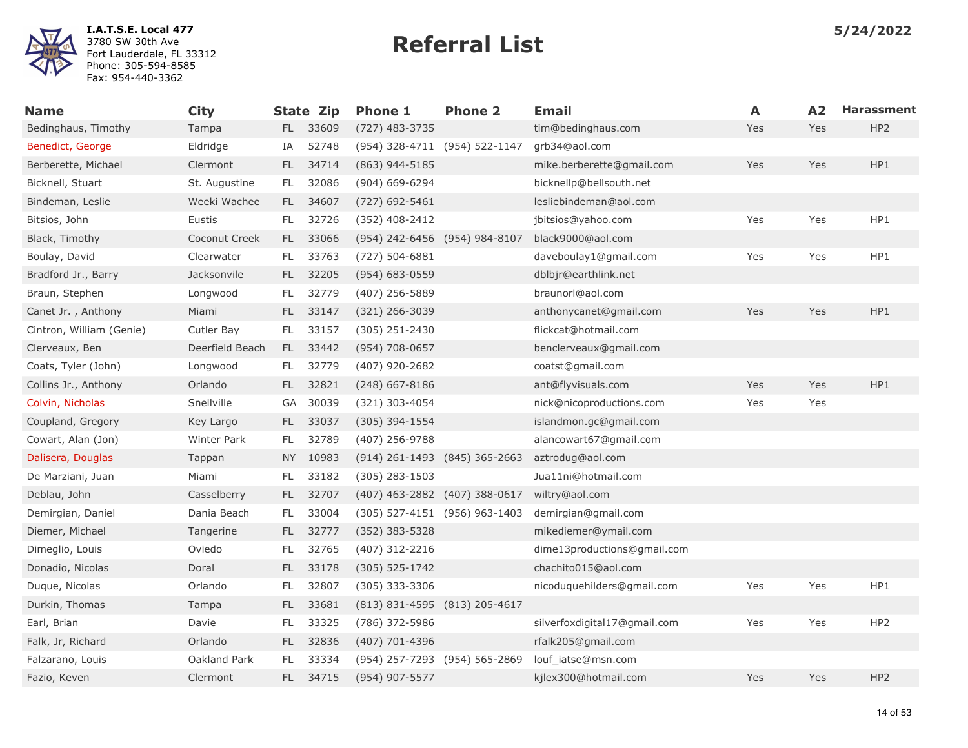

| <b>Name</b>              | <b>City</b>     |     | <b>State Zip</b> | <b>Phone 1</b>                | <b>Phone 2</b> | <b>Email</b>                 | A   | A2         | <b>Harassment</b> |
|--------------------------|-----------------|-----|------------------|-------------------------------|----------------|------------------------------|-----|------------|-------------------|
| Bedinghaus, Timothy      | Tampa           |     | FL 33609         | $(727)$ 483-3735              |                | tim@bedinghaus.com           | Yes | Yes        | HP <sub>2</sub>   |
| Benedict, George         | Eldridge        | IA  | 52748            | (954) 328-4711 (954) 522-1147 |                | grb34@aol.com                |     |            |                   |
| Berberette, Michael      | Clermont        | FL. | 34714            | (863) 944-5185                |                | mike.berberette@gmail.com    | Yes | Yes        | HP1               |
| Bicknell, Stuart         | St. Augustine   | FL. | 32086            | (904) 669-6294                |                | bicknellp@bellsouth.net      |     |            |                   |
| Bindeman, Leslie         | Weeki Wachee    | FL. | 34607            | $(727)$ 692-5461              |                | lesliebindeman@aol.com       |     |            |                   |
| Bitsios, John            | Eustis          | FL. | 32726            | (352) 408-2412                |                | jbitsios@yahoo.com           | Yes | Yes        | HP1               |
| Black, Timothy           | Coconut Creek   | FL. | 33066            | (954) 242-6456 (954) 984-8107 |                | black9000@aol.com            |     |            |                   |
| Boulay, David            | Clearwater      | FL. | 33763            | $(727) 504 - 6881$            |                | daveboulay1@gmail.com        | Yes | Yes        | HP1               |
| Bradford Jr., Barry      | Jacksonvile     | FL. | 32205            | $(954) 683 - 0559$            |                | dblbjr@earthlink.net         |     |            |                   |
| Braun, Stephen           | Longwood        | FL. | 32779            | (407) 256-5889                |                | braunorl@aol.com             |     |            |                   |
| Canet Jr., Anthony       | Miami           | FL. | 33147            | $(321)$ 266-3039              |                | anthonycanet@gmail.com       | Yes | <b>Yes</b> | HP1               |
| Cintron, William (Genie) | Cutler Bay      | FL. | 33157            | (305) 251-2430                |                | flickcat@hotmail.com         |     |            |                   |
| Clerveaux, Ben           | Deerfield Beach | FL. | 33442            | (954) 708-0657                |                | benclerveaux@gmail.com       |     |            |                   |
| Coats, Tyler (John)      | Longwood        | FL. | 32779            | $(407)$ 920-2682              |                | coatst@gmail.com             |     |            |                   |
| Collins Jr., Anthony     | Orlando         | FL. | 32821            | $(248)$ 667-8186              |                | ant@flyvisuals.com           | Yes | Yes        | HP1               |
| Colvin, Nicholas         | Snellville      | GA  | 30039            | (321) 303-4054                |                | nick@nicoproductions.com     | Yes | Yes        |                   |
| Coupland, Gregory        | Key Largo       | FL. | 33037            | $(305)$ 394-1554              |                | islandmon.gc@gmail.com       |     |            |                   |
| Cowart, Alan (Jon)       | Winter Park     | FL. | 32789            | (407) 256-9788                |                | alancowart67@gmail.com       |     |            |                   |
| Dalisera, Douglas        | Tappan          | NY  | 10983            | (914) 261-1493 (845) 365-2663 |                | aztrodug@aol.com             |     |            |                   |
| De Marziani, Juan        | Miami           | FL. | 33182            | $(305)$ 283-1503              |                | Jua11ni@hotmail.com          |     |            |                   |
| Deblau, John             | Casselberry     | FL. | 32707            | (407) 463-2882 (407) 388-0617 |                | wiltry@aol.com               |     |            |                   |
| Demirgian, Daniel        | Dania Beach     | FL. | 33004            | (305) 527-4151 (956) 963-1403 |                | demirgian@gmail.com          |     |            |                   |
| Diemer, Michael          | Tangerine       | FL. | 32777            | $(352)$ 383-5328              |                | mikediemer@ymail.com         |     |            |                   |
| Dimeglio, Louis          | Oviedo          | FL. | 32765            | (407) 312-2216                |                | dime13productions@gmail.com  |     |            |                   |
| Donadio, Nicolas         | Doral           | FL. | 33178            | $(305) 525 - 1742$            |                | chachito015@aol.com          |     |            |                   |
| Duque, Nicolas           | Orlando         | FL  | 32807            | $(305)$ 333-3306              |                | nicoduquehilders@gmail.com   | Yes | Yes        | HP1               |
| Durkin, Thomas           | Tampa           | FL. | 33681            | (813) 831-4595 (813) 205-4617 |                |                              |     |            |                   |
| Earl, Brian              | Davie           | FL. | 33325            | (786) 372-5986                |                | silverfoxdigital17@gmail.com | Yes | Yes        | HP <sub>2</sub>   |
| Falk, Jr, Richard        | Orlando         | FL. | 32836            | (407) 701-4396                |                | rfalk205@gmail.com           |     |            |                   |
| Falzarano, Louis         | Oakland Park    | FL  | 33334            | (954) 257-7293 (954) 565-2869 |                | louf_iatse@msn.com           |     |            |                   |
| Fazio, Keven             | Clermont        | FL. | 34715            | (954) 907-5577                |                | kjlex300@hotmail.com         | Yes | Yes        | HP <sub>2</sub>   |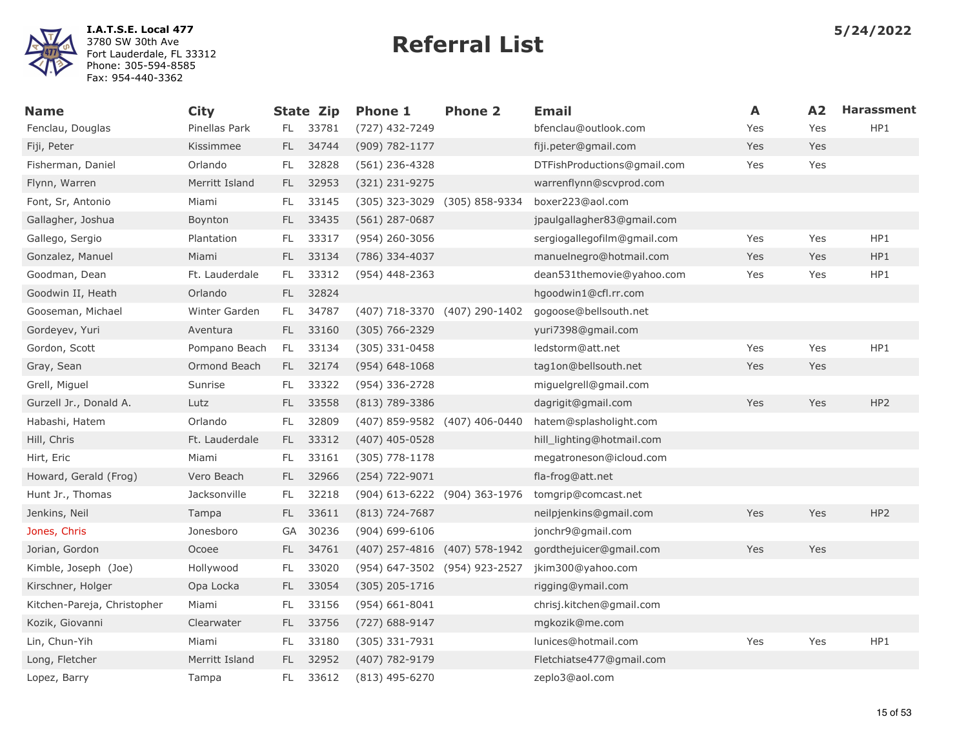

| <b>Name</b>                 | <b>City</b>    |           | <b>State Zip</b> | <b>Phone 1</b>                | <b>Phone 2</b>                | <b>Email</b>                | A   | A2  | <b>Harassment</b> |
|-----------------------------|----------------|-----------|------------------|-------------------------------|-------------------------------|-----------------------------|-----|-----|-------------------|
| Fenclau, Douglas            | Pinellas Park  | FL.       | 33781            | (727) 432-7249                |                               | bfenclau@outlook.com        | Yes | Yes | HP1               |
| Fiji, Peter                 | Kissimmee      | FL.       | 34744            | (909) 782-1177                |                               | fiji.peter@gmail.com        | Yes | Yes |                   |
| Fisherman, Daniel           | Orlando        | FL        | 32828            | $(561)$ 236-4328              |                               | DTFishProductions@gmail.com | Yes | Yes |                   |
| Flynn, Warren               | Merritt Island | FL.       | 32953            | (321) 231-9275                |                               | warrenflynn@scvprod.com     |     |     |                   |
| Font, Sr, Antonio           | Miami          | FL        | 33145            |                               | (305) 323-3029 (305) 858-9334 | boxer223@aol.com            |     |     |                   |
| Gallagher, Joshua           | Boynton        | FL.       | 33435            | $(561)$ 287-0687              |                               | jpaulgallagher83@gmail.com  |     |     |                   |
| Gallego, Sergio             | Plantation     | FL.       | 33317            | (954) 260-3056                |                               | sergiogallegofilm@gmail.com | Yes | Yes | HP1               |
| Gonzalez, Manuel            | Miami          | <b>FL</b> | 33134            | (786) 334-4037                |                               | manuelnegro@hotmail.com     | Yes | Yes | HP1               |
| Goodman, Dean               | Ft. Lauderdale | FL        | 33312            | $(954)$ 448-2363              |                               | dean531themovie@yahoo.com   | Yes | Yes | HP1               |
| Goodwin II, Heath           | Orlando        | FL.       | 32824            |                               |                               | hgoodwin1@cfl.rr.com        |     |     |                   |
| Gooseman, Michael           | Winter Garden  | FL        | 34787            | (407) 718-3370 (407) 290-1402 |                               | gogoose@bellsouth.net       |     |     |                   |
| Gordeyev, Yuri              | Aventura       | FL.       | 33160            | $(305) 766 - 2329$            |                               | yuri7398@gmail.com          |     |     |                   |
| Gordon, Scott               | Pompano Beach  | FL        | 33134            | $(305)$ 331-0458              |                               | ledstorm@att.net            | Yes | Yes | HP1               |
| Gray, Sean                  | Ormond Beach   | FL.       | 32174            | $(954) 648 - 1068$            |                               | tag1on@bellsouth.net        | Yes | Yes |                   |
| Grell, Miguel               | Sunrise        | FL        | 33322            | (954) 336-2728                |                               | miguelgrell@gmail.com       |     |     |                   |
| Gurzell Jr., Donald A.      | Lutz           | FL.       | 33558            | $(813) 789 - 3386$            |                               | dagrigit@gmail.com          | Yes | Yes | HP <sub>2</sub>   |
| Habashi, Hatem              | Orlando        | FL        | 32809            | (407) 859-9582 (407) 406-0440 |                               | hatem@splasholight.com      |     |     |                   |
| Hill, Chris                 | Ft. Lauderdale | FL.       | 33312            | $(407)$ 405-0528              |                               | hill_lighting@hotmail.com   |     |     |                   |
| Hirt, Eric                  | Miami          | FL        | 33161            | $(305)$ 778-1178              |                               | megatroneson@icloud.com     |     |     |                   |
| Howard, Gerald (Frog)       | Vero Beach     | FL.       | 32966            | (254) 722-9071                |                               | fla-frog@att.net            |     |     |                   |
| Hunt Jr., Thomas            | Jacksonville   | FL.       | 32218            |                               | (904) 613-6222 (904) 363-1976 | tomgrip@comcast.net         |     |     |                   |
| Jenkins, Neil               | Tampa          | FL.       | 33611            | $(813) 724 - 7687$            |                               | neilpjenkins@gmail.com      | Yes | Yes | HP <sub>2</sub>   |
| Jones, Chris                | Jonesboro      | GA        | 30236            | $(904) 699 - 6106$            |                               | jonchr9@gmail.com           |     |     |                   |
| Jorian, Gordon              | Ocoee          | FL.       | 34761            | (407) 257-4816 (407) 578-1942 |                               | gordthejuicer@gmail.com     | Yes | Yes |                   |
| Kimble, Joseph (Joe)        | Hollywood      | FL        | 33020            | (954) 647-3502 (954) 923-2527 |                               | jkim300@yahoo.com           |     |     |                   |
| Kirschner, Holger           | Opa Locka      | FL.       | 33054            | $(305)$ 205-1716              |                               | rigging@ymail.com           |     |     |                   |
| Kitchen-Pareja, Christopher | Miami          | FL        | 33156            | $(954) 661 - 8041$            |                               | chrisj.kitchen@gmail.com    |     |     |                   |
| Kozik, Giovanni             | Clearwater     | FL.       | 33756            | (727) 688-9147                |                               | mgkozik@me.com              |     |     |                   |
| Lin, Chun-Yih               | Miami          | FL        | 33180            | $(305)$ 331-7931              |                               | lunices@hotmail.com         | Yes | Yes | HP1               |
| Long, Fletcher              | Merritt Island | FL.       | 32952            | (407) 782-9179                |                               | Fletchiatse477@gmail.com    |     |     |                   |
| Lopez, Barry                | Tampa          | FL.       | 33612            | $(813)$ 495-6270              |                               | zeplo3@aol.com              |     |     |                   |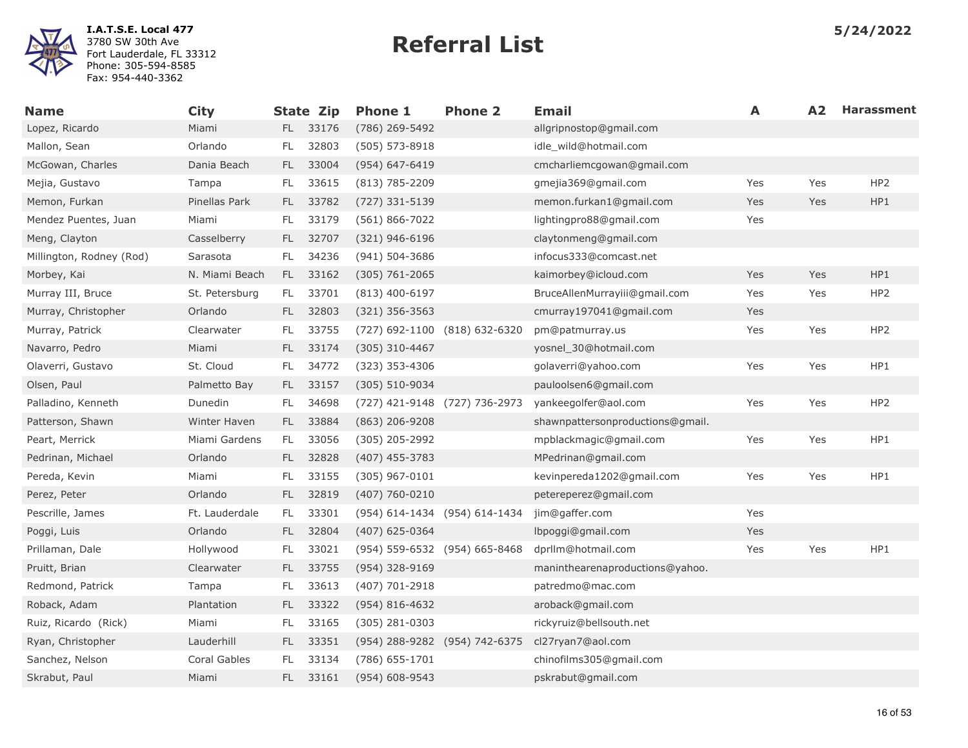

| <b>Name</b>              | <b>City</b>    |               | <b>State Zip</b> | <b>Phone 1</b>                | <b>Phone 2</b> | <b>Email</b>                     | A   | A2. | <b>Harassment</b> |
|--------------------------|----------------|---------------|------------------|-------------------------------|----------------|----------------------------------|-----|-----|-------------------|
| Lopez, Ricardo           | Miami          | FL.           | 33176            | (786) 269-5492                |                | allgripnostop@gmail.com          |     |     |                   |
| Mallon, Sean             | Orlando        | FL            | 32803            | $(505) 573 - 8918$            |                | idle wild@hotmail.com            |     |     |                   |
| McGowan, Charles         | Dania Beach    | FL.           | 33004            | $(954) 647 - 6419$            |                | cmcharliemcgowan@gmail.com       |     |     |                   |
| Mejia, Gustavo           | Tampa          | FL            | 33615            | $(813) 785 - 2209$            |                | gmejia369@gmail.com              | Yes | Yes | HP <sub>2</sub>   |
| Memon, Furkan            | Pinellas Park  | FL.           | 33782            | (727) 331-5139                |                | memon.furkan1@gmail.com          | Yes | Yes | HP1               |
| Mendez Puentes, Juan     | Miami          | FL            | 33179            | $(561) 866 - 7022$            |                | lightingpro88@gmail.com          | Yes |     |                   |
| Meng, Clayton            | Casselberry    | FL.           | 32707            | $(321)$ 946-6196              |                | claytonmeng@gmail.com            |     |     |                   |
| Millington, Rodney (Rod) | Sarasota       | FL.           | 34236            | $(941) 504 - 3686$            |                | infocus333@comcast.net           |     |     |                   |
| Morbey, Kai              | N. Miami Beach | FL.           | 33162            | $(305)$ 761-2065              |                | kaimorbey@icloud.com             | Yes | Yes | HP1               |
| Murray III, Bruce        | St. Petersburg | FL.           | 33701            | $(813)$ 400-6197              |                | BruceAllenMurrayiii@gmail.com    | Yes | Yes | HP2               |
| Murray, Christopher      | Orlando        | FL.           | 32803            | $(321)$ 356-3563              |                | cmurray197041@gmail.com          | Yes |     |                   |
| Murray, Patrick          | Clearwater     | FL.           | 33755            | (727) 692-1100 (818) 632-6320 |                | pm@patmurray.us                  | Yes | Yes | HP <sub>2</sub>   |
| Navarro, Pedro           | Miami          | FL.           | 33174            | (305) 310-4467                |                | yosnel 30@hotmail.com            |     |     |                   |
| Olaverri, Gustavo        | St. Cloud      | FL.           | 34772            | $(323)$ 353-4306              |                | golaverri@yahoo.com              | Yes | Yes | HP1               |
| Olsen, Paul              | Palmetto Bay   | FL.           | 33157            | $(305) 510 - 9034$            |                | pauloolsen6@gmail.com            |     |     |                   |
| Palladino, Kenneth       | Dunedin        | FL.           | 34698            | (727) 421-9148 (727) 736-2973 |                | yankeegolfer@aol.com             | Yes | Yes | HP <sub>2</sub>   |
| Patterson, Shawn         | Winter Haven   | FL.           | 33884            | $(863)$ 206-9208              |                | shawnpattersonproductions@gmail. |     |     |                   |
| Peart, Merrick           | Miami Gardens  | FL.           | 33056            | $(305)$ 205-2992              |                | mpblackmagic@gmail.com           | Yes | Yes | HP1               |
| Pedrinan, Michael        | Orlando        | FL.           | 32828            | $(407)$ 455-3783              |                | MPedrinan@gmail.com              |     |     |                   |
| Pereda, Kevin            | Miami          | FL            | 33155            | $(305)$ 967-0101              |                | kevinpereda1202@gmail.com        | Yes | Yes | HP1               |
| Perez, Peter             | Orlando        | FL.           | 32819            | $(407)$ 760-0210              |                | petereperez@gmail.com            |     |     |                   |
| Pescrille, James         | Ft. Lauderdale | FL            | 33301            | (954) 614-1434 (954) 614-1434 |                | jim@gaffer.com                   | Yes |     |                   |
| Poggi, Luis              | Orlando        | FL.           | 32804            | $(407)$ 625-0364              |                | lbpoggi@gmail.com                | Yes |     |                   |
| Prillaman, Dale          | Hollywood      | FL.           | 33021            | (954) 559-6532 (954) 665-8468 |                | dprllm@hotmail.com               | Yes | Yes | HP1               |
| Pruitt, Brian            | Clearwater     | $\mathsf{FL}$ | 33755            | (954) 328-9169                |                | maninthearenaproductions@yahoo.  |     |     |                   |
| Redmond, Patrick         | Tampa          | FL            | 33613            | (407) 701-2918                |                | patredmo@mac.com                 |     |     |                   |
| Roback, Adam             | Plantation     | FL.           | 33322            | $(954) 816 - 4632$            |                | aroback@gmail.com                |     |     |                   |
| Ruiz, Ricardo (Rick)     | Miami          | FL            | 33165            | $(305)$ 281-0303              |                | rickyruiz@bellsouth.net          |     |     |                   |
| Ryan, Christopher        | Lauderhill     | FL.           | 33351            | (954) 288-9282 (954) 742-6375 |                | cl27ryan7@aol.com                |     |     |                   |
| Sanchez, Nelson          | Coral Gables   | FL            | 33134            | $(786)$ 655-1701              |                | chinofilms305@gmail.com          |     |     |                   |
| Skrabut, Paul            | Miami          | FL.           | 33161            | $(954) 608 - 9543$            |                | pskrabut@gmail.com               |     |     |                   |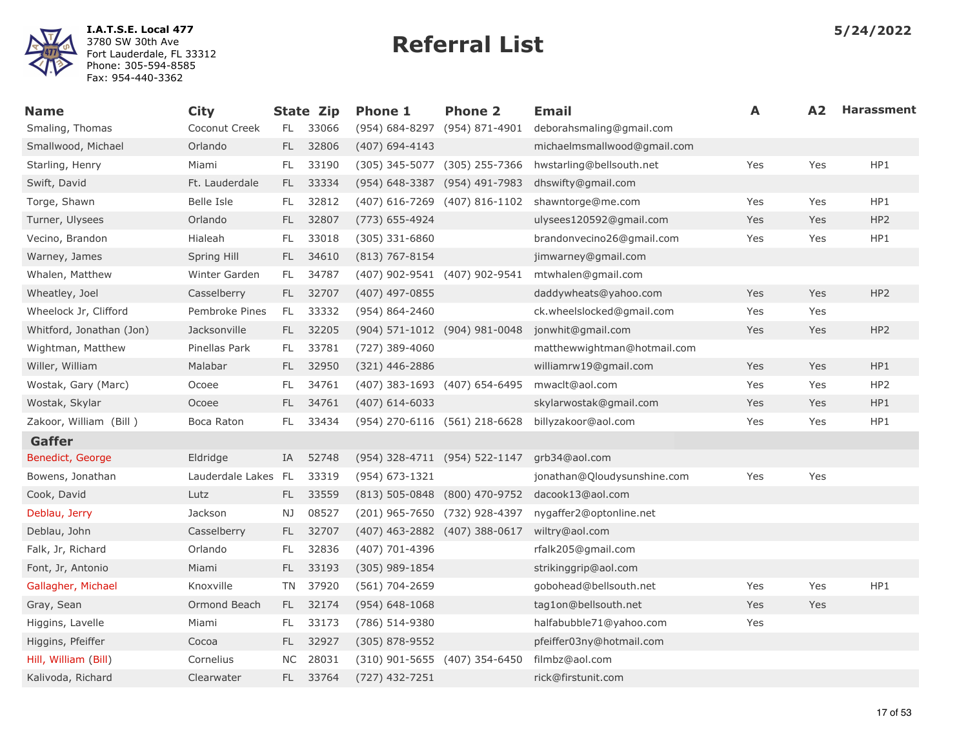

| <b>Name</b>              | <b>City</b>         |           | <b>State Zip</b> | <b>Phone 1</b>                | <b>Phone 2</b>                | <b>Email</b>                | A   | A <sub>2</sub> | <b>Harassment</b> |
|--------------------------|---------------------|-----------|------------------|-------------------------------|-------------------------------|-----------------------------|-----|----------------|-------------------|
| Smaling, Thomas          | Coconut Creek       | FL.       | 33066            | (954) 684-8297 (954) 871-4901 |                               | deborahsmaling@gmail.com    |     |                |                   |
| Smallwood, Michael       | Orlando             | FL.       | 32806            | $(407)$ 694-4143              |                               | michaelmsmallwood@gmail.com |     |                |                   |
| Starling, Henry          | Miami               | FL.       | 33190            | (305) 345-5077 (305) 255-7366 |                               | hwstarling@bellsouth.net    | Yes | Yes            | HP1               |
| Swift, David             | Ft. Lauderdale      | FL.       | 33334            | (954) 648-3387 (954) 491-7983 |                               | dhswifty@gmail.com          |     |                |                   |
| Torge, Shawn             | <b>Belle Isle</b>   | FL.       | 32812            | (407) 616-7269 (407) 816-1102 |                               | shawntorge@me.com           | Yes | Yes            | HP1               |
| Turner, Ulysees          | Orlando             | FL.       | 32807            | (773) 655-4924                |                               | ulysees120592@gmail.com     | Yes | Yes            | HP <sub>2</sub>   |
| Vecino, Brandon          | Hialeah             | FL        | 33018            | $(305)$ 331-6860              |                               | brandonvecino26@gmail.com   | Yes | Yes            | HP1               |
| Warney, James            | Spring Hill         | FL.       | 34610            | $(813) 767 - 8154$            |                               | jimwarney@gmail.com         |     |                |                   |
| Whalen, Matthew          | Winter Garden       | FL.       | 34787            | (407) 902-9541 (407) 902-9541 |                               | mtwhalen@gmail.com          |     |                |                   |
| Wheatley, Joel           | Casselberry         | FL.       | 32707            | (407) 497-0855                |                               | daddywheats@yahoo.com       | Yes | Yes            | HP <sub>2</sub>   |
| Wheelock Jr, Clifford    | Pembroke Pines      | FL.       | 33332            | (954) 864-2460                |                               | ck.wheelslocked@gmail.com   | Yes | Yes            |                   |
| Whitford, Jonathan (Jon) | Jacksonville        | FL.       | 32205            | (904) 571-1012 (904) 981-0048 |                               | jonwhit@gmail.com           | Yes | Yes            | HP <sub>2</sub>   |
| Wightman, Matthew        | Pinellas Park       | FL.       | 33781            | $(727)$ 389-4060              |                               | matthewwightman@hotmail.com |     |                |                   |
| Willer, William          | Malabar             | FL.       | 32950            | (321) 446-2886                |                               | williamrw19@gmail.com       | Yes | Yes            | HP1               |
| Wostak, Gary (Marc)      | Ocoee               | FL        | 34761            | (407) 383-1693 (407) 654-6495 |                               | mwaclt@aol.com              | Yes | Yes            | HP <sub>2</sub>   |
| Wostak, Skylar           | Ocoee               | FL.       | 34761            | $(407)$ 614-6033              |                               | skylarwostak@gmail.com      | Yes | Yes            | HP1               |
| Zakoor, William (Bill)   | Boca Raton          | FL.       | 33434            | (954) 270-6116 (561) 218-6628 |                               | billyzakoor@aol.com         | Yes | Yes            | HP1               |
| Gaffer                   |                     |           |                  |                               |                               |                             |     |                |                   |
| Benedict, George         | Eldridge            | IA        | 52748            | (954) 328-4711 (954) 522-1147 |                               | grb34@aol.com               |     |                |                   |
| Bowens, Jonathan         | Lauderdale Lakes FL |           | 33319            | (954) 673-1321                |                               | jonathan@Qloudysunshine.com | Yes | Yes            |                   |
| Cook, David              | Lutz                | FL.       | 33559            | (813) 505-0848 (800) 470-9752 |                               | dacook13@aol.com            |     |                |                   |
| Deblau, Jerry            | Jackson             | NJ        | 08527            |                               | (201) 965-7650 (732) 928-4397 | nygaffer2@optonline.net     |     |                |                   |
| Deblau, John             | Casselberry         | FL.       | 32707            | (407) 463-2882 (407) 388-0617 |                               | wiltry@aol.com              |     |                |                   |
| Falk, Jr, Richard        | Orlando             | FL.       | 32836            | (407) 701-4396                |                               | rfalk205@gmail.com          |     |                |                   |
| Font, Jr, Antonio        | Miami               | FL.       | 33193            | $(305)$ 989-1854              |                               | strikinggrip@aol.com        |     |                |                   |
| Gallagher, Michael       | Knoxville           | <b>TN</b> | 37920            | (561) 704-2659                |                               | gobohead@bellsouth.net      | Yes | Yes            | HP1               |
| Gray, Sean               | Ormond Beach        | FL.       | 32174            | $(954) 648 - 1068$            |                               | tag1on@bellsouth.net        | Yes | Yes            |                   |
| Higgins, Lavelle         | Miami               | FL.       | 33173            | (786) 514-9380                |                               | halfabubble71@yahoo.com     | Yes |                |                   |
| Higgins, Pfeiffer        | Cocoa               | FL.       | 32927            | $(305)$ 878-9552              |                               | pfeiffer03ny@hotmail.com    |     |                |                   |
| Hill, William (Bill)     | Cornelius           | NC.       | 28031            | (310) 901-5655 (407) 354-6450 |                               | filmbz@aol.com              |     |                |                   |
| Kalivoda, Richard        | Clearwater          | FL.       | 33764            | $(727)$ 432-7251              |                               | rick@firstunit.com          |     |                |                   |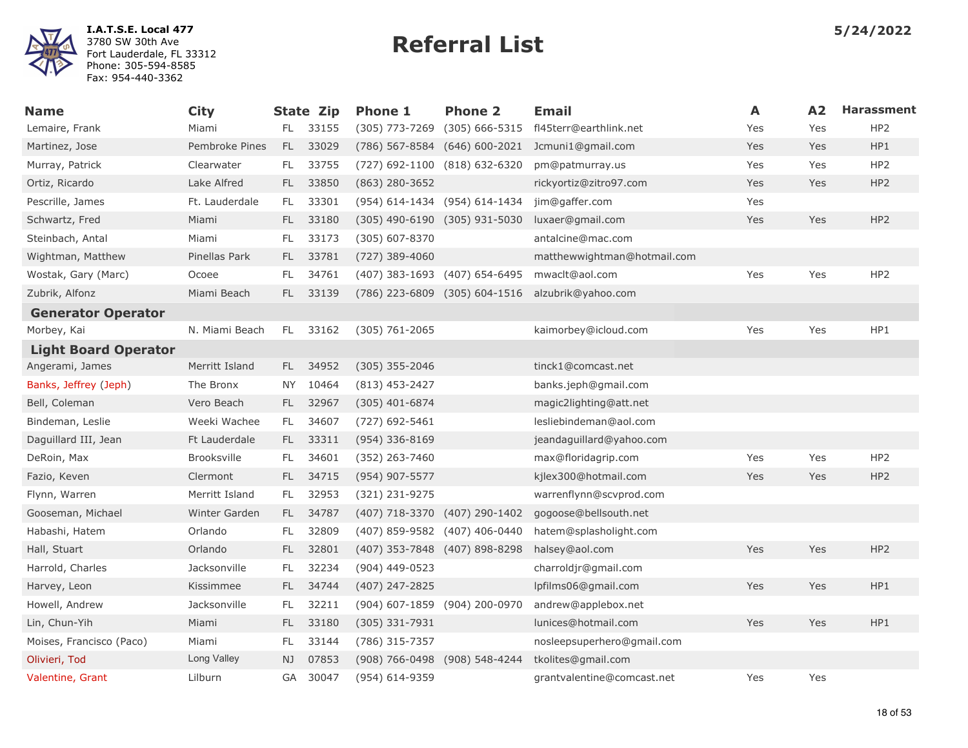

| Name                        | <b>City</b>        |      | <b>State Zip</b> | <b>Phone 1</b>                | <b>Phone 2</b>                | <b>Email</b>                | A   | A2  | <b>Harassment</b> |
|-----------------------------|--------------------|------|------------------|-------------------------------|-------------------------------|-----------------------------|-----|-----|-------------------|
| Lemaire, Frank              | Miami              | FL.  | 33155            | (305) 773-7269                | (305) 666-5315                | fl45terr@earthlink.net      | Yes | Yes | HP <sub>2</sub>   |
| Martinez, Jose              | Pembroke Pines     | FL.  | 33029            | (786) 567-8584                | (646) 600-2021                | Jcmuni1@gmail.com           | Yes | Yes | HP1               |
| Murray, Patrick             | Clearwater         | FL.  | 33755            | (727) 692-1100 (818) 632-6320 |                               | pm@patmurray.us             | Yes | Yes | HP <sub>2</sub>   |
| Ortiz, Ricardo              | Lake Alfred        | FL.  | 33850            | $(863)$ 280-3652              |                               | rickyortiz@zitro97.com      | Yes | Yes | HP <sub>2</sub>   |
| Pescrille, James            | Ft. Lauderdale     | FL.  | 33301            | (954) 614-1434 (954) 614-1434 |                               | jim@gaffer.com              | Yes |     |                   |
| Schwartz, Fred              | Miami              | FL - | 33180            | (305) 490-6190 (305) 931-5030 |                               | luxaer@gmail.com            | Yes | Yes | HP <sub>2</sub>   |
| Steinbach, Antal            | Miami              | FL.  | 33173            | $(305)$ 607-8370              |                               | antalcine@mac.com           |     |     |                   |
| Wightman, Matthew           | Pinellas Park      | FL.  | 33781            | (727) 389-4060                |                               | matthewwightman@hotmail.com |     |     |                   |
| Wostak, Gary (Marc)         | Ocoee              | FL   | 34761            | (407) 383-1693 (407) 654-6495 |                               | mwaclt@aol.com              | Yes | Yes | HP <sub>2</sub>   |
| Zubrik, Alfonz              | Miami Beach        | FL.  | 33139            |                               | (786) 223-6809 (305) 604-1516 | alzubrik@yahoo.com          |     |     |                   |
| <b>Generator Operator</b>   |                    |      |                  |                               |                               |                             |     |     |                   |
| Morbey, Kai                 | N. Miami Beach     | FL.  | 33162            | (305) 761-2065                |                               | kaimorbey@icloud.com        | Yes | Yes | HP1               |
| <b>Light Board Operator</b> |                    |      |                  |                               |                               |                             |     |     |                   |
| Angerami, James             | Merritt Island     | FL.  | 34952            | $(305)$ 355-2046              |                               | tinck1@comcast.net          |     |     |                   |
| Banks, Jeffrey (Jeph)       | The Bronx          | NY   | 10464            | $(813)$ 453-2427              |                               | banks.jeph@gmail.com        |     |     |                   |
| Bell, Coleman               | Vero Beach         | FL.  | 32967            | $(305)$ 401-6874              |                               | magic2lighting@att.net      |     |     |                   |
| Bindeman, Leslie            | Weeki Wachee       | FL.  | 34607            | (727) 692-5461                |                               | lesliebindeman@aol.com      |     |     |                   |
| Daguillard III, Jean        | Ft Lauderdale      | FL.  | 33311            | (954) 336-8169                |                               | jeandaguillard@yahoo.com    |     |     |                   |
| DeRoin, Max                 | <b>Brooksville</b> | FL   | 34601            | (352) 263-7460                |                               | max@floridagrip.com         | Yes | Yes | HP <sub>2</sub>   |
| Fazio, Keven                | Clermont           | FL.  | 34715            | (954) 907-5577                |                               | kjlex300@hotmail.com        | Yes | Yes | HP <sub>2</sub>   |
| Flynn, Warren               | Merritt Island     | FL.  | 32953            | (321) 231-9275                |                               | warrenflynn@scvprod.com     |     |     |                   |
| Gooseman, Michael           | Winter Garden      | FL.  | 34787            | (407) 718-3370 (407) 290-1402 |                               | gogoose@bellsouth.net       |     |     |                   |
| Habashi, Hatem              | Orlando            | FL.  | 32809            | (407) 859-9582 (407) 406-0440 |                               | hatem@splasholight.com      |     |     |                   |
| Hall, Stuart                | Orlando            | FL.  | 32801            | (407) 353-7848 (407) 898-8298 |                               | halsey@aol.com              | Yes | Yes | HP <sub>2</sub>   |
| Harrold, Charles            | Jacksonville       | FL   | 32234            | (904) 449-0523                |                               | charroldjr@gmail.com        |     |     |                   |
| Harvey, Leon                | Kissimmee          | FL.  | 34744            | (407) 247-2825                |                               | lpfilms06@gmail.com         | Yes | Yes | HP1               |
| Howell, Andrew              | Jacksonville       | FL.  | 32211            | (904) 607-1859 (904) 200-0970 |                               | andrew@applebox.net         |     |     |                   |
| Lin, Chun-Yih               | Miami              | FL.  | 33180            | $(305)$ 331-7931              |                               | lunices@hotmail.com         | Yes | Yes | HP1               |
| Moises, Francisco (Paco)    | Miami              | FL.  | 33144            | (786) 315-7357                |                               | nosleepsuperhero@gmail.com  |     |     |                   |
| Olivieri, Tod               | Long Valley        | NJ   | 07853            | (908) 766-0498 (908) 548-4244 |                               | tkolites@gmail.com          |     |     |                   |
| Valentine, Grant            | Lilburn            | GA   | 30047            | (954) 614-9359                |                               | grantvalentine@comcast.net  | Yes | Yes |                   |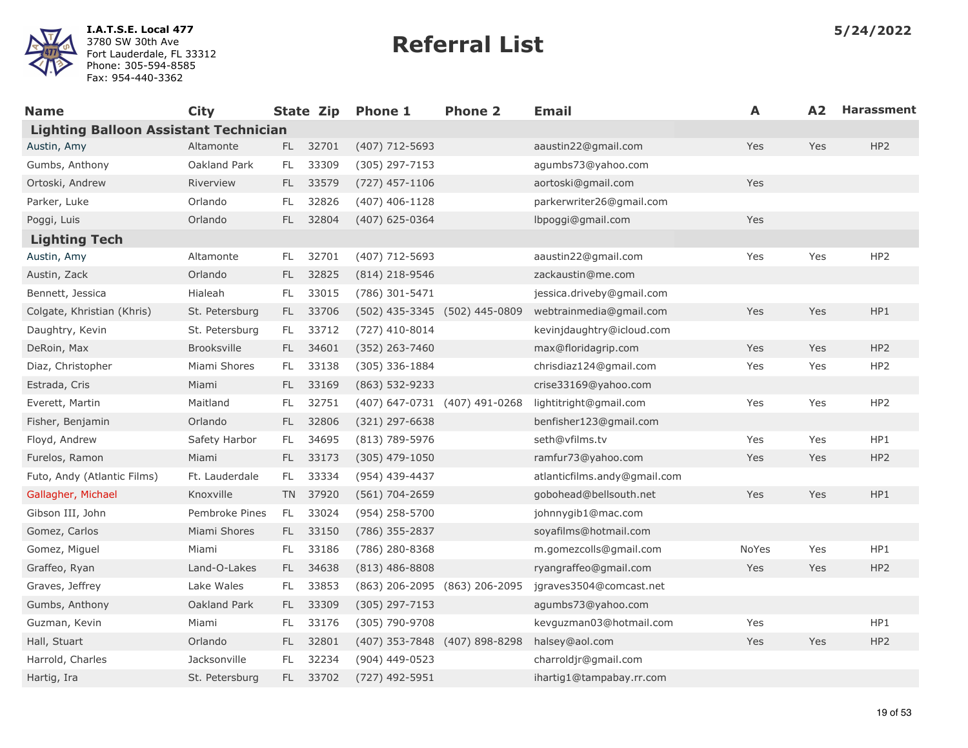

| <b>Name</b>                                  | <b>City</b>        |      |          | State Zip Phone 1             | <b>Phone 2</b> | <b>Email</b>                 | A     | A2  | <b>Harassment</b> |
|----------------------------------------------|--------------------|------|----------|-------------------------------|----------------|------------------------------|-------|-----|-------------------|
| <b>Lighting Balloon Assistant Technician</b> |                    |      |          |                               |                |                              |       |     |                   |
| Austin, Amy                                  | Altamonte          | FL - | 32701    | (407) 712-5693                |                | aaustin22@gmail.com          | Yes   | Yes | HP <sub>2</sub>   |
| Gumbs, Anthony                               | Oakland Park       | FL.  | 33309    | (305) 297-7153                |                | agumbs73@yahoo.com           |       |     |                   |
| Ortoski, Andrew                              | Riverview          | FL.  | 33579    | $(727)$ 457-1106              |                | aortoski@gmail.com           | Yes   |     |                   |
| Parker, Luke                                 | Orlando            | FL.  | 32826    | $(407)$ 406-1128              |                | parkerwriter26@gmail.com     |       |     |                   |
| Poggi, Luis                                  | Orlando            | FL.  | 32804    | $(407)$ 625-0364              |                | lbpoggi@gmail.com            | Yes   |     |                   |
| <b>Lighting Tech</b>                         |                    |      |          |                               |                |                              |       |     |                   |
| Austin, Amy                                  | Altamonte          | FL.  | 32701    | (407) 712-5693                |                | aaustin22@gmail.com          | Yes   | Yes | HP <sub>2</sub>   |
| Austin, Zack                                 | Orlando            | FL.  | 32825    | $(814)$ 218-9546              |                | zackaustin@me.com            |       |     |                   |
| Bennett, Jessica                             | Hialeah            | FL.  | 33015    | (786) 301-5471                |                | jessica.driveby@gmail.com    |       |     |                   |
| Colgate, Khristian (Khris)                   | St. Petersburg     | FL.  | 33706    | (502) 435-3345 (502) 445-0809 |                | webtrainmedia@gmail.com      | Yes   | Yes | HP1               |
| Daughtry, Kevin                              | St. Petersburg     | FL.  | 33712    | $(727)$ 410-8014              |                | kevinjdaughtry@icloud.com    |       |     |                   |
| DeRoin, Max                                  | <b>Brooksville</b> | FL - | 34601    | (352) 263-7460                |                | max@floridagrip.com          | Yes   | Yes | HP <sub>2</sub>   |
| Diaz, Christopher                            | Miami Shores       | FL.  | 33138    | (305) 336-1884                |                | chrisdiaz124@gmail.com       | Yes   | Yes | HP <sub>2</sub>   |
| Estrada, Cris                                | Miami              | FL.  | 33169    | (863) 532-9233                |                | crise33169@yahoo.com         |       |     |                   |
| Everett, Martin                              | Maitland           | FL.  | 32751    | (407) 647-0731 (407) 491-0268 |                | lightitright@gmail.com       | Yes   | Yes | HP <sub>2</sub>   |
| Fisher, Benjamin                             | Orlando            | FL.  | 32806    | $(321)$ 297-6638              |                | benfisher123@gmail.com       |       |     |                   |
| Floyd, Andrew                                | Safety Harbor      | FL.  | 34695    | (813) 789-5976                |                | seth@vfilms.tv               | Yes   | Yes | HP1               |
| Furelos, Ramon                               | Miami              | FL.  | 33173    | $(305)$ 479-1050              |                | ramfur73@yahoo.com           | Yes   | Yes | HP <sub>2</sub>   |
| Futo, Andy (Atlantic Films)                  | Ft. Lauderdale     | FL.  | 33334    | (954) 439-4437                |                | atlanticfilms.andy@gmail.com |       |     |                   |
| Gallagher, Michael                           | Knoxville          |      | TN 37920 | (561) 704-2659                |                | gobohead@bellsouth.net       | Yes   | Yes | HP1               |
| Gibson III, John                             | Pembroke Pines     | FL.  | 33024    | (954) 258-5700                |                | johnnygib1@mac.com           |       |     |                   |
| Gomez, Carlos                                | Miami Shores       | FL.  | 33150    | (786) 355-2837                |                | soyafilms@hotmail.com        |       |     |                   |
| Gomez, Miguel                                | Miami              | FL.  | 33186    | (786) 280-8368                |                | m.gomezcolls@gmail.com       | NoYes | Yes | HP1               |
| Graffeo, Ryan                                | Land-O-Lakes       | FL.  | 34638    | $(813)$ 486-8808              |                | ryangraffeo@gmail.com        | Yes   | Yes | HP <sub>2</sub>   |
| Graves, Jeffrey                              | Lake Wales         | FL.  | 33853    | (863) 206-2095 (863) 206-2095 |                | jgraves3504@comcast.net      |       |     |                   |
| Gumbs, Anthony                               | Oakland Park       | FL.  | 33309    | (305) 297-7153                |                | agumbs73@yahoo.com           |       |     |                   |
| Guzman, Kevin                                | Miami              | FL.  | 33176    | (305) 790-9708                |                | kevguzman03@hotmail.com      | Yes   |     | HP1               |
| Hall, Stuart                                 | Orlando            | FL.  | 32801    | (407) 353-7848 (407) 898-8298 |                | halsey@aol.com               | Yes   | Yes | HP <sub>2</sub>   |
| Harrold, Charles                             | Jacksonville       | FL.  | 32234    | (904) 449-0523                |                | charroldjr@gmail.com         |       |     |                   |
| Hartig, Ira                                  | St. Petersburg     | FL.  | 33702    | (727) 492-5951                |                | ihartig1@tampabay.rr.com     |       |     |                   |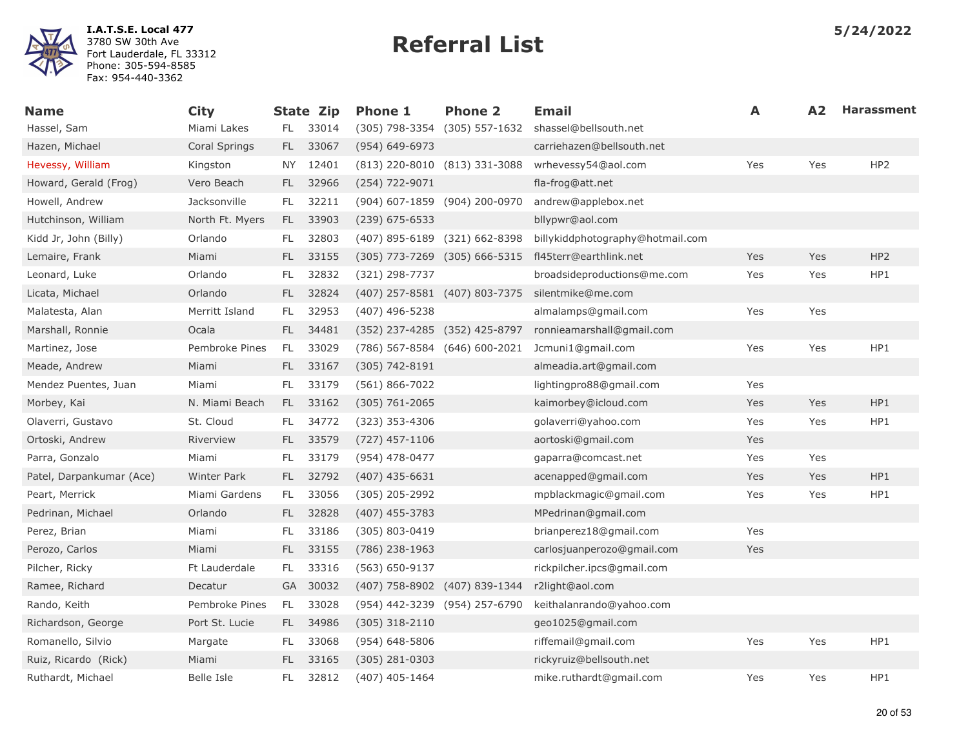

| <b>Name</b>              | <b>City</b>     |      | <b>State Zip</b> | <b>Phone 1</b>                | <b>Phone 2</b>                    | Email                            | A   | A <sub>2</sub> | <b>Harassment</b> |
|--------------------------|-----------------|------|------------------|-------------------------------|-----------------------------------|----------------------------------|-----|----------------|-------------------|
| Hassel, Sam              | Miami Lakes     | FL.  | 33014            |                               | (305) 798-3354 (305) 557-1632     | shassel@bellsouth.net            |     |                |                   |
| Hazen, Michael           | Coral Springs   | FL.  | 33067            | $(954) 649 - 6973$            |                                   | carriehazen@bellsouth.net        |     |                |                   |
| Hevessy, William         | Kingston        | NY . | 12401            |                               | (813) 220-8010 (813) 331-3088     | wrhevessy54@aol.com              | Yes | Yes            | HP <sub>2</sub>   |
| Howard, Gerald (Frog)    | Vero Beach      | FL.  | 32966            | (254) 722-9071                |                                   | fla-frog@att.net                 |     |                |                   |
| Howell, Andrew           | Jacksonville    | FL.  | 32211            | (904) 607-1859 (904) 200-0970 |                                   | andrew@applebox.net              |     |                |                   |
| Hutchinson, William      | North Ft. Myers | FL.  | 33903            | $(239)$ 675-6533              |                                   | bllypwr@aol.com                  |     |                |                   |
| Kidd Jr, John (Billy)    | Orlando         | FL.  | 32803            |                               | (407) 895-6189 (321) 662-8398     | billykiddphotography@hotmail.com |     |                |                   |
| Lemaire, Frank           | Miami           | FL.  | 33155            |                               | $(305)$ 773-7269 $(305)$ 666-5315 | fl45terr@earthlink.net           | Yes | Yes            | HP <sub>2</sub>   |
| Leonard, Luke            | Orlando         | FL.  | 32832            | (321) 298-7737                |                                   | broadsideproductions@me.com      | Yes | Yes            | HP1               |
| Licata, Michael          | Orlando         | FL   | 32824            | (407) 257-8581 (407) 803-7375 |                                   | silentmike@me.com                |     |                |                   |
| Malatesta, Alan          | Merritt Island  | FL.  | 32953            | (407) 496-5238                |                                   | almalamps@gmail.com              | Yes | Yes            |                   |
| Marshall, Ronnie         | Ocala           | FL.  | 34481            |                               | (352) 237-4285 (352) 425-8797     | ronnieamarshall@gmail.com        |     |                |                   |
| Martinez, Jose           | Pembroke Pines  | FL.  | 33029            | (786) 567-8584 (646) 600-2021 |                                   | Jcmuni1@gmail.com                | Yes | Yes            | HP1               |
| Meade, Andrew            | Miami           | FL.  | 33167            | $(305) 742 - 8191$            |                                   | almeadia.art@gmail.com           |     |                |                   |
| Mendez Puentes, Juan     | Miami           | FL.  | 33179            | $(561) 866 - 7022$            |                                   | lightingpro88@gmail.com          | Yes |                |                   |
| Morbey, Kai              | N. Miami Beach  | FL.  | 33162            | $(305) 761 - 2065$            |                                   | kaimorbey@icloud.com             | Yes | Yes            | HP1               |
| Olaverri, Gustavo        | St. Cloud       | FL.  | 34772            | $(323)$ 353-4306              |                                   | golaverri@yahoo.com              | Yes | Yes            | HP1               |
| Ortoski, Andrew          | Riverview       | FL.  | 33579            | $(727)$ 457-1106              |                                   | aortoski@gmail.com               | Yes |                |                   |
| Parra, Gonzalo           | Miami           | FL.  | 33179            | (954) 478-0477                |                                   | gaparra@comcast.net              | Yes | Yes            |                   |
| Patel, Darpankumar (Ace) | Winter Park     | FL.  | 32792            | $(407)$ 435-6631              |                                   | acenapped@gmail.com              | Yes | Yes            | HP1               |
| Peart, Merrick           | Miami Gardens   | FL.  | 33056            | (305) 205-2992                |                                   | mpblackmagic@gmail.com           | Yes | Yes            | HP1               |
| Pedrinan, Michael        | Orlando         | FL.  | 32828            | $(407)$ 455-3783              |                                   | MPedrinan@gmail.com              |     |                |                   |
| Perez, Brian             | Miami           | FL.  | 33186            | (305) 803-0419                |                                   | brianperez18@gmail.com           | Yes |                |                   |
| Perozo, Carlos           | Miami           | FL.  | 33155            | (786) 238-1963                |                                   | carlosjuanperozo@gmail.com       | Yes |                |                   |
| Pilcher, Ricky           | Ft Lauderdale   | FL.  | 33316            | $(563) 650 - 9137$            |                                   | rickpilcher.ipcs@gmail.com       |     |                |                   |
| Ramee, Richard           | Decatur         |      | GA 30032         |                               | (407) 758-8902 (407) 839-1344     | r2light@aol.com                  |     |                |                   |
| Rando, Keith             | Pembroke Pines  | FL.  | 33028            |                               | (954) 442-3239 (954) 257-6790     | keithalanrando@yahoo.com         |     |                |                   |
| Richardson, George       | Port St. Lucie  | FL.  | 34986            | $(305)$ 318-2110              |                                   | geo1025@gmail.com                |     |                |                   |
| Romanello, Silvio        | Margate         | FL.  | 33068            | $(954) 648 - 5806$            |                                   | riffemail@gmail.com              | Yes | Yes            | HP1               |
| Ruiz, Ricardo (Rick)     | Miami           | FL.  | 33165            | $(305)$ 281-0303              |                                   | rickyruiz@bellsouth.net          |     |                |                   |
| Ruthardt, Michael        | Belle Isle      | FL   | 32812            | $(407)$ 405-1464              |                                   | mike.ruthardt@gmail.com          | Yes | Yes            | HP1               |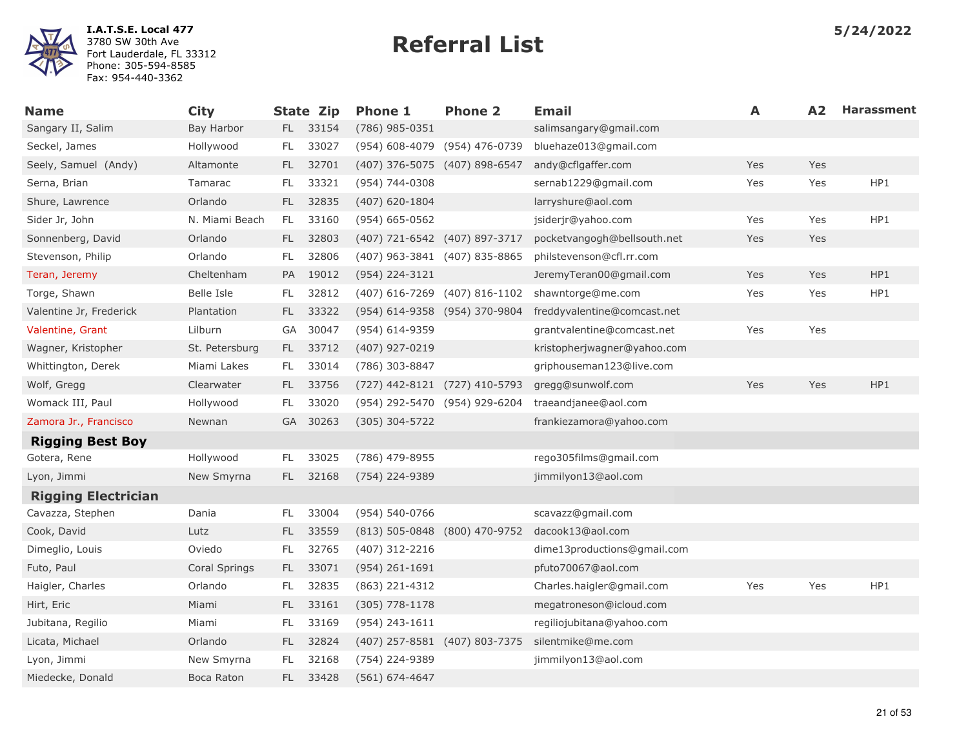

| <b>Name</b>                | <b>City</b>    |           | <b>State Zip</b> | <b>Phone 1</b>                | <b>Phone 2</b> | <b>Email</b>                | A   | A2  | <b>Harassment</b> |
|----------------------------|----------------|-----------|------------------|-------------------------------|----------------|-----------------------------|-----|-----|-------------------|
| Sangary II, Salim          | Bay Harbor     |           | FL 33154         | (786) 985-0351                |                | salimsangary@gmail.com      |     |     |                   |
| Seckel, James              | Hollywood      | FL        | 33027            | (954) 608-4079 (954) 476-0739 |                | bluehaze013@gmail.com       |     |     |                   |
| Seely, Samuel (Andy)       | Altamonte      | FL.       | 32701            | (407) 376-5075 (407) 898-6547 |                | andy@cflgaffer.com          | Yes | Yes |                   |
| Serna, Brian               | Tamarac        | FL        | 33321            | (954) 744-0308                |                | sernab1229@gmail.com        | Yes | Yes | HP1               |
| Shure, Lawrence            | Orlando        | FL.       | 32835            | (407) 620-1804                |                | larryshure@aol.com          |     |     |                   |
| Sider Jr, John             | N. Miami Beach | FL        | 33160            | $(954) 665 - 0562$            |                | jsiderjr@yahoo.com          | Yes | Yes | HP1               |
| Sonnenberg, David          | Orlando        | FL.       | 32803            | (407) 721-6542 (407) 897-3717 |                | pocketvangogh@bellsouth.net | Yes | Yes |                   |
| Stevenson, Philip          | Orlando        | FL        | 32806            | (407) 963-3841 (407) 835-8865 |                | philstevenson@cfl.rr.com    |     |     |                   |
| Teran, Jeremy              | Cheltenham     | PA        | 19012            | (954) 224-3121                |                | JeremyTeran00@gmail.com     | Yes | Yes | HP1               |
| Torge, Shawn               | Belle Isle     | FL        | 32812            | (407) 616-7269 (407) 816-1102 |                | shawntorge@me.com           | Yes | Yes | HP1               |
| Valentine Jr, Frederick    | Plantation     | FL.       | 33322            | (954) 614-9358 (954) 370-9804 |                | freddyvalentine@comcast.net |     |     |                   |
| Valentine, Grant           | Lilburn        | GA        | 30047            | (954) 614-9359                |                | grantvalentine@comcast.net  | Yes | Yes |                   |
| Wagner, Kristopher         | St. Petersburg | FL.       | 33712            | (407) 927-0219                |                | kristopherjwagner@yahoo.com |     |     |                   |
| Whittington, Derek         | Miami Lakes    | FL.       | 33014            | (786) 303-8847                |                | griphouseman123@live.com    |     |     |                   |
| Wolf, Gregg                | Clearwater     | FL.       | 33756            | (727) 442-8121 (727) 410-5793 |                | gregg@sunwolf.com           | Yes | Yes | HP1               |
| Womack III, Paul           | Hollywood      | FL        | 33020            | (954) 292-5470 (954) 929-6204 |                | traeandjanee@aol.com        |     |     |                   |
| Zamora Jr., Francisco      | Newnan         | <b>GA</b> | 30263            | $(305)$ 304-5722              |                | frankiezamora@yahoo.com     |     |     |                   |
| <b>Rigging Best Boy</b>    |                |           |                  |                               |                |                             |     |     |                   |
| Gotera, Rene               | Hollywood      | FL        | 33025            | (786) 479-8955                |                | rego305films@gmail.com      |     |     |                   |
| Lyon, Jimmi                | New Smyrna     | FL.       | 32168            | (754) 224-9389                |                | jimmilyon13@aol.com         |     |     |                   |
| <b>Rigging Electrician</b> |                |           |                  |                               |                |                             |     |     |                   |
| Cavazza, Stephen           | Dania          | FL.       | 33004            | (954) 540-0766                |                | scavazz@gmail.com           |     |     |                   |
| Cook, David                | Lutz           | FL.       | 33559            | (813) 505-0848 (800) 470-9752 |                | dacook13@aol.com            |     |     |                   |
| Dimeglio, Louis            | Oviedo         | FL        | 32765            | $(407)$ 312-2216              |                | dime13productions@gmail.com |     |     |                   |
| Futo, Paul                 | Coral Springs  | FL.       | 33071            | $(954)$ 261-1691              |                | pfuto70067@aol.com          |     |     |                   |
| Haigler, Charles           | Orlando        | FL        | 32835            | (863) 221-4312                |                | Charles.haigler@gmail.com   | Yes | Yes | HP1               |
| Hirt, Eric                 | Miami          | FL.       | 33161            | $(305)$ 778-1178              |                | megatroneson@icloud.com     |     |     |                   |
| Jubitana, Regilio          | Miami          | FL        | 33169            | (954) 243-1611                |                | regiliojubitana@yahoo.com   |     |     |                   |
| Licata, Michael            | Orlando        | FL.       | 32824            | (407) 257-8581 (407) 803-7375 |                | silentmike@me.com           |     |     |                   |
| Lyon, Jimmi                | New Smyrna     | FL        | 32168            | (754) 224-9389                |                | jimmilyon13@aol.com         |     |     |                   |
| Miedecke, Donald           | Boca Raton     | FL.       | 33428            | $(561) 674 - 4647$            |                |                             |     |     |                   |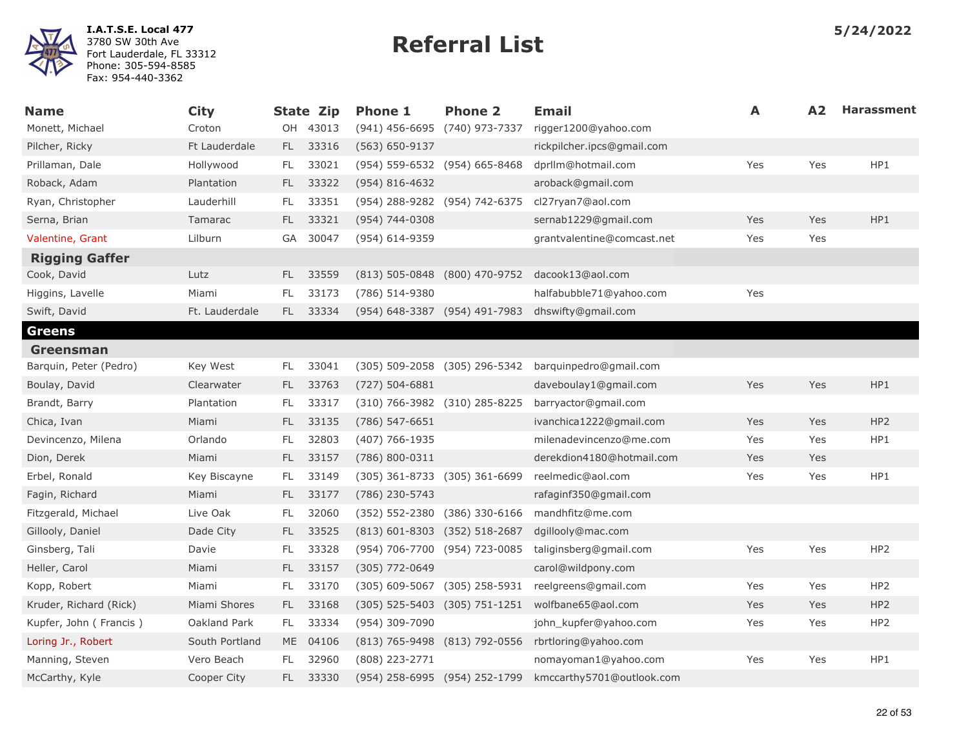

| <b>Name</b>            | <b>City</b>    |     | <b>State Zip</b> | <b>Phone 1</b>                | <b>Phone 2</b>                | <b>Email</b>               | A   | A <sub>2</sub> | <b>Harassment</b> |
|------------------------|----------------|-----|------------------|-------------------------------|-------------------------------|----------------------------|-----|----------------|-------------------|
| Monett, Michael        | Croton         |     | OH 43013         | (941) 456-6695 (740) 973-7337 |                               | rigger1200@yahoo.com       |     |                |                   |
| Pilcher, Ricky         | Ft Lauderdale  |     | FL 33316         | (563) 650-9137                |                               | rickpilcher.ipcs@gmail.com |     |                |                   |
| Prillaman, Dale        | Hollywood      | FL. | 33021            | (954) 559-6532 (954) 665-8468 |                               | dprllm@hotmail.com         | Yes | Yes            | HP1               |
| Roback, Adam           | Plantation     | FL. | 33322            | $(954) 816 - 4632$            |                               | aroback@gmail.com          |     |                |                   |
| Ryan, Christopher      | Lauderhill     | FL. | 33351            |                               | (954) 288-9282 (954) 742-6375 | cl27ryan7@aol.com          |     |                |                   |
| Serna, Brian           | Tamarac        | FL. | 33321            | (954) 744-0308                |                               | sernab1229@gmail.com       | Yes | Yes            | HP1               |
| Valentine, Grant       | Lilburn        | GA  | 30047            | (954) 614-9359                |                               | grantvalentine@comcast.net | Yes | Yes            |                   |
| <b>Rigging Gaffer</b>  |                |     |                  |                               |                               |                            |     |                |                   |
| Cook, David            | Lutz           |     | FL 33559         |                               | (813) 505-0848 (800) 470-9752 | dacook13@aol.com           |     |                |                   |
| Higgins, Lavelle       | Miami          | FL. | 33173            | (786) 514-9380                |                               | halfabubble71@yahoo.com    | Yes |                |                   |
| Swift, David           | Ft. Lauderdale |     | FL 33334         |                               | (954) 648-3387 (954) 491-7983 | dhswifty@gmail.com         |     |                |                   |
| <b>Greens</b>          |                |     |                  |                               |                               |                            |     |                |                   |
| <b>Greensman</b>       |                |     |                  |                               |                               |                            |     |                |                   |
| Barquin, Peter (Pedro) | Key West       | FL. | 33041            |                               | (305) 509-2058 (305) 296-5342 | barguinpedro@gmail.com     |     |                |                   |
| Boulay, David          | Clearwater     | FL. | 33763            | $(727) 504 - 6881$            |                               | daveboulay1@gmail.com      | Yes | Yes            | HP1               |
| Brandt, Barry          | Plantation     | FL. | 33317            |                               | (310) 766-3982 (310) 285-8225 | barryactor@gmail.com       |     |                |                   |
| Chica, Ivan            | Miami          | FL. | 33135            | $(786) 547 - 6651$            |                               | ivanchica1222@gmail.com    | Yes | Yes            | HP <sub>2</sub>   |
| Devincenzo, Milena     | Orlando        | FL. | 32803            | (407) 766-1935                |                               | milenadevincenzo@me.com    | Yes | Yes            | HP1               |
| Dion, Derek            | Miami          | FL. | 33157            | $(786) 800 - 0311$            |                               | derekdion4180@hotmail.com  | Yes | Yes            |                   |
| Erbel, Ronald          | Key Biscayne   | FL. | 33149            |                               | (305) 361-8733 (305) 361-6699 | reelmedic@aol.com          | Yes | Yes            | HP1               |
| Fagin, Richard         | Miami          | FL. | 33177            | (786) 230-5743                |                               | rafaginf350@gmail.com      |     |                |                   |
| Fitzgerald, Michael    | Live Oak       | FL  | 32060            | (352) 552-2380                | (386) 330-6166                | mandhfitz@me.com           |     |                |                   |
| Gillooly, Daniel       | Dade City      | FL. | 33525            | (813) 601-8303 (352) 518-2687 |                               | dgillooly@mac.com          |     |                |                   |
| Ginsberg, Tali         | Davie          | FL. | 33328            | (954) 706-7700 (954) 723-0085 |                               | taliginsberg@gmail.com     | Yes | Yes            | HP <sub>2</sub>   |
| Heller, Carol          | Miami          | FL. | 33157            | (305) 772-0649                |                               | carol@wildpony.com         |     |                |                   |
| Kopp, Robert           | Miami          | FL. | 33170            | $(305)$ 609-5067              | (305) 258-5931                | reelgreens@gmail.com       | Yes | Yes            | HP <sub>2</sub>   |
| Kruder, Richard (Rick) | Miami Shores   | FL. | 33168            |                               | (305) 525-5403 (305) 751-1251 | wolfbane65@aol.com         | Yes | Yes            | HP <sub>2</sub>   |
| Kupfer, John (Francis) | Oakland Park   | FL. | 33334            | (954) 309-7090                |                               | john kupfer@yahoo.com      | Yes | Yes            | HP <sub>2</sub>   |
| Loring Jr., Robert     | South Portland |     | ME 04106         |                               | (813) 765-9498 (813) 792-0556 | rbrtloring@yahoo.com       |     |                |                   |
| Manning, Steven        | Vero Beach     | FL. | 32960            | (808) 223-2771                |                               | nomayoman1@yahoo.com       | Yes | Yes            | HP1               |
| McCarthy, Kyle         | Cooper City    | FL. | 33330            | (954) 258-6995 (954) 252-1799 |                               | kmccarthy5701@outlook.com  |     |                |                   |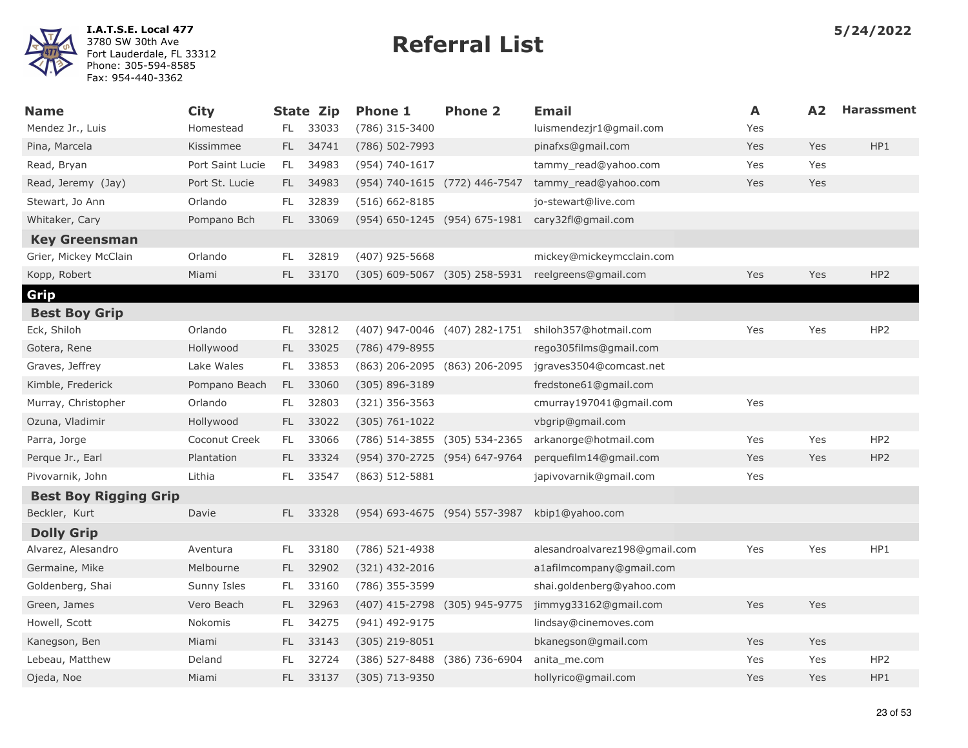

| <b>Name</b>                  | <b>City</b>      |     | <b>State Zip</b> | <b>Phone 1</b>                | <b>Phone 2</b>                | <b>Email</b>                  | A   | A2  | <b>Harassment</b> |
|------------------------------|------------------|-----|------------------|-------------------------------|-------------------------------|-------------------------------|-----|-----|-------------------|
| Mendez Jr., Luis             | Homestead        | FL. | 33033            | (786) 315-3400                |                               | luismendezjr1@gmail.com       | Yes |     |                   |
| Pina, Marcela                | Kissimmee        | FL. | 34741            | (786) 502-7993                |                               | pinafxs@gmail.com             | Yes | Yes | HP1               |
| Read, Bryan                  | Port Saint Lucie | FL. | 34983            | (954) 740-1617                |                               | tammy read@yahoo.com          | Yes | Yes |                   |
| Read, Jeremy (Jay)           | Port St. Lucie   |     | FL 34983         | (954) 740-1615 (772) 446-7547 |                               | tammy_read@yahoo.com          | Yes | Yes |                   |
| Stewart, Jo Ann              | Orlando          | FL  | 32839            | $(516) 662 - 8185$            |                               | jo-stewart@live.com           |     |     |                   |
| Whitaker, Cary               | Pompano Bch      | FL. | 33069            |                               | (954) 650-1245 (954) 675-1981 | cary32fl@gmail.com            |     |     |                   |
| <b>Key Greensman</b>         |                  |     |                  |                               |                               |                               |     |     |                   |
| Grier, Mickey McClain        | Orlando          | FL  | 32819            | (407) 925-5668                |                               | mickey@mickeymcclain.com      |     |     |                   |
| Kopp, Robert                 | Miami            | FL. | 33170            |                               | (305) 609-5067 (305) 258-5931 | reelgreens@gmail.com          | Yes | Yes | HP <sub>2</sub>   |
| Grip                         |                  |     |                  |                               |                               |                               |     |     |                   |
| <b>Best Boy Grip</b>         |                  |     |                  |                               |                               |                               |     |     |                   |
| Eck, Shiloh                  | Orlando          | FL. | 32812            | (407) 947-0046 (407) 282-1751 |                               | shiloh357@hotmail.com         | Yes | Yes | HP <sub>2</sub>   |
| Gotera, Rene                 | Hollywood        | FL. | 33025            | (786) 479-8955                |                               | rego305films@gmail.com        |     |     |                   |
| Graves, Jeffrey              | Lake Wales       | FL. | 33853            | (863) 206-2095 (863) 206-2095 |                               | jgraves3504@comcast.net       |     |     |                   |
| Kimble, Frederick            | Pompano Beach    | FL. | 33060            | (305) 896-3189                |                               | fredstone61@gmail.com         |     |     |                   |
| Murray, Christopher          | Orlando          | FL. | 32803            | $(321)$ 356-3563              |                               | cmurray197041@gmail.com       | Yes |     |                   |
| Ozuna, Vladimir              | Hollywood        | FL. | 33022            | $(305) 761 - 1022$            |                               | vbgrip@gmail.com              |     |     |                   |
| Parra, Jorge                 | Coconut Creek    | FL. | 33066            | (786) 514-3855 (305) 534-2365 |                               | arkanorge@hotmail.com         | Yes | Yes | HP <sub>2</sub>   |
| Perque Jr., Earl             | Plantation       | FL. | 33324            | (954) 370-2725 (954) 647-9764 |                               | perquefilm14@gmail.com        | Yes | Yes | HP <sub>2</sub>   |
| Pivovarnik, John             | Lithia           | FL  | 33547            | $(863) 512 - 5881$            |                               | japivovarnik@gmail.com        | Yes |     |                   |
| <b>Best Boy Rigging Grip</b> |                  |     |                  |                               |                               |                               |     |     |                   |
| Beckler, Kurt                | Davie            | FL. | 33328            | (954) 693-4675 (954) 557-3987 |                               | kbip1@yahoo.com               |     |     |                   |
| <b>Dolly Grip</b>            |                  |     |                  |                               |                               |                               |     |     |                   |
| Alvarez, Alesandro           | Aventura         | FL. | 33180            | (786) 521-4938                |                               | alesandroalvarez198@gmail.com | Yes | Yes | HP1               |
| Germaine, Mike               | Melbourne        | FL. | 32902            | $(321)$ 432-2016              |                               | a1afilmcompany@gmail.com      |     |     |                   |
| Goldenberg, Shai             | Sunny Isles      | FL. | 33160            | (786) 355-3599                |                               | shai.goldenberg@yahoo.com     |     |     |                   |
| Green, James                 | Vero Beach       | FL. | 32963            | (407) 415-2798 (305) 945-9775 |                               | jimmyg33162@gmail.com         | Yes | Yes |                   |
| Howell, Scott                | Nokomis          | FL  | 34275            | (941) 492-9175                |                               | lindsay@cinemoves.com         |     |     |                   |
| Kanegson, Ben                | Miami            | FL. | 33143            | (305) 219-8051                |                               | bkanegson@gmail.com           | Yes | Yes |                   |
| Lebeau, Matthew              | Deland           | FL  | 32724            | (386) 527-8488 (386) 736-6904 |                               | anita me.com                  | Yes | Yes | HP <sub>2</sub>   |
| Ojeda, Noe                   | Miami            | FL. | 33137            | (305) 713-9350                |                               | hollyrico@gmail.com           | Yes | Yes | HP1               |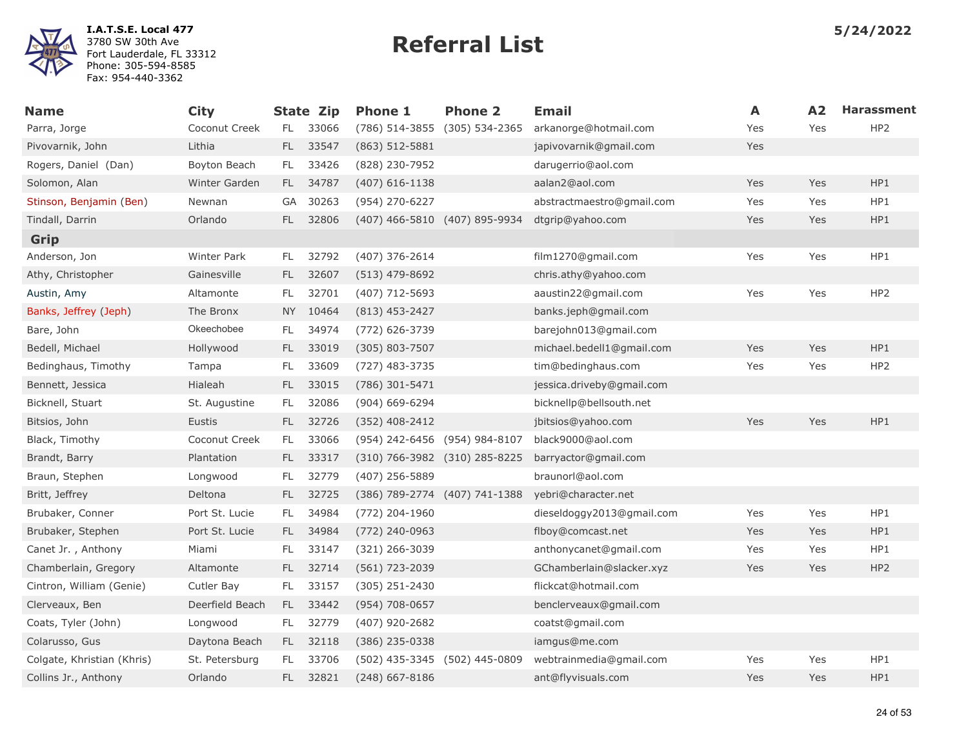

| <b>Name</b>                | <b>City</b>        |           | <b>State Zip</b> | <b>Phone 1</b>                | <b>Phone 2</b> | Email                     | A   | A2  | <b>Harassment</b> |
|----------------------------|--------------------|-----------|------------------|-------------------------------|----------------|---------------------------|-----|-----|-------------------|
| Parra, Jorge               | Coconut Creek      | FL.       | 33066            | (786) 514-3855 (305) 534-2365 |                | arkanorge@hotmail.com     | Yes | Yes | HP <sub>2</sub>   |
| Pivovarnik, John           | Lithia             | FL.       | 33547            | $(863)$ 512-5881              |                | japivovarnik@gmail.com    | Yes |     |                   |
| Rogers, Daniel (Dan)       | Boyton Beach       | FL.       | 33426            | (828) 230-7952                |                | darugerrio@aol.com        |     |     |                   |
| Solomon, Alan              | Winter Garden      | FL.       | 34787            | $(407)$ 616-1138              |                | aalan2@aol.com            | Yes | Yes | HP1               |
| Stinson, Benjamin (Ben)    | Newnan             | GA        | 30263            | (954) 270-6227                |                | abstractmaestro@gmail.com | Yes | Yes | HP1               |
| Tindall, Darrin            | Orlando            | FL.       | 32806            | (407) 466-5810 (407) 895-9934 |                | dtgrip@yahoo.com          | Yes | Yes | HP1               |
| Grip                       |                    |           |                  |                               |                |                           |     |     |                   |
| Anderson, Jon              | <b>Winter Park</b> | FL.       | 32792            | $(407)$ 376-2614              |                | film1270@gmail.com        | Yes | Yes | HP1               |
| Athy, Christopher          | Gainesville        | FL.       | 32607            | $(513)$ 479-8692              |                | chris.athy@yahoo.com      |     |     |                   |
| Austin, Amy                | Altamonte          | FL.       | 32701            | (407) 712-5693                |                | aaustin22@gmail.com       | Yes | Yes | HP <sub>2</sub>   |
| Banks, Jeffrey (Jeph)      | The Bronx          | <b>NY</b> | 10464            | $(813)$ 453-2427              |                | banks.jeph@gmail.com      |     |     |                   |
| Bare, John                 | Okeechobee         | FL.       | 34974            | (772) 626-3739                |                | barejohn013@gmail.com     |     |     |                   |
| Bedell, Michael            | Hollywood          | FL.       | 33019            | $(305)$ 803-7507              |                | michael.bedell1@gmail.com | Yes | Yes | HP1               |
| Bedinghaus, Timothy        | Tampa              | FL        | 33609            | (727) 483-3735                |                | tim@bedinghaus.com        | Yes | Yes | HP <sub>2</sub>   |
| Bennett, Jessica           | Hialeah            | FL.       | 33015            | (786) 301-5471                |                | jessica.driveby@gmail.com |     |     |                   |
| Bicknell, Stuart           | St. Augustine      | FL.       | 32086            | (904) 669-6294                |                | bicknellp@bellsouth.net   |     |     |                   |
| Bitsios, John              | Eustis             | FL.       | 32726            | $(352)$ 408-2412              |                | jbitsios@yahoo.com        | Yes | Yes | HP1               |
| Black, Timothy             | Coconut Creek      | FL.       | 33066            | (954) 242-6456 (954) 984-8107 |                | black9000@aol.com         |     |     |                   |
| Brandt, Barry              | Plantation         | FL.       | 33317            | (310) 766-3982 (310) 285-8225 |                | barryactor@gmail.com      |     |     |                   |
| Braun, Stephen             | Longwood           | FL.       | 32779            | (407) 256-5889                |                | braunorl@aol.com          |     |     |                   |
| Britt, Jeffrey             | Deltona            | FL.       | 32725            | (386) 789-2774 (407) 741-1388 |                | yebri@character.net       |     |     |                   |
| Brubaker, Conner           | Port St. Lucie     | FL.       | 34984            | (772) 204-1960                |                | dieseldoggy2013@gmail.com | Yes | Yes | HP1               |
| Brubaker, Stephen          | Port St. Lucie     | FL.       | 34984            | (772) 240-0963                |                | flboy@comcast.net         | Yes | Yes | HP1               |
| Canet Jr., Anthony         | Miami              | FL.       | 33147            | (321) 266-3039                |                | anthonycanet@gmail.com    | Yes | Yes | HP1               |
| Chamberlain, Gregory       | Altamonte          | FL.       | 32714            | $(561)$ 723-2039              |                | GChamberlain@slacker.xyz  | Yes | Yes | HP <sub>2</sub>   |
| Cintron, William (Genie)   | Cutler Bay         | FL.       | 33157            | $(305)$ 251-2430              |                | flickcat@hotmail.com      |     |     |                   |
| Clerveaux, Ben             | Deerfield Beach    | FL -      | 33442            | (954) 708-0657                |                | benclerveaux@gmail.com    |     |     |                   |
| Coats, Tyler (John)        | Longwood           | FL.       | 32779            | (407) 920-2682                |                | coatst@gmail.com          |     |     |                   |
| Colarusso, Gus             | Daytona Beach      | FL.       | 32118            | (386) 235-0338                |                | iamgus@me.com             |     |     |                   |
| Colgate, Khristian (Khris) | St. Petersburg     | FL.       | 33706            | (502) 435-3345 (502) 445-0809 |                | webtrainmedia@gmail.com   | Yes | Yes | HP1               |
| Collins Jr., Anthony       | Orlando            | FL.       | 32821            | $(248)$ 667-8186              |                | ant@flyvisuals.com        | Yes | Yes | HP1               |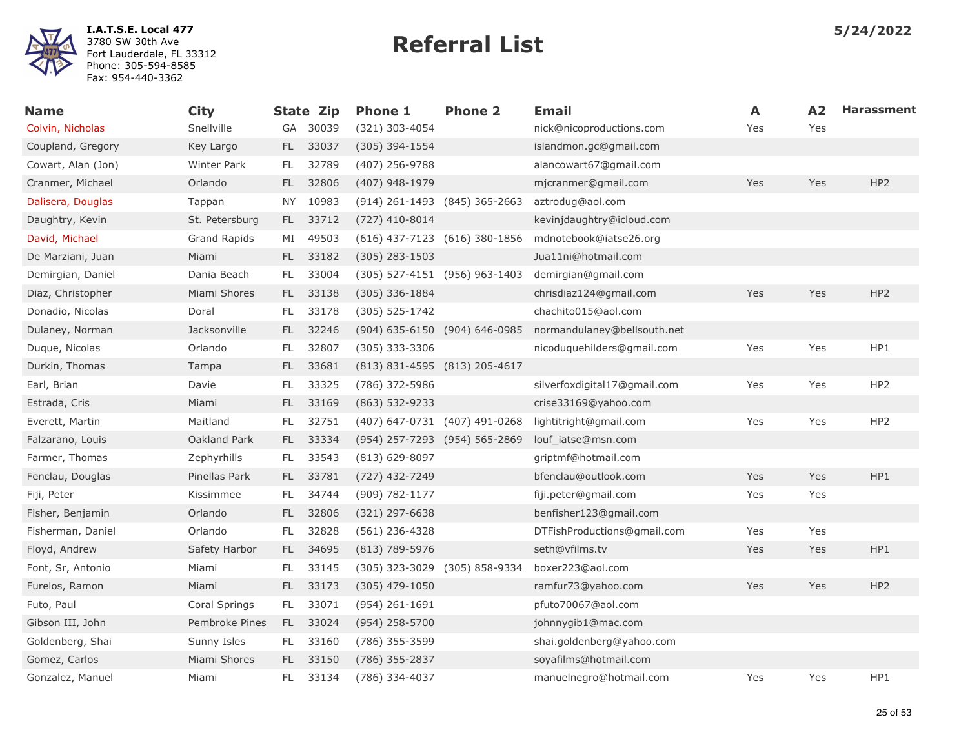

| <b>Name</b>        | <b>City</b>         |           | <b>State Zip</b> | <b>Phone 1</b>                | <b>Phone 2</b> | <b>Email</b>                 | Α   | A2  | <b>Harassment</b> |
|--------------------|---------------------|-----------|------------------|-------------------------------|----------------|------------------------------|-----|-----|-------------------|
| Colvin, Nicholas   | Snellville          | GA        | 30039            | (321) 303-4054                |                | nick@nicoproductions.com     | Yes | Yes |                   |
| Coupland, Gregory  | Key Largo           | FL.       | 33037            | $(305)$ 394-1554              |                | islandmon.gc@gmail.com       |     |     |                   |
| Cowart, Alan (Jon) | <b>Winter Park</b>  | FL.       | 32789            | (407) 256-9788                |                | alancowart67@gmail.com       |     |     |                   |
| Cranmer, Michael   | Orlando             | FL.       | 32806            | (407) 948-1979                |                | mjcranmer@gmail.com          | Yes | Yes | HP2               |
| Dalisera, Douglas  | Tappan              | <b>NY</b> | 10983            | (914) 261-1493 (845) 365-2663 |                | aztrodug@aol.com             |     |     |                   |
| Daughtry, Kevin    | St. Petersburg      | FL.       | 33712            | $(727)$ 410-8014              |                | kevinjdaughtry@icloud.com    |     |     |                   |
| David, Michael     | <b>Grand Rapids</b> | MI        | 49503            | (616) 437-7123 (616) 380-1856 |                | mdnotebook@iatse26.org       |     |     |                   |
| De Marziani, Juan  | Miami               | FL.       | 33182            | $(305)$ 283-1503              |                | Jua11ni@hotmail.com          |     |     |                   |
| Demirgian, Daniel  | Dania Beach         | FL.       | 33004            | (305) 527-4151 (956) 963-1403 |                | demirgian@gmail.com          |     |     |                   |
| Diaz, Christopher  | Miami Shores        | FL.       | 33138            | $(305)$ 336-1884              |                | chrisdiaz124@gmail.com       | Yes | Yes | HP <sub>2</sub>   |
| Donadio, Nicolas   | Doral               | FL.       | 33178            | $(305) 525 - 1742$            |                | chachito015@aol.com          |     |     |                   |
| Dulaney, Norman    | Jacksonville        | FL.       | 32246            | (904) 635-6150 (904) 646-0985 |                | normandulaney@bellsouth.net  |     |     |                   |
| Duque, Nicolas     | Orlando             | FL.       | 32807            | $(305)$ 333-3306              |                | nicoduquehilders@gmail.com   | Yes | Yes | HP1               |
| Durkin, Thomas     | Tampa               | FL.       | 33681            | (813) 831-4595 (813) 205-4617 |                |                              |     |     |                   |
| Earl, Brian        | Davie               | FL.       | 33325            | (786) 372-5986                |                | silverfoxdigital17@gmail.com | Yes | Yes | HP <sub>2</sub>   |
| Estrada, Cris      | Miami               | FL.       | 33169            | $(863) 532 - 9233$            |                | crise33169@yahoo.com         |     |     |                   |
| Everett, Martin    | Maitland            | FL.       | 32751            | (407) 647-0731 (407) 491-0268 |                | lightitright@gmail.com       | Yes | Yes | HP <sub>2</sub>   |
| Falzarano, Louis   | Oakland Park        | FL.       | 33334            | (954) 257-7293 (954) 565-2869 |                | louf iatse@msn.com           |     |     |                   |
| Farmer, Thomas     | Zephyrhills         | FL.       | 33543            | $(813)$ 629-8097              |                | griptmf@hotmail.com          |     |     |                   |
| Fenclau, Douglas   | Pinellas Park       | FL.       | 33781            | (727) 432-7249                |                | bfenclau@outlook.com         | Yes | Yes | HP1               |
| Fiji, Peter        | Kissimmee           | FL.       | 34744            | $(909) 782 - 1177$            |                | fiji.peter@gmail.com         | Yes | Yes |                   |
| Fisher, Benjamin   | Orlando             | FL.       | 32806            | $(321)$ 297-6638              |                | benfisher123@gmail.com       |     |     |                   |
| Fisherman, Daniel  | Orlando             | FL.       | 32828            | $(561)$ 236-4328              |                | DTFishProductions@gmail.com  | Yes | Yes |                   |
| Floyd, Andrew      | Safety Harbor       | FL.       | 34695            | (813) 789-5976                |                | seth@vfilms.tv               | Yes | Yes | HP1               |
| Font, Sr, Antonio  | Miami               | FL        | 33145            | (305) 323-3029 (305) 858-9334 |                | boxer223@aol.com             |     |     |                   |
| Furelos, Ramon     | Miami               | FL.       | 33173            | $(305)$ 479-1050              |                | ramfur73@yahoo.com           | Yes | Yes | HP2               |
| Futo, Paul         | Coral Springs       | FL.       | 33071            | $(954)$ 261-1691              |                | pfuto70067@aol.com           |     |     |                   |
| Gibson III, John   | Pembroke Pines      | FL.       | 33024            | $(954)$ 258-5700              |                | johnnygib1@mac.com           |     |     |                   |
| Goldenberg, Shai   | Sunny Isles         | FL.       | 33160            | (786) 355-3599                |                | shai.goldenberg@yahoo.com    |     |     |                   |
| Gomez, Carlos      | Miami Shores        | FL.       | 33150            | (786) 355-2837                |                | soyafilms@hotmail.com        |     |     |                   |
| Gonzalez, Manuel   | Miami               | FL.       | 33134            | (786) 334-4037                |                | manuelnegro@hotmail.com      | Yes | Yes | HP1               |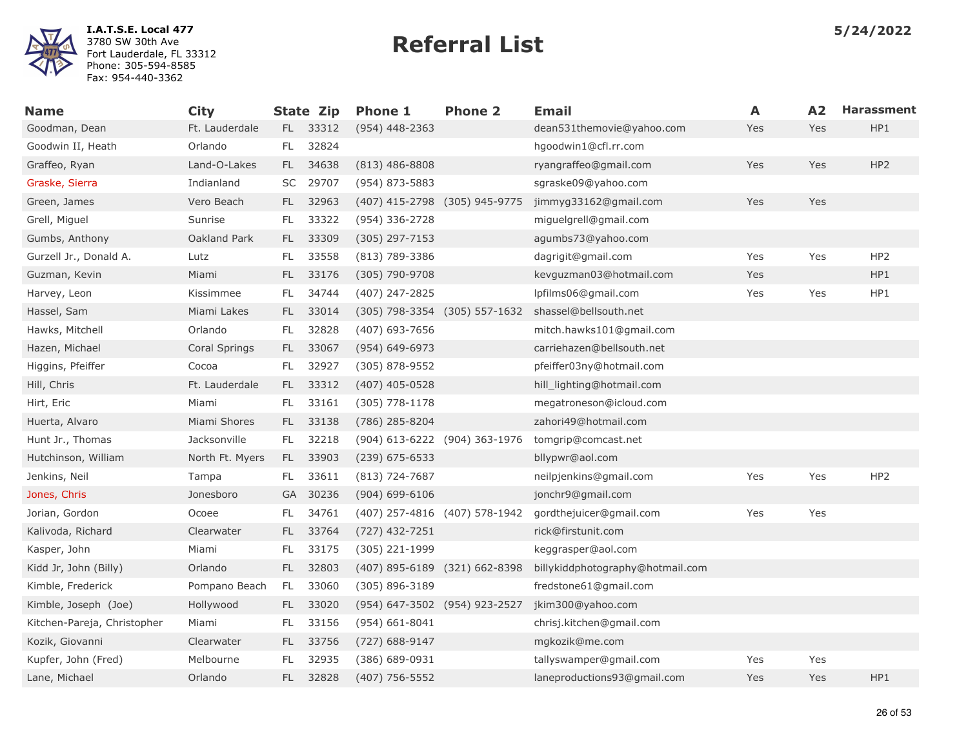

| <b>Name</b>                 | <b>City</b>     |     | <b>State Zip</b> | <b>Phone 1</b>                | <b>Phone 2</b> | <b>Email</b>                     | A   | A2  | <b>Harassment</b> |
|-----------------------------|-----------------|-----|------------------|-------------------------------|----------------|----------------------------------|-----|-----|-------------------|
| Goodman, Dean               | Ft. Lauderdale  |     | FL 33312         | $(954)$ 448-2363              |                | dean531themovie@yahoo.com        | Yes | Yes | HP1               |
| Goodwin II, Heath           | Orlando         | FL. | 32824            |                               |                | hgoodwin1@cfl.rr.com             |     |     |                   |
| Graffeo, Ryan               | Land-O-Lakes    | FL. | 34638            | $(813)$ 486-8808              |                | ryangraffeo@gmail.com            | Yes | Yes | HP <sub>2</sub>   |
| Graske, Sierra              | Indianland      | SC  | 29707            | (954) 873-5883                |                | sgraske09@yahoo.com              |     |     |                   |
| Green, James                | Vero Beach      | FL. | 32963            | (407) 415-2798 (305) 945-9775 |                | jimmyg33162@gmail.com            | Yes | Yes |                   |
| Grell, Miguel               | Sunrise         | FL. | 33322            | (954) 336-2728                |                | miguelgrell@gmail.com            |     |     |                   |
| Gumbs, Anthony              | Oakland Park    | FL. | 33309            | $(305)$ 297-7153              |                | agumbs73@yahoo.com               |     |     |                   |
| Gurzell Jr., Donald A.      | Lutz            | FL. | 33558            | $(813)$ 789-3386              |                | dagrigit@gmail.com               | Yes | Yes | HP <sub>2</sub>   |
| Guzman, Kevin               | Miami           | FL. | 33176            | (305) 790-9708                |                | kevguzman03@hotmail.com          | Yes |     | HP1               |
| Harvey, Leon                | Kissimmee       | FL. | 34744            | (407) 247-2825                |                | lpfilms06@gmail.com              | Yes | Yes | HP1               |
| Hassel, Sam                 | Miami Lakes     | FL. | 33014            | (305) 798-3354 (305) 557-1632 |                | shassel@bellsouth.net            |     |     |                   |
| Hawks, Mitchell             | Orlando         | FL  | 32828            | (407) 693-7656                |                | mitch.hawks101@gmail.com         |     |     |                   |
| Hazen, Michael              | Coral Springs   | FL. | 33067            | $(954) 649 - 6973$            |                | carriehazen@bellsouth.net        |     |     |                   |
| Higgins, Pfeiffer           | Cocoa           | FL. | 32927            | $(305)$ 878-9552              |                | pfeiffer03ny@hotmail.com         |     |     |                   |
| Hill, Chris                 | Ft. Lauderdale  | FL. | 33312            | $(407)$ 405-0528              |                | hill_lighting@hotmail.com        |     |     |                   |
| Hirt, Eric                  | Miami           | FL. | 33161            | $(305)$ 778-1178              |                | megatroneson@icloud.com          |     |     |                   |
| Huerta, Alvaro              | Miami Shores    | FL. | 33138            | (786) 285-8204                |                | zahori49@hotmail.com             |     |     |                   |
| Hunt Jr., Thomas            | Jacksonville    | FL. | 32218            | (904) 613-6222 (904) 363-1976 |                | tomgrip@comcast.net              |     |     |                   |
| Hutchinson, William         | North Ft. Myers | FL. | 33903            | $(239)$ 675-6533              |                | bllypwr@aol.com                  |     |     |                   |
| Jenkins, Neil               | Tampa           | FL. | 33611            | $(813) 724 - 7687$            |                | neilpjenkins@gmail.com           | Yes | Yes | HP <sub>2</sub>   |
| Jones, Chris                | Jonesboro       |     | GA 30236         | $(904) 699 - 6106$            |                | jonchr9@gmail.com                |     |     |                   |
| Jorian, Gordon              | Ocoee           | FL. | 34761            | (407) 257-4816 (407) 578-1942 |                | gordthejuicer@gmail.com          | Yes | Yes |                   |
| Kalivoda, Richard           | Clearwater      | FL. | 33764            | $(727)$ 432-7251              |                | rick@firstunit.com               |     |     |                   |
| Kasper, John                | Miami           | FL. | 33175            | (305) 221-1999                |                | keggrasper@aol.com               |     |     |                   |
| Kidd Jr, John (Billy)       | Orlando         | FL. | 32803            | (407) 895-6189 (321) 662-8398 |                | billykiddphotography@hotmail.com |     |     |                   |
| Kimble, Frederick           | Pompano Beach   | FL. | 33060            | $(305)$ 896-3189              |                | fredstone61@gmail.com            |     |     |                   |
| Kimble, Joseph (Joe)        | Hollywood       | FL. | 33020            | (954) 647-3502 (954) 923-2527 |                | jkim300@yahoo.com                |     |     |                   |
| Kitchen-Pareja, Christopher | Miami           | FL  | 33156            | $(954) 661 - 8041$            |                | chrisj.kitchen@gmail.com         |     |     |                   |
| Kozik, Giovanni             | Clearwater      | FL. | 33756            | $(727)$ 688-9147              |                | mgkozik@me.com                   |     |     |                   |
| Kupfer, John (Fred)         | Melbourne       | FL  | 32935            | (386) 689-0931                |                | tallyswamper@gmail.com           | Yes | Yes |                   |
| Lane, Michael               | Orlando         | FL. | 32828            | $(407)$ 756-5552              |                | laneproductions93@gmail.com      | Yes | Yes | HP1               |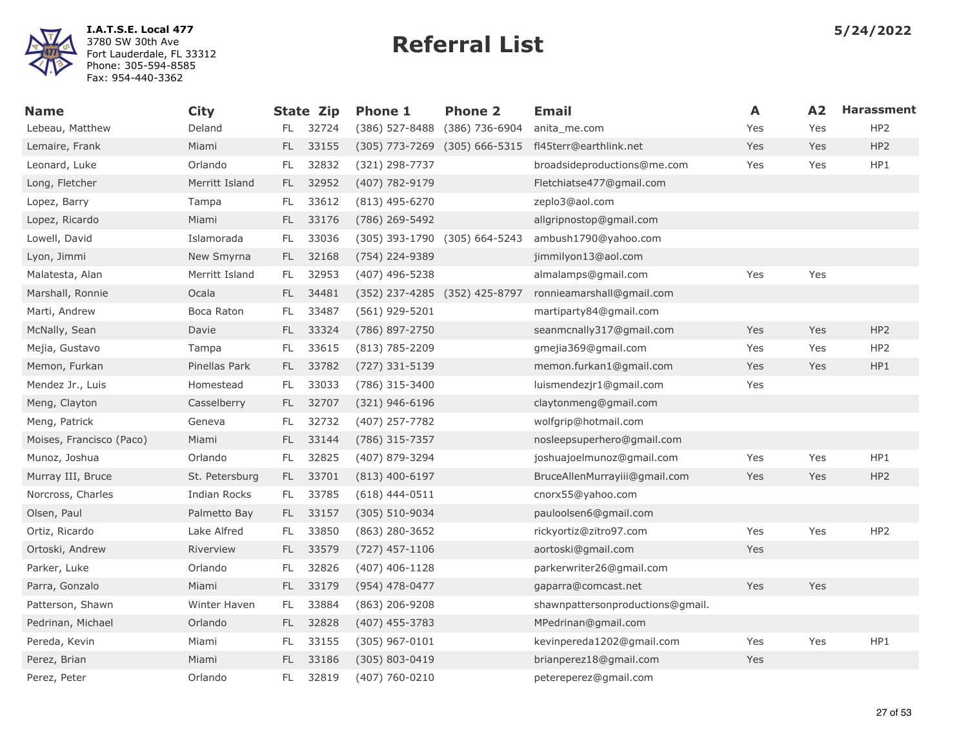

| Name                     | <b>City</b>    |     | State Zip | <b>Phone 1</b>                | <b>Phone 2</b> | Email                            | A   | A2  | <b>Harassment</b> |
|--------------------------|----------------|-----|-----------|-------------------------------|----------------|----------------------------------|-----|-----|-------------------|
| Lebeau, Matthew          | Deland         | FL. | 32724     | (386) 527-8488                | (386) 736-6904 | anita me.com                     | Yes | Yes | HP <sub>2</sub>   |
| Lemaire, Frank           | Miami          | FL. | 33155     | $(305)$ 773-7269              | (305) 666-5315 | fl45terr@earthlink.net           | Yes | Yes | HP <sub>2</sub>   |
| Leonard, Luke            | Orlando        | FL. | 32832     | (321) 298-7737                |                | broadsideproductions@me.com      | Yes | Yes | HP1               |
| Long, Fletcher           | Merritt Island | FL. | 32952     | (407) 782-9179                |                | Fletchiatse477@gmail.com         |     |     |                   |
| Lopez, Barry             | Tampa          | FL. | 33612     | (813) 495-6270                |                | zeplo3@aol.com                   |     |     |                   |
| Lopez, Ricardo           | Miami          | FL. | 33176     | (786) 269-5492                |                | allgripnostop@gmail.com          |     |     |                   |
| Lowell, David            | Islamorada     | FL  | 33036     | (305) 393-1790 (305) 664-5243 |                | ambush1790@yahoo.com             |     |     |                   |
| Lyon, Jimmi              | New Smyrna     | FL. | 32168     | (754) 224-9389                |                | jimmilyon13@aol.com              |     |     |                   |
| Malatesta, Alan          | Merritt Island | FL. | 32953     | (407) 496-5238                |                | almalamps@gmail.com              | Yes | Yes |                   |
| Marshall, Ronnie         | Ocala          | FL. | 34481     | (352) 237-4285 (352) 425-8797 |                | ronnieamarshall@gmail.com        |     |     |                   |
| Marti, Andrew            | Boca Raton     | FL. | 33487     | (561) 929-5201                |                | martiparty84@gmail.com           |     |     |                   |
| McNally, Sean            | Davie          | FL. | 33324     | (786) 897-2750                |                | seanmcnally317@gmail.com         | Yes | Yes | HP <sub>2</sub>   |
| Mejia, Gustavo           | Tampa          | FL. | 33615     | $(813) 785 - 2209$            |                | gmejia369@gmail.com              | Yes | Yes | HP <sub>2</sub>   |
| Memon, Furkan            | Pinellas Park  | FL. | 33782     | (727) 331-5139                |                | memon.furkan1@gmail.com          | Yes | Yes | HP1               |
| Mendez Jr., Luis         | Homestead      | FL. | 33033     | (786) 315-3400                |                | luismendezjr1@gmail.com          | Yes |     |                   |
| Meng, Clayton            | Casselberry    | FL. | 32707     | $(321)$ 946-6196              |                | claytonmeng@gmail.com            |     |     |                   |
| Meng, Patrick            | Geneva         | FL. | 32732     | (407) 257-7782                |                | wolfgrip@hotmail.com             |     |     |                   |
| Moises, Francisco (Paco) | Miami          | FL. | 33144     | (786) 315-7357                |                | nosleepsuperhero@gmail.com       |     |     |                   |
| Munoz, Joshua            | Orlando        | FL. | 32825     | (407) 879-3294                |                | joshuajoelmunoz@gmail.com        | Yes | Yes | HP1               |
| Murray III, Bruce        | St. Petersburg | FL. | 33701     | $(813)$ 400-6197              |                | BruceAllenMurrayiii@gmail.com    | Yes | Yes | HP <sub>2</sub>   |
| Norcross, Charles        | Indian Rocks   | FL. | 33785     | $(618)$ 444-0511              |                | cnorx55@yahoo.com                |     |     |                   |
| Olsen, Paul              | Palmetto Bay   | FL. | 33157     | (305) 510-9034                |                | pauloolsen6@gmail.com            |     |     |                   |
| Ortiz, Ricardo           | Lake Alfred    | FL. | 33850     | $(863)$ 280-3652              |                | rickyortiz@zitro97.com           | Yes | Yes | HP <sub>2</sub>   |
| Ortoski, Andrew          | Riverview      | FL. | 33579     | $(727)$ 457-1106              |                | aortoski@gmail.com               | Yes |     |                   |
| Parker, Luke             | Orlando        | FL. | 32826     | $(407)$ 406-1128              |                | parkerwriter26@gmail.com         |     |     |                   |
| Parra, Gonzalo           | Miami          | FL. | 33179     | (954) 478-0477                |                | gaparra@comcast.net              | Yes | Yes |                   |
| Patterson, Shawn         | Winter Haven   | FL. | 33884     | (863) 206-9208                |                | shawnpattersonproductions@gmail. |     |     |                   |
| Pedrinan, Michael        | Orlando        | FL. | 32828     | $(407)$ 455-3783              |                | MPedrinan@gmail.com              |     |     |                   |
| Pereda, Kevin            | Miami          | FL  | 33155     | $(305)$ 967-0101              |                | kevinpereda1202@gmail.com        | Yes | Yes | HP1               |
| Perez, Brian             | Miami          | FL. | 33186     | (305) 803-0419                |                | brianperez18@gmail.com           | Yes |     |                   |
| Perez, Peter             | Orlando        | FL. | 32819     | (407) 760-0210                |                | petereperez@gmail.com            |     |     |                   |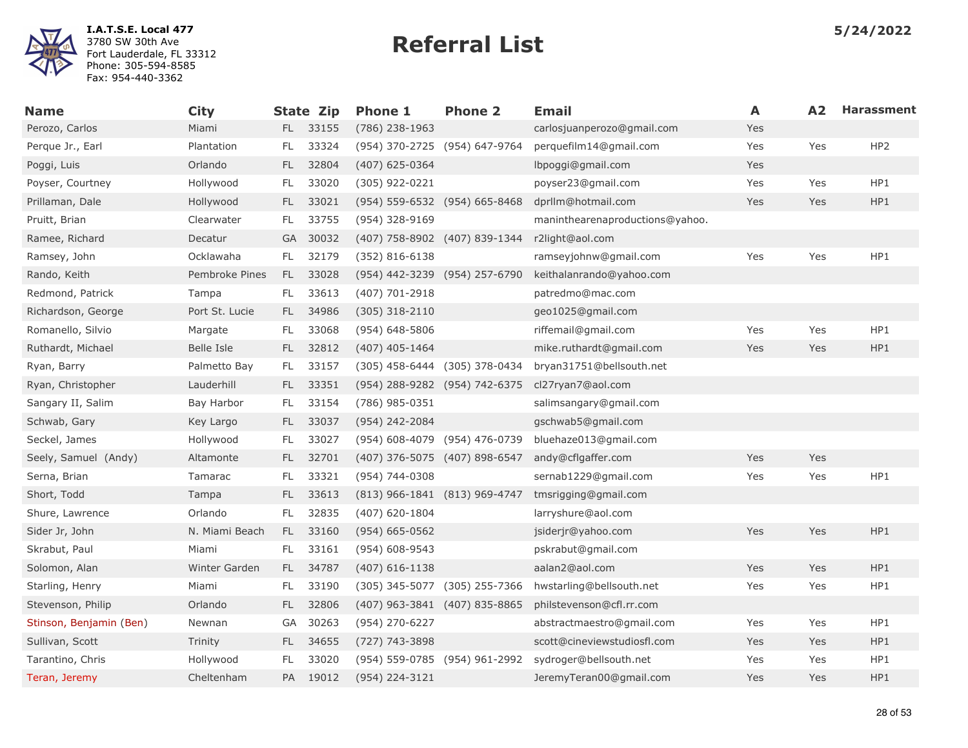

| <b>Name</b>             | <b>City</b>    |               | <b>State Zip</b> | <b>Phone 1</b>                | <b>Phone 2</b> | <b>Email</b>                    | A   | A <sub>2</sub> | <b>Harassment</b> |
|-------------------------|----------------|---------------|------------------|-------------------------------|----------------|---------------------------------|-----|----------------|-------------------|
| Perozo, Carlos          | Miami          |               | FL 33155         | (786) 238-1963                |                | carlosjuanperozo@gmail.com      | Yes |                |                   |
| Perque Jr., Earl        | Plantation     | FL            | 33324            | (954) 370-2725 (954) 647-9764 |                | perquefilm14@gmail.com          | Yes | Yes            | HP <sub>2</sub>   |
| Poggi, Luis             | Orlando        | $\mathsf{FL}$ | 32804            | $(407)$ 625-0364              |                | lbpoggi@gmail.com               | Yes |                |                   |
| Poyser, Courtney        | Hollywood      | FL.           | 33020            | (305) 922-0221                |                | poyser23@gmail.com              | Yes | Yes            | HP1               |
| Prillaman, Dale         | Hollywood      | FL.           | 33021            | (954) 559-6532 (954) 665-8468 |                | dprllm@hotmail.com              | Yes | Yes            | HP1               |
| Pruitt, Brian           | Clearwater     | FL            | 33755            | (954) 328-9169                |                | maninthearenaproductions@yahoo. |     |                |                   |
| Ramee, Richard          | Decatur        | GA            | 30032            | (407) 758-8902 (407) 839-1344 |                | r2light@aol.com                 |     |                |                   |
| Ramsey, John            | Ocklawaha      | FL.           | 32179            | $(352)$ 816-6138              |                | ramseyjohnw@gmail.com           | Yes | Yes            | HP1               |
| Rando, Keith            | Pembroke Pines | FL.           | 33028            | (954) 442-3239 (954) 257-6790 |                | keithalanrando@yahoo.com        |     |                |                   |
| Redmond, Patrick        | Tampa          | FL.           | 33613            | (407) 701-2918                |                | patredmo@mac.com                |     |                |                   |
| Richardson, George      | Port St. Lucie | FL.           | 34986            | $(305)$ 318-2110              |                | geo1025@gmail.com               |     |                |                   |
| Romanello, Silvio       | Margate        | FL.           | 33068            | (954) 648-5806                |                | riffemail@gmail.com             | Yes | Yes            | HP1               |
| Ruthardt, Michael       | Belle Isle     | FL.           | 32812            | $(407)$ 405-1464              |                | mike.ruthardt@gmail.com         | Yes | Yes            | HP1               |
| Ryan, Barry             | Palmetto Bay   | FL            | 33157            | (305) 458-6444 (305) 378-0434 |                | bryan31751@bellsouth.net        |     |                |                   |
| Ryan, Christopher       | Lauderhill     | FL.           | 33351            | (954) 288-9282 (954) 742-6375 |                | cl27ryan7@aol.com               |     |                |                   |
| Sangary II, Salim       | Bay Harbor     | FL            | 33154            | (786) 985-0351                |                | salimsangary@gmail.com          |     |                |                   |
| Schwab, Gary            | Key Largo      | FL.           | 33037            | (954) 242-2084                |                | gschwab5@gmail.com              |     |                |                   |
| Seckel, James           | Hollywood      | FL            | 33027            | (954) 608-4079 (954) 476-0739 |                | bluehaze013@gmail.com           |     |                |                   |
| Seely, Samuel (Andy)    | Altamonte      | FL.           | 32701            | (407) 376-5075 (407) 898-6547 |                | andy@cflgaffer.com              | Yes | Yes            |                   |
| Serna, Brian            | Tamarac        | FL            | 33321            | (954) 744-0308                |                | sernab1229@gmail.com            | Yes | Yes            | HP1               |
| Short, Todd             | Tampa          | FL.           | 33613            | (813) 966-1841 (813) 969-4747 |                | tmsrigging@gmail.com            |     |                |                   |
| Shure, Lawrence         | Orlando        | FL            | 32835            | $(407)$ 620-1804              |                | larryshure@aol.com              |     |                |                   |
| Sider Jr, John          | N. Miami Beach | FL.           | 33160            | $(954) 665 - 0562$            |                | jsiderjr@yahoo.com              | Yes | Yes            | HP1               |
| Skrabut, Paul           | Miami          | FL.           | 33161            | (954) 608-9543                |                | pskrabut@gmail.com              |     |                |                   |
| Solomon, Alan           | Winter Garden  | FL.           | 34787            | $(407)$ 616-1138              |                | aalan2@aol.com                  | Yes | Yes            | HP1               |
| Starling, Henry         | Miami          | FL            | 33190            | (305) 345-5077                | (305) 255-7366 | hwstarling@bellsouth.net        | Yes | Yes            | HP1               |
| Stevenson, Philip       | Orlando        | FL.           | 32806            | (407) 963-3841 (407) 835-8865 |                | philstevenson@cfl.rr.com        |     |                |                   |
| Stinson, Benjamin (Ben) | Newnan         | GA            | 30263            | (954) 270-6227                |                | abstractmaestro@gmail.com       | Yes | Yes            | HP1               |
| Sullivan, Scott         | Trinity        | FL.           | 34655            | (727) 743-3898                |                | scott@cineviewstudiosfl.com     | Yes | Yes            | HP1               |
| Tarantino, Chris        | Hollywood      | FL            | 33020            | (954) 559-0785 (954) 961-2992 |                | sydroger@bellsouth.net          | Yes | Yes            | HP1               |
| Teran, Jeremy           | Cheltenham     | PA            | 19012            | (954) 224-3121                |                | JeremyTeran00@gmail.com         | Yes | Yes            | HP1               |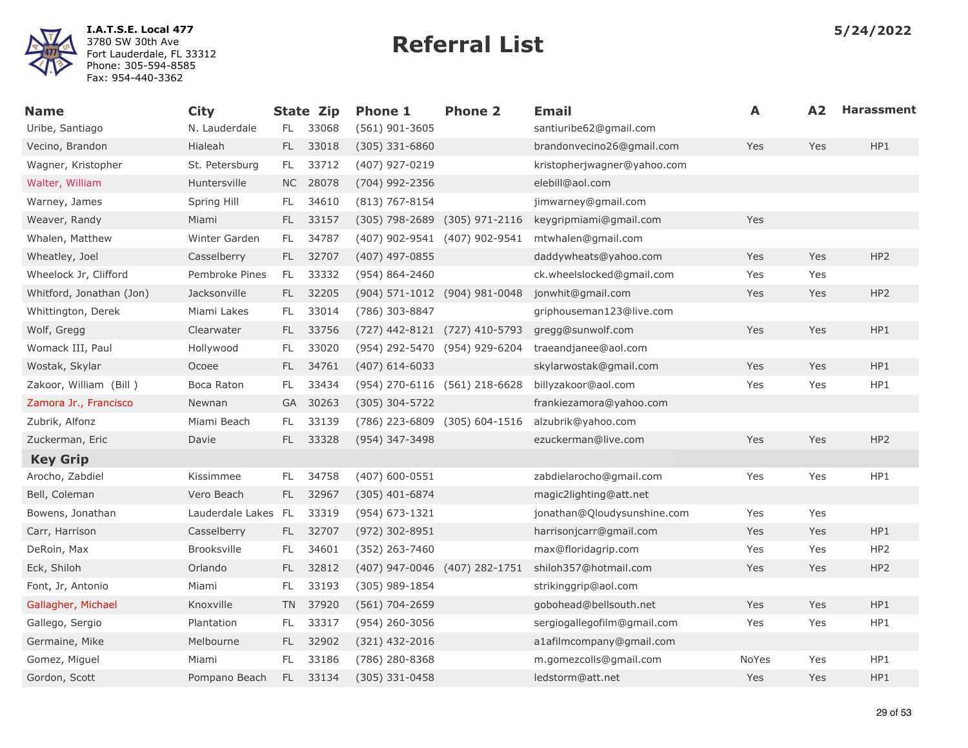

| <b>Name</b>              | <b>City</b>         |           | <b>State Zip</b> | <b>Phone 1</b>                | <b>Phone 2</b>   | <b>Email</b>                | A     | A <sub>2</sub> | <b>Harassment</b> |
|--------------------------|---------------------|-----------|------------------|-------------------------------|------------------|-----------------------------|-------|----------------|-------------------|
| Uribe, Santiago          | N. Lauderdale       | FL.       | 33068            | $(561)$ 901-3605              |                  | santiuribe62@gmail.com      |       |                |                   |
| Vecino, Brandon          | Hialeah             | FL        | 33018            | $(305)$ 331-6860              |                  | brandonvecino26@gmail.com   | Yes   | Yes            | HP1               |
| Wagner, Kristopher       | St. Petersburg      | FL.       | 33712            | (407) 927-0219                |                  | kristopherjwagner@yahoo.com |       |                |                   |
| Walter, William          | Huntersville        |           | NC 28078         | (704) 992-2356                |                  | elebill@aol.com             |       |                |                   |
| Warney, James            | Spring Hill         | FL        | 34610            | $(813)$ 767-8154              |                  | jimwarney@gmail.com         |       |                |                   |
| Weaver, Randy            | Miami               | FL.       | 33157            | $(305)$ 798-2689              | $(305)$ 971-2116 | keygripmiami@gmail.com      | Yes   |                |                   |
| Whalen, Matthew          | Winter Garden       | FL.       | 34787            | (407) 902-9541 (407) 902-9541 |                  | mtwhalen@gmail.com          |       |                |                   |
| Wheatley, Joel           | Casselberry         | FL.       | 32707            | $(407)$ 497-0855              |                  | daddywheats@yahoo.com       | Yes   | Yes            | HP <sub>2</sub>   |
| Wheelock Jr, Clifford    | Pembroke Pines      | FL        | 33332            | (954) 864-2460                |                  | ck.wheelslocked@gmail.com   | Yes   | Yes            |                   |
| Whitford, Jonathan (Jon) | Jacksonville        | FL.       | 32205            | (904) 571-1012 (904) 981-0048 |                  | jonwhit@gmail.com           | Yes   | Yes            | HP <sub>2</sub>   |
| Whittington, Derek       | Miami Lakes         | FL.       | 33014            | (786) 303-8847                |                  | griphouseman123@live.com    |       |                |                   |
| Wolf, Gregg              | Clearwater          | FL.       | 33756            | (727) 442-8121 (727) 410-5793 |                  | gregg@sunwolf.com           | Yes   | Yes            | HP1               |
| Womack III, Paul         | Hollywood           | FL.       | 33020            | (954) 292-5470 (954) 929-6204 |                  | traeandjanee@aol.com        |       |                |                   |
| Wostak, Skylar           | Ocoee               | FL.       | 34761            | $(407)$ 614-6033              |                  | skylarwostak@gmail.com      | Yes   | Yes            | HP1               |
| Zakoor, William (Bill)   | Boca Raton          | FL        | 33434            | (954) 270-6116 (561) 218-6628 |                  | billyzakoor@aol.com         | Yes   | Yes            | HP1               |
| Zamora Jr., Francisco    | Newnan              | GA        | 30263            | (305) 304-5722                |                  | frankiezamora@yahoo.com     |       |                |                   |
| Zubrik, Alfonz           | Miami Beach         | FL        | 33139            | (786) 223-6809 (305) 604-1516 |                  | alzubrik@yahoo.com          |       |                |                   |
| Zuckerman, Eric          | Davie               | FL.       | 33328            | (954) 347-3498                |                  | ezuckerman@live.com         | Yes   | Yes            | HP <sub>2</sub>   |
| <b>Key Grip</b>          |                     |           |                  |                               |                  |                             |       |                |                   |
| Arocho, Zabdiel          | Kissimmee           | FL        | 34758            | $(407) 600 - 0551$            |                  | zabdielarocho@gmail.com     | Yes   | Yes            | HP1               |
| Bell, Coleman            | Vero Beach          | FL.       | 32967            | $(305)$ 401-6874              |                  | magic2lighting@att.net      |       |                |                   |
| Bowens, Jonathan         | Lauderdale Lakes FL |           | 33319            | (954) 673-1321                |                  | jonathan@Qloudysunshine.com | Yes   | Yes            |                   |
| Carr, Harrison           | Casselberry         | FL.       | 32707            | $(972)$ 302-8951              |                  | harrisonjcarr@gmail.com     | Yes   | Yes            | HP1               |
| DeRoin, Max              | <b>Brooksville</b>  | FL        | 34601            | (352) 263-7460                |                  | max@floridagrip.com         | Yes   | Yes            | HP <sub>2</sub>   |
| Eck, Shiloh              | Orlando             | FL.       | 32812            | (407) 947-0046 (407) 282-1751 |                  | shiloh357@hotmail.com       | Yes   | Yes            | HP <sub>2</sub>   |
| Font, Jr, Antonio        | Miami               | FL        | 33193            | (305) 989-1854                |                  | strikinggrip@aol.com        |       |                |                   |
| Gallagher, Michael       | Knoxville           | <b>TN</b> | 37920            | (561) 704-2659                |                  | gobohead@bellsouth.net      | Yes   | Yes            | HP1               |
| Gallego, Sergio          | Plantation          | FL        | 33317            | (954) 260-3056                |                  | sergiogallegofilm@gmail.com | Yes   | Yes            | HP1               |
| Germaine, Mike           | Melbourne           | FL        | 32902            | $(321)$ 432-2016              |                  | a1afilmcompany@gmail.com    |       |                |                   |
| Gomez, Miguel            | Miami               | FL        | 33186            | (786) 280-8368                |                  | m.gomezcolls@gmail.com      | NoYes | Yes            | HP1               |
| Gordon, Scott            | Pompano Beach       | FL.       | 33134            | $(305)$ 331-0458              |                  | ledstorm@att.net            | Yes   | Yes            | HP1               |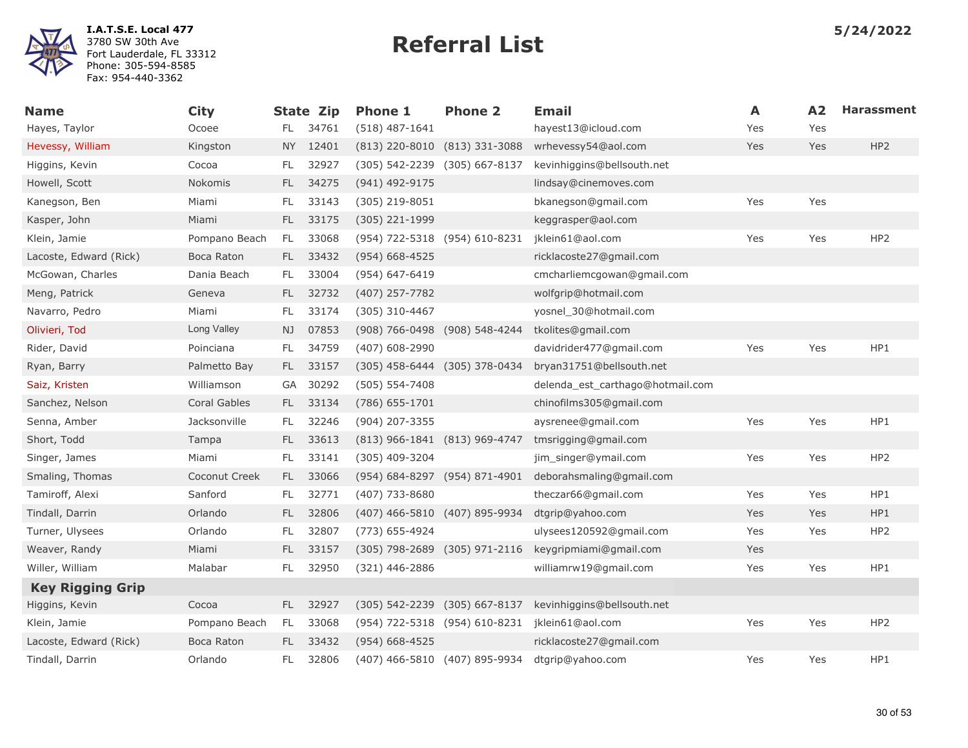

| <b>Name</b>             | <b>City</b>         |               | State Zip | <b>Phone 1</b>                | <b>Phone 2</b>                | <b>Email</b>                     | A   | A2  | <b>Harassment</b> |
|-------------------------|---------------------|---------------|-----------|-------------------------------|-------------------------------|----------------------------------|-----|-----|-------------------|
| Hayes, Taylor           | Ocoee               | FL.           | 34761     | $(518)$ 487-1641              |                               | hayest13@icloud.com              | Yes | Yes |                   |
| Hevessy, William        | Kingston            | NY .          | 12401     | $(813)$ 220-8010              | $(813)$ 331-3088              | wrhevessy54@aol.com              | Yes | Yes | HP <sub>2</sub>   |
| Higgins, Kevin          | Cocoa               | FL            | 32927     | (305) 542-2239                | (305) 667-8137                | kevinhiggins@bellsouth.net       |     |     |                   |
| Howell, Scott           | Nokomis             | FL.           | 34275     | (941) 492-9175                |                               | lindsay@cinemoves.com            |     |     |                   |
| Kanegson, Ben           | Miami               | FL            | 33143     | (305) 219-8051                |                               | bkanegson@gmail.com              | Yes | Yes |                   |
| Kasper, John            | Miami               | FL.           | 33175     | (305) 221-1999                |                               | keggrasper@aol.com               |     |     |                   |
| Klein, Jamie            | Pompano Beach       | FL.           | 33068     | (954) 722-5318 (954) 610-8231 |                               | jklein61@aol.com                 | Yes | Yes | HP <sub>2</sub>   |
| Lacoste, Edward (Rick)  | Boca Raton          | FL.           | 33432     | $(954) 668 - 4525$            |                               | ricklacoste27@gmail.com          |     |     |                   |
| McGowan, Charles        | Dania Beach         | FL.           | 33004     | (954) 647-6419                |                               | cmcharliemcgowan@gmail.com       |     |     |                   |
| Meng, Patrick           | Geneva              | FL.           | 32732     | (407) 257-7782                |                               | wolfgrip@hotmail.com             |     |     |                   |
| Navarro, Pedro          | Miami               | FL            | 33174     | (305) 310-4467                |                               | yosnel 30@hotmail.com            |     |     |                   |
| Olivieri, Tod           | Long Valley         | NJ.           | 07853     | (908) 766-0498 (908) 548-4244 |                               | tkolites@gmail.com               |     |     |                   |
| Rider, David            | Poinciana           | FL            | 34759     | (407) 608-2990                |                               | davidrider477@gmail.com          | Yes | Yes | HP1               |
| Ryan, Barry             | Palmetto Bay        | FL.           | 33157     | (305) 458-6444 (305) 378-0434 |                               | bryan31751@bellsouth.net         |     |     |                   |
| Saiz, Kristen           | Williamson          | GA            | 30292     | $(505) 554 - 7408$            |                               | delenda_est_carthago@hotmail.com |     |     |                   |
| Sanchez, Nelson         | <b>Coral Gables</b> | FL.           | 33134     | $(786)$ 655-1701              |                               | chinofilms305@gmail.com          |     |     |                   |
| Senna, Amber            | Jacksonville        | FL            | 32246     | (904) 207-3355                |                               | aysrenee@gmail.com               | Yes | Yes | HP1               |
| Short, Todd             | Tampa               | FL.           | 33613     | (813) 966-1841 (813) 969-4747 |                               | tmsrigging@gmail.com             |     |     |                   |
| Singer, James           | Miami               | FL.           | 33141     | (305) 409-3204                |                               | jim_singer@ymail.com             | Yes | Yes | HP <sub>2</sub>   |
| Smaling, Thomas         | Coconut Creek       | FL.           | 33066     | (954) 684-8297 (954) 871-4901 |                               | deborahsmaling@gmail.com         |     |     |                   |
| Tamiroff, Alexi         | Sanford             | FL.           | 32771     | (407) 733-8680                |                               | theczar66@gmail.com              | Yes | Yes | HP1               |
| Tindall, Darrin         | Orlando             | FL.           | 32806     | (407) 466-5810 (407) 895-9934 |                               | dtgrip@yahoo.com                 | Yes | Yes | HP1               |
| Turner, Ulysees         | Orlando             | <b>FL</b>     | 32807     | (773) 655-4924                |                               | ulysees120592@gmail.com          | Yes | Yes | HP <sub>2</sub>   |
| Weaver, Randy           | Miami               | FL.           | 33157     | (305) 798-2689 (305) 971-2116 |                               | keygripmiami@gmail.com           | Yes |     |                   |
| Willer, William         | Malabar             | $\mathsf{FL}$ | 32950     | (321) 446-2886                |                               | williamrw19@gmail.com            | Yes | Yes | HP1               |
| <b>Key Rigging Grip</b> |                     |               |           |                               |                               |                                  |     |     |                   |
| Higgins, Kevin          | Cocoa               | FL -          | 32927     | (305) 542-2239 (305) 667-8137 |                               | kevinhiggins@bellsouth.net       |     |     |                   |
| Klein, Jamie            | Pompano Beach       | FL.           | 33068     |                               | (954) 722-5318 (954) 610-8231 | jklein61@aol.com                 | Yes | Yes | HP <sub>2</sub>   |
| Lacoste, Edward (Rick)  | Boca Raton          | FL.           | 33432     | (954) 668-4525                |                               | ricklacoste27@gmail.com          |     |     |                   |
| Tindall, Darrin         | Orlando             | FL            | 32806     |                               | (407) 466-5810 (407) 895-9934 | dtgrip@yahoo.com                 | Yes | Yes | HP1               |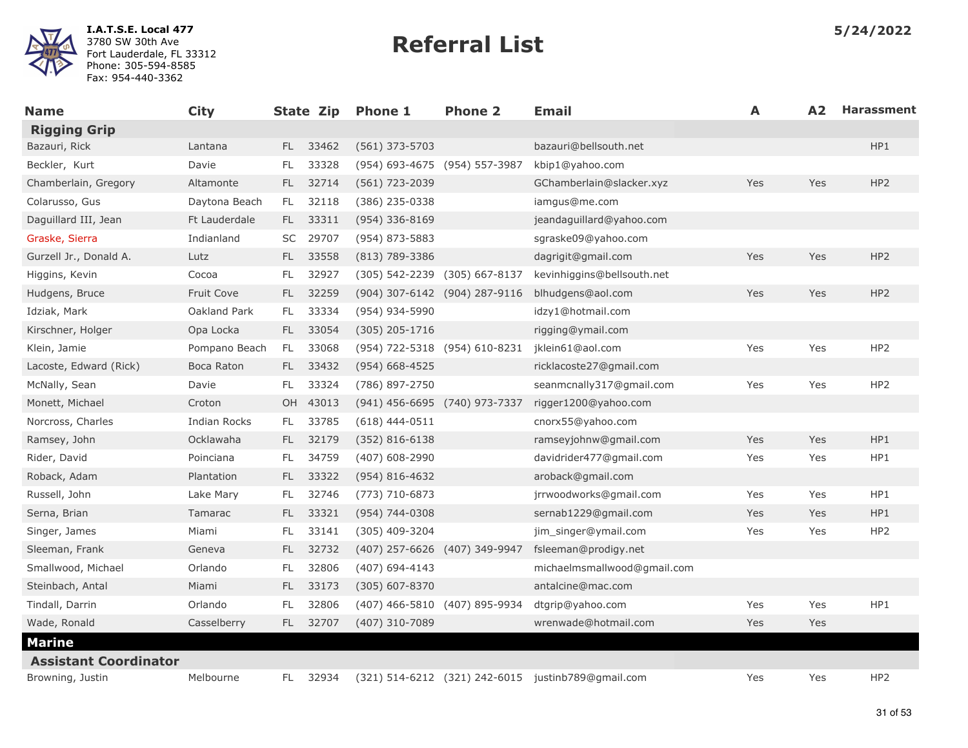

| <b>Name</b>                  | <b>City</b>   |           | State Zip | <b>Phone 1</b>                | <b>Phone 2</b>                | <b>Email</b>                                       | A   | A2  | <b>Harassment</b> |
|------------------------------|---------------|-----------|-----------|-------------------------------|-------------------------------|----------------------------------------------------|-----|-----|-------------------|
| <b>Rigging Grip</b>          |               |           |           |                               |                               |                                                    |     |     |                   |
| Bazauri, Rick                | Lantana       | FL.       | 33462     | (561) 373-5703                |                               | bazauri@bellsouth.net                              |     |     | HP1               |
| Beckler, Kurt                | Davie         | FL.       | 33328     | (954) 693-4675 (954) 557-3987 |                               | kbip1@yahoo.com                                    |     |     |                   |
| Chamberlain, Gregory         | Altamonte     | FL -      | 32714     | (561) 723-2039                |                               | GChamberlain@slacker.xyz                           | Yes | Yes | HP <sub>2</sub>   |
| Colarusso, Gus               | Daytona Beach | FL.       | 32118     | (386) 235-0338                |                               | iamgus@me.com                                      |     |     |                   |
| Daguillard III, Jean         | Ft Lauderdale | FL -      | 33311     | (954) 336-8169                |                               | jeandaguillard@yahoo.com                           |     |     |                   |
| Graske, Sierra               | Indianland    |           | SC 29707  | (954) 873-5883                |                               | sgraske09@yahoo.com                                |     |     |                   |
| Gurzell Jr., Donald A.       | Lutz          | FL.       | 33558     | $(813)$ 789-3386              |                               | dagrigit@gmail.com                                 | Yes | Yes | HP <sub>2</sub>   |
| Higgins, Kevin               | Cocoa         | FL.       | 32927     | (305) 542-2239 (305) 667-8137 |                               | kevinhiggins@bellsouth.net                         |     |     |                   |
| Hudgens, Bruce               | Fruit Cove    | FL.       | 32259     | (904) 307-6142 (904) 287-9116 |                               | blhudgens@aol.com                                  | Yes | Yes | HP <sub>2</sub>   |
| Idziak, Mark                 | Oakland Park  | FL.       | 33334     | (954) 934-5990                |                               | idzy1@hotmail.com                                  |     |     |                   |
| Kirschner, Holger            | Opa Locka     | FL.       | 33054     | $(305)$ 205-1716              |                               | rigging@ymail.com                                  |     |     |                   |
| Klein, Jamie                 | Pompano Beach | FL.       | 33068     | (954) 722-5318 (954) 610-8231 |                               | jklein61@aol.com                                   | Yes | Yes | HP <sub>2</sub>   |
| Lacoste, Edward (Rick)       | Boca Raton    | FL.       | 33432     | $(954) 668 - 4525$            |                               | ricklacoste27@gmail.com                            |     |     |                   |
| McNally, Sean                | Davie         | FL.       | 33324     | (786) 897-2750                |                               | seanmcnally317@gmail.com                           | Yes | Yes | HP <sub>2</sub>   |
| Monett, Michael              | Croton        | OH        | 43013     | (941) 456-6695 (740) 973-7337 |                               | rigger1200@yahoo.com                               |     |     |                   |
| Norcross, Charles            | Indian Rocks  | FL.       | 33785     | $(618)$ 444-0511              |                               | cnorx55@yahoo.com                                  |     |     |                   |
| Ramsey, John                 | Ocklawaha     | FL.       | 32179     | $(352) 816 - 6138$            |                               | ramseyjohnw@gmail.com                              | Yes | Yes | HP1               |
| Rider, David                 | Poinciana     | FL.       | 34759     | $(407)$ 608-2990              |                               | davidrider477@gmail.com                            | Yes | Yes | HP1               |
| Roback, Adam                 | Plantation    | FL.       | 33322     | $(954) 816 - 4632$            |                               | aroback@gmail.com                                  |     |     |                   |
| Russell, John                | Lake Mary     | FL.       | 32746     | $(773) 710 - 6873$            |                               | jrrwoodworks@gmail.com                             | Yes | Yes | HP1               |
| Serna, Brian                 | Tamarac       | FL.       | 33321     | $(954) 744 - 0308$            |                               | sernab1229@gmail.com                               | Yes | Yes | HP1               |
| Singer, James                | Miami         | FL.       | 33141     | (305) 409-3204                |                               | jim singer@ymail.com                               | Yes | Yes | HP2               |
| Sleeman, Frank               | Geneva        | FL.       | 32732     | (407) 257-6626 (407) 349-9947 |                               | fsleeman@prodigy.net                               |     |     |                   |
| Smallwood, Michael           | Orlando       | FL.       | 32806     | (407) 694-4143                |                               | michaelmsmallwood@gmail.com                        |     |     |                   |
| Steinbach, Antal             | Miami         | FL.       | 33173     | $(305)$ 607-8370              |                               | antalcine@mac.com                                  |     |     |                   |
| Tindall, Darrin              | Orlando       | <b>FL</b> | 32806     |                               | (407) 466-5810 (407) 895-9934 | dtgrip@yahoo.com                                   | Yes | Yes | HP1               |
| Wade, Ronald                 | Casselberry   | FL.       | 32707     | (407) 310-7089                |                               | wrenwade@hotmail.com                               | Yes | Yes |                   |
| <b>Marine</b>                |               |           |           |                               |                               |                                                    |     |     |                   |
| <b>Assistant Coordinator</b> |               |           |           |                               |                               |                                                    |     |     |                   |
| Browning, Justin             | Melbourne     | FL.       | 32934     |                               |                               | (321) 514-6212 (321) 242-6015 justinb789@gmail.com | Yes | Yes | HP <sub>2</sub>   |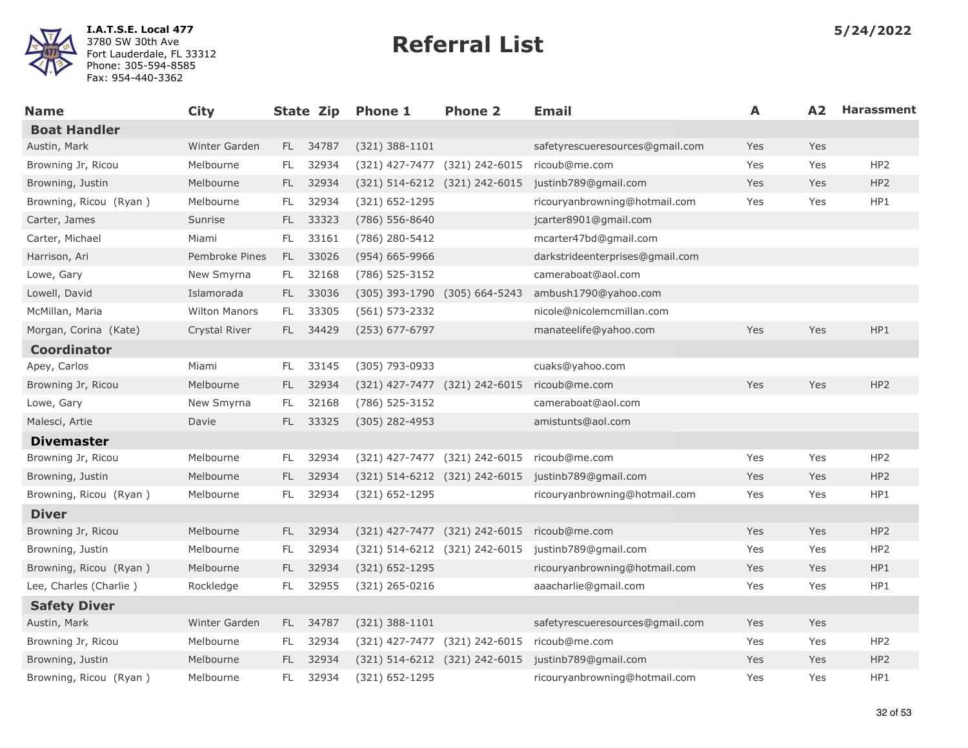

| <b>Name</b>            | <b>City</b>          |      | State Zip | <b>Phone 1</b>                | <b>Phone 2</b>                | <b>Email</b>                                       | A   | A2  | <b>Harassment</b> |
|------------------------|----------------------|------|-----------|-------------------------------|-------------------------------|----------------------------------------------------|-----|-----|-------------------|
| <b>Boat Handler</b>    |                      |      |           |                               |                               |                                                    |     |     |                   |
| Austin, Mark           | Winter Garden        |      | FL 34787  | $(321)$ 388-1101              |                               | safetyrescueresources@gmail.com                    | Yes | Yes |                   |
| Browning Jr, Ricou     | Melbourne            | FL.  | 32934     |                               | (321) 427-7477 (321) 242-6015 | ricoub@me.com                                      | Yes | Yes | HP <sub>2</sub>   |
| Browning, Justin       | Melbourne            | FL - | 32934     | (321) 514-6212 (321) 242-6015 |                               | justinb789@gmail.com                               | Yes | Yes | HP <sub>2</sub>   |
| Browning, Ricou (Ryan) | Melbourne            | FL.  | 32934     | (321) 652-1295                |                               | ricouryanbrowning@hotmail.com                      | Yes | Yes | HP1               |
| Carter, James          | Sunrise              | FL.  | 33323     | (786) 556-8640                |                               | jcarter8901@gmail.com                              |     |     |                   |
| Carter, Michael        | Miami                | FL.  | 33161     | (786) 280-5412                |                               | mcarter47bd@gmail.com                              |     |     |                   |
| Harrison, Ari          | Pembroke Pines       | FL.  | 33026     | $(954)$ 665-9966              |                               | darkstrideenterprises@gmail.com                    |     |     |                   |
| Lowe, Gary             | New Smyrna           | FL.  | 32168     | (786) 525-3152                |                               | cameraboat@aol.com                                 |     |     |                   |
| Lowell, David          | Islamorada           | FL.  | 33036     |                               | (305) 393-1790 (305) 664-5243 | ambush1790@yahoo.com                               |     |     |                   |
| McMillan, Maria        | <b>Wilton Manors</b> | FL.  | 33305     | $(561) 573 - 2332$            |                               | nicole@nicolemcmillan.com                          |     |     |                   |
| Morgan, Corina (Kate)  | Crystal River        |      | FL 34429  | (253) 677-6797                |                               | manateelife@yahoo.com                              | Yes | Yes | HP1               |
| <b>Coordinator</b>     |                      |      |           |                               |                               |                                                    |     |     |                   |
| Apey, Carlos           | Miami                | FL   | 33145     | (305) 793-0933                |                               | cuaks@yahoo.com                                    |     |     |                   |
| Browning Jr, Ricou     | Melbourne            | FL.  | 32934     | (321) 427-7477 (321) 242-6015 |                               | ricoub@me.com                                      | Yes | Yes | HP <sub>2</sub>   |
| Lowe, Gary             | New Smyrna           | FL.  | 32168     | (786) 525-3152                |                               | cameraboat@aol.com                                 |     |     |                   |
| Malesci, Artie         | Davie                | FL.  | 33325     | $(305)$ 282-4953              |                               | amistunts@aol.com                                  |     |     |                   |
| <b>Divemaster</b>      |                      |      |           |                               |                               |                                                    |     |     |                   |
| Browning Jr, Ricou     | Melbourne            | FL.  | 32934     |                               | (321) 427-7477 (321) 242-6015 | ricoub@me.com                                      | Yes | Yes | HP <sub>2</sub>   |
| Browning, Justin       | Melbourne            | FL.  | 32934     |                               |                               | (321) 514-6212 (321) 242-6015 justinb789@gmail.com | Yes | Yes | HP2               |
| Browning, Ricou (Ryan) | Melbourne            | FL.  | 32934     | (321) 652-1295                |                               | ricouryanbrowning@hotmail.com                      | Yes | Yes | HP1               |
| <b>Diver</b>           |                      |      |           |                               |                               |                                                    |     |     |                   |
| Browning Jr, Ricou     | Melbourne            |      | FL 32934  |                               | (321) 427-7477 (321) 242-6015 | ricoub@me.com                                      | Yes | Yes | HP <sub>2</sub>   |
| Browning, Justin       | Melbourne            | FL.  | 32934     | (321) 514-6212 (321) 242-6015 |                               | justinb789@gmail.com                               | Yes | Yes | HP <sub>2</sub>   |
| Browning, Ricou (Ryan) | Melbourne            | FL.  | 32934     | $(321) 652 - 1295$            |                               | ricouryanbrowning@hotmail.com                      | Yes | Yes | HP1               |
| Lee, Charles (Charlie) | Rockledge            | FL.  | 32955     | $(321)$ 265-0216              |                               | aaacharlie@gmail.com                               | Yes | Yes | HP1               |
| <b>Safety Diver</b>    |                      |      |           |                               |                               |                                                    |     |     |                   |
| Austin, Mark           | Winter Garden        |      | FL 34787  | (321) 388-1101                |                               | safetyrescueresources@gmail.com                    | Yes | Yes |                   |
| Browning Jr, Ricou     | Melbourne            | FL.  | 32934     | (321) 427-7477 (321) 242-6015 |                               | ricoub@me.com                                      | Yes | Yes | HP <sub>2</sub>   |
| Browning, Justin       | Melbourne            | FL.  | 32934     |                               | (321) 514-6212 (321) 242-6015 | justinb789@gmail.com                               | Yes | Yes | HP <sub>2</sub>   |
| Browning, Ricou (Ryan) | Melbourne            | FL.  | 32934     | $(321) 652 - 1295$            |                               | ricouryanbrowning@hotmail.com                      | Yes | Yes | HP1               |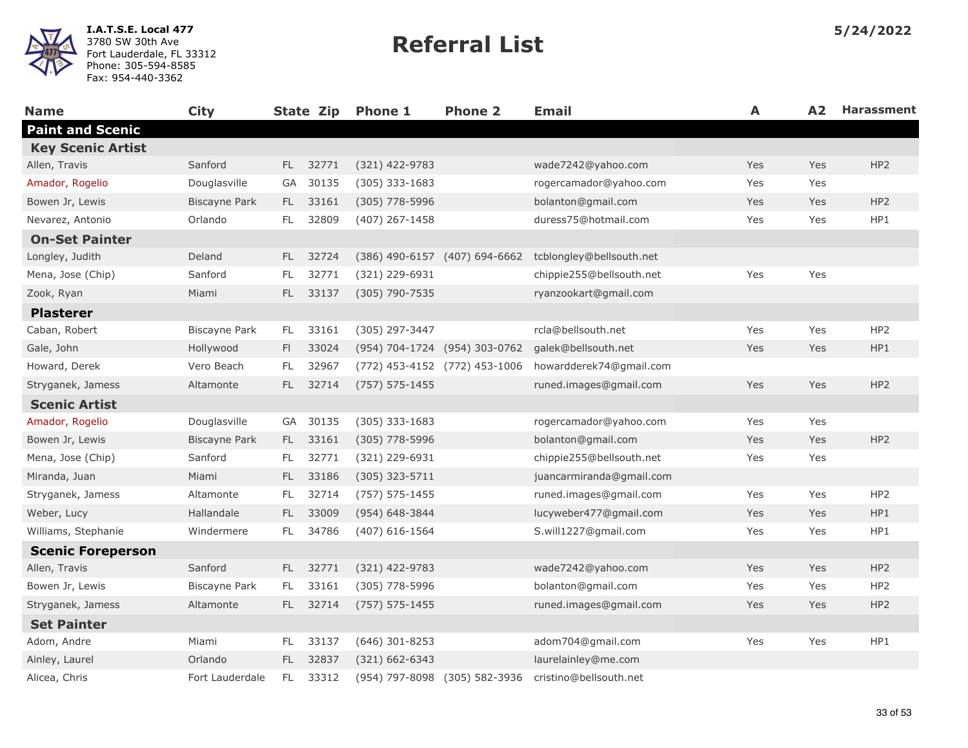| <b>Name</b>              | <b>City</b>          |           | State Zip | <b>Phone 1</b>     | <b>Phone 2</b>                | <b>Email</b>             | A   | A2  | <b>Harassment</b> |
|--------------------------|----------------------|-----------|-----------|--------------------|-------------------------------|--------------------------|-----|-----|-------------------|
| <b>Paint and Scenic</b>  |                      |           |           |                    |                               |                          |     |     |                   |
| <b>Key Scenic Artist</b> |                      |           |           |                    |                               |                          |     |     |                   |
| Allen, Travis            | Sanford              | FL.       | 32771     | (321) 422-9783     |                               | wade7242@yahoo.com       | Yes | Yes | HP <sub>2</sub>   |
| Amador, Rogelio          | Douglasville         | GA        | 30135     | $(305)$ 333-1683   |                               | rogercamador@yahoo.com   | Yes | Yes |                   |
| Bowen Jr, Lewis          | <b>Biscayne Park</b> | FL.       | 33161     | $(305)$ 778-5996   |                               | bolanton@gmail.com       | Yes | Yes | HP <sub>2</sub>   |
| Nevarez, Antonio         | Orlando              | FL.       | 32809     | $(407)$ 267-1458   |                               | duress75@hotmail.com     | Yes | Yes | HP1               |
| <b>On-Set Painter</b>    |                      |           |           |                    |                               |                          |     |     |                   |
| Longley, Judith          | Deland               | FL.       | 32724     |                    | (386) 490-6157 (407) 694-6662 | tcblongley@bellsouth.net |     |     |                   |
| Mena, Jose (Chip)        | Sanford              | FL        | 32771     | (321) 229-6931     |                               | chippie255@bellsouth.net | Yes | Yes |                   |
| Zook, Ryan               | Miami                | FL.       | 33137     | (305) 790-7535     |                               | ryanzookart@gmail.com    |     |     |                   |
| <b>Plasterer</b>         |                      |           |           |                    |                               |                          |     |     |                   |
| Caban, Robert            | Biscayne Park        | FL.       | 33161     | (305) 297-3447     |                               | rcla@bellsouth.net       | Yes | Yes | HP <sub>2</sub>   |
| Gale, John               | Hollywood            | FI.       | 33024     |                    | (954) 704-1724 (954) 303-0762 | galek@bellsouth.net      | Yes | Yes | HP1               |
| Howard, Derek            | Vero Beach           | FL        | 32967     |                    | (772) 453-4152 (772) 453-1006 | howardderek74@gmail.com  |     |     |                   |
| Stryganek, Jamess        | Altamonte            | FL.       | 32714     | $(757) 575 - 1455$ |                               | runed.images@gmail.com   | Yes | Yes | HP <sub>2</sub>   |
| <b>Scenic Artist</b>     |                      |           |           |                    |                               |                          |     |     |                   |
| Amador, Rogelio          | Douglasville         | GA        | 30135     | $(305)$ 333-1683   |                               | rogercamador@yahoo.com   | Yes | Yes |                   |
| Bowen Jr, Lewis          | <b>Biscayne Park</b> | FL.       | 33161     | (305) 778-5996     |                               | bolanton@gmail.com       | Yes | Yes | HP <sub>2</sub>   |
| Mena, Jose (Chip)        | Sanford              | FL.       | 32771     | (321) 229-6931     |                               | chippie255@bellsouth.net | Yes | Yes |                   |
| Miranda, Juan            | Miami                | FL.       | 33186     | $(305)$ 323-5711   |                               | juancarmiranda@gmail.com |     |     |                   |
| Stryganek, Jamess        | Altamonte            | FL.       | 32714     | $(757) 575 - 1455$ |                               | runed.images@gmail.com   | Yes | Yes | HP <sub>2</sub>   |
| Weber, Lucy              | Hallandale           | FL.       | 33009     | (954) 648-3844     |                               | lucyweber477@gmail.com   | Yes | Yes | HP1               |
| Williams, Stephanie      | Windermere           | FL        | 34786     | $(407)$ 616-1564   |                               | S.will1227@gmail.com     | Yes | Yes | HP1               |
| <b>Scenic Foreperson</b> |                      |           |           |                    |                               |                          |     |     |                   |
| Allen, Travis            | Sanford              | FL.       | 32771     | (321) 422-9783     |                               | wade7242@yahoo.com       | Yes | Yes | HP <sub>2</sub>   |
| Bowen Jr, Lewis          | Biscayne Park        | FL.       | 33161     | (305) 778-5996     |                               | bolanton@gmail.com       | Yes | Yes | HP <sub>2</sub>   |
| Stryganek, Jamess        | Altamonte            | FL.       | 32714     | $(757) 575 - 1455$ |                               | runed.images@gmail.com   | Yes | Yes | HP <sub>2</sub>   |
| <b>Set Painter</b>       |                      |           |           |                    |                               |                          |     |     |                   |
| Adom, Andre              | Miami                | FL.       | 33137     | $(646)$ 301-8253   |                               | adom704@gmail.com        | Yes | Yes | HP1               |
| Ainley, Laurel           | Orlando              | FL.       | 32837     | $(321) 662 - 6343$ |                               | laurelainley@me.com      |     |     |                   |
| Alicea, Chris            | Fort Lauderdale      | <b>FL</b> | 33312     |                    | (954) 797-8098 (305) 582-3936 | cristino@bellsouth.net   |     |     |                   |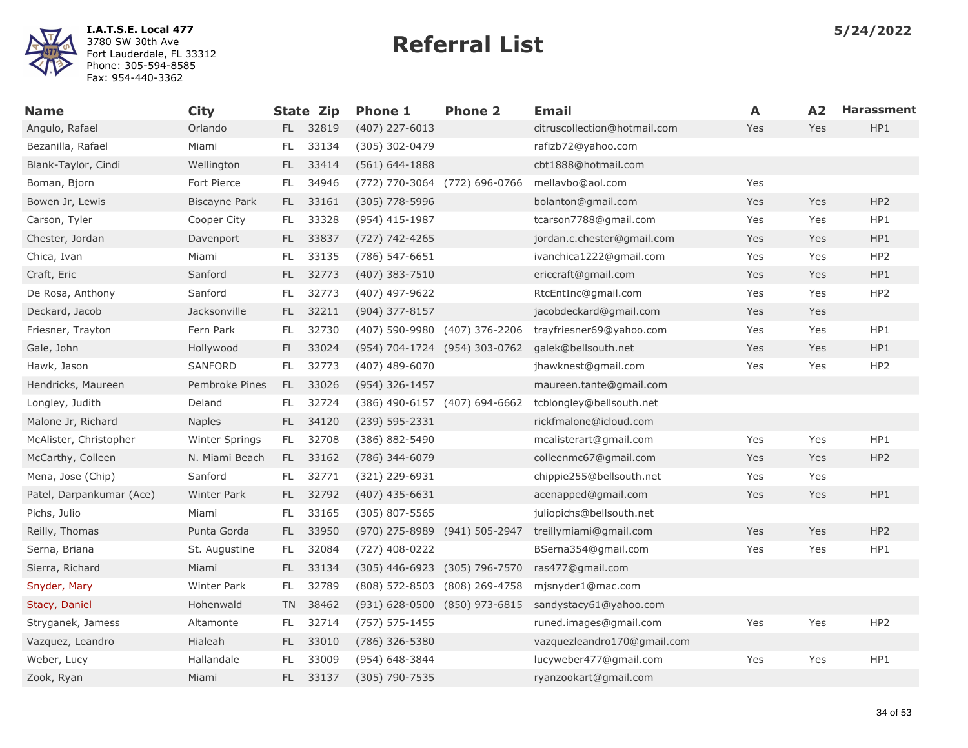

| <b>Name</b>              | <b>City</b>        |           | <b>State Zip</b> | <b>Phone 1</b>                | <b>Phone 2</b> | <b>Email</b>                 | A   | A2         | <b>Harassment</b> |
|--------------------------|--------------------|-----------|------------------|-------------------------------|----------------|------------------------------|-----|------------|-------------------|
| Angulo, Rafael           | Orlando            | FL.       | 32819            | $(407)$ 227-6013              |                | citruscollection@hotmail.com | Yes | Yes        | HP1               |
| Bezanilla, Rafael        | Miami              | FL        | 33134            | (305) 302-0479                |                | rafizb72@yahoo.com           |     |            |                   |
| Blank-Taylor, Cindi      | Wellington         | FL.       | 33414            | $(561) 644 - 1888$            |                | cbt1888@hotmail.com          |     |            |                   |
| Boman, Bjorn             | Fort Pierce        | FL.       | 34946            | (772) 770-3064 (772) 696-0766 |                | mellavbo@aol.com             | Yes |            |                   |
| Bowen Jr, Lewis          | Biscayne Park      | FL.       | 33161            | $(305)$ 778-5996              |                | bolanton@gmail.com           | Yes | Yes        | HP <sub>2</sub>   |
| Carson, Tyler            | Cooper City        | FL        | 33328            | (954) 415-1987                |                | tcarson7788@gmail.com        | Yes | Yes        | HP1               |
| Chester, Jordan          | Davenport          | FL.       | 33837            | (727) 742-4265                |                | jordan.c.chester@gmail.com   | Yes | Yes        | HP1               |
| Chica, Ivan              | Miami              | FL        | 33135            | (786) 547-6651                |                | ivanchica1222@gmail.com      | Yes | Yes        | HP <sub>2</sub>   |
| Craft, Eric              | Sanford            | FL.       | 32773            | $(407)$ 383-7510              |                | ericcraft@gmail.com          | Yes | Yes        | HP1               |
| De Rosa, Anthony         | Sanford            | FL        | 32773            | (407) 497-9622                |                | RtcEntInc@gmail.com          | Yes | Yes        | HP <sub>2</sub>   |
| Deckard, Jacob           | Jacksonville       | FL.       | 32211            | (904) 377-8157                |                | jacobdeckard@gmail.com       | Yes | Yes        |                   |
| Friesner, Trayton        | Fern Park          | FL        | 32730            | (407) 590-9980 (407) 376-2206 |                | trayfriesner69@yahoo.com     | Yes | Yes        | HP1               |
| Gale, John               | Hollywood          | FI.       | 33024            | (954) 704-1724 (954) 303-0762 |                | galek@bellsouth.net          | Yes | Yes        | HP1               |
| Hawk, Jason              | <b>SANFORD</b>     | FL        | 32773            | $(407)$ 489-6070              |                | jhawknest@gmail.com          | Yes | Yes        | HP <sub>2</sub>   |
| Hendricks, Maureen       | Pembroke Pines     | FL.       | 33026            | (954) 326-1457                |                | maureen.tante@gmail.com      |     |            |                   |
| Longley, Judith          | Deland             | FL.       | 32724            | (386) 490-6157 (407) 694-6662 |                | tcblongley@bellsouth.net     |     |            |                   |
| Malone Jr, Richard       | <b>Naples</b>      | FL        | 34120            | (239) 595-2331                |                | rickfmalone@icloud.com       |     |            |                   |
| McAlister, Christopher   | Winter Springs     | FL.       | 32708            | (386) 882-5490                |                | mcalisterart@gmail.com       | Yes | Yes        | HP1               |
| McCarthy, Colleen        | N. Miami Beach     | FL.       | 33162            | (786) 344-6079                |                | colleenmc67@gmail.com        | Yes | <b>Yes</b> | HP <sub>2</sub>   |
| Mena, Jose (Chip)        | Sanford            | FL.       | 32771            | (321) 229-6931                |                | chippie255@bellsouth.net     | Yes | Yes        |                   |
| Patel, Darpankumar (Ace) | <b>Winter Park</b> | FL.       | 32792            | $(407)$ 435-6631              |                | acenapped@gmail.com          | Yes | Yes        | HP1               |
| Pichs, Julio             | Miami              | FL        | 33165            | $(305)$ 807-5565              |                | juliopichs@bellsouth.net     |     |            |                   |
| Reilly, Thomas           | Punta Gorda        | FL.       | 33950            | (970) 275-8989 (941) 505-2947 |                | treillymiami@gmail.com       | Yes | Yes        | HP <sub>2</sub>   |
| Serna, Briana            | St. Augustine      | FL.       | 32084            | (727) 408-0222                |                | BSerna354@gmail.com          | Yes | Yes        | HP1               |
| Sierra, Richard          | Miami              | FL.       | 33134            | $(305)$ 446-6923              | (305) 796-7570 | ras477@gmail.com             |     |            |                   |
| Snyder, Mary             | <b>Winter Park</b> | FL.       | 32789            | $(808)$ 572-8503              | (808) 269-4758 | mjsnyder1@mac.com            |     |            |                   |
| Stacy, Daniel            | Hohenwald          | <b>TN</b> | 38462            | (931) 628-0500 (850) 973-6815 |                | sandystacy61@yahoo.com       |     |            |                   |
| Stryganek, Jamess        | Altamonte          | FL        | 32714            | $(757) 575 - 1455$            |                | runed.images@gmail.com       | Yes | Yes        | HP <sub>2</sub>   |
| Vazquez, Leandro         | Hialeah            | FL.       | 33010            | (786) 326-5380                |                | vazquezleandro170@gmail.com  |     |            |                   |
| Weber, Lucy              | Hallandale         | FL        | 33009            | (954) 648-3844                |                | lucyweber477@gmail.com       | Yes | Yes        | HP1               |
| Zook, Ryan               | Miami              | FL.       | 33137            | (305) 790-7535                |                | ryanzookart@gmail.com        |     |            |                   |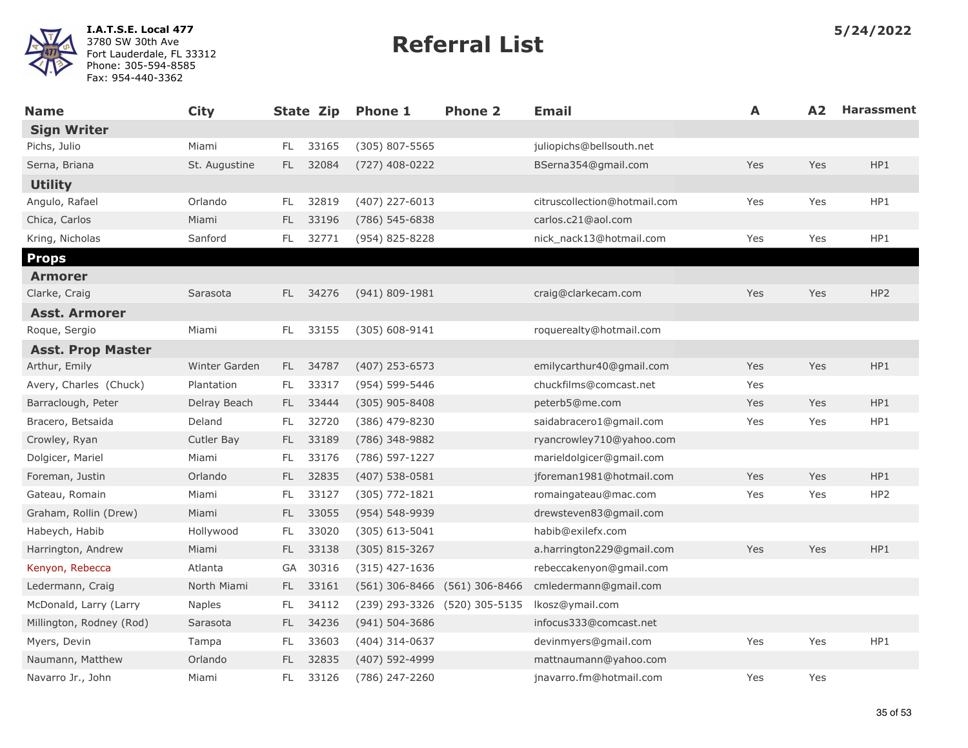

| <b>Name</b>              | <b>City</b>       |      | State Zip | <b>Phone 1</b>                | <b>Phone 2</b> | <b>Email</b>                 | A   | A2  | <b>Harassment</b> |
|--------------------------|-------------------|------|-----------|-------------------------------|----------------|------------------------------|-----|-----|-------------------|
| <b>Sign Writer</b>       |                   |      |           |                               |                |                              |     |     |                   |
| Pichs, Julio             | Miami             | FL.  | 33165     | (305) 807-5565                |                | juliopichs@bellsouth.net     |     |     |                   |
| Serna, Briana            | St. Augustine     | FL.  | 32084     | (727) 408-0222                |                | BSerna354@gmail.com          | Yes | Yes | HP1               |
| <b>Utility</b>           |                   |      |           |                               |                |                              |     |     |                   |
| Angulo, Rafael           | Orlando           | FL   | 32819     | (407) 227-6013                |                | citruscollection@hotmail.com | Yes | Yes | HP1               |
| Chica, Carlos            | Miami             | FL.  | 33196     | $(786) 545 - 6838$            |                | carlos.c21@aol.com           |     |     |                   |
| Kring, Nicholas          | Sanford           | FL.  | 32771     | (954) 825-8228                |                | nick_nack13@hotmail.com      | Yes | Yes | HP1               |
| <b>Props</b>             |                   |      |           |                               |                |                              |     |     |                   |
| <b>Armorer</b>           |                   |      |           |                               |                |                              |     |     |                   |
| Clarke, Craig            | Sarasota          | FL.  | 34276     | $(941) 809 - 1981$            |                | craig@clarkecam.com          | Yes | Yes | HP <sub>2</sub>   |
| <b>Asst. Armorer</b>     |                   |      |           |                               |                |                              |     |     |                   |
| Roque, Sergio            | Miami             | FL.  | 33155     | $(305) 608 - 9141$            |                | roquerealty@hotmail.com      |     |     |                   |
| <b>Asst. Prop Master</b> |                   |      |           |                               |                |                              |     |     |                   |
| Arthur, Emily            | Winter Garden     |      | FL 34787  | $(407)$ 253-6573              |                | emilycarthur40@gmail.com     | Yes | Yes | HP1               |
| Avery, Charles (Chuck)   | Plantation        | FL.  | 33317     | (954) 599-5446                |                | chuckfilms@comcast.net       | Yes |     |                   |
| Barraclough, Peter       | Delray Beach      | FL.  | 33444     | (305) 905-8408                |                | peterb5@me.com               | Yes | Yes | HP1               |
| Bracero, Betsaida        | Deland            | FL.  | 32720     | (386) 479-8230                |                | saidabracero1@gmail.com      | Yes | Yes | HP1               |
| Crowley, Ryan            | <b>Cutler Bay</b> | FL - | 33189     | (786) 348-9882                |                | ryancrowley710@yahoo.com     |     |     |                   |
| Dolgicer, Mariel         | Miami             | FL.  | 33176     | (786) 597-1227                |                | marieldolgicer@gmail.com     |     |     |                   |
| Foreman, Justin          | Orlando           | FL.  | 32835     | $(407)$ 538-0581              |                | jforeman1981@hotmail.com     | Yes | Yes | HP1               |
| Gateau, Romain           | Miami             | FL.  | 33127     | (305) 772-1821                |                | romaingateau@mac.com         | Yes | Yes | HP2               |
| Graham, Rollin (Drew)    | Miami             | FL   | 33055     | $(954) 548 - 9939$            |                | drewsteven83@gmail.com       |     |     |                   |
| Habeych, Habib           | Hollywood         | FL   | 33020     | $(305)$ 613-5041              |                | habib@exilefx.com            |     |     |                   |
| Harrington, Andrew       | Miami             | FL.  | 33138     | $(305)$ 815-3267              |                | a.harrington229@gmail.com    | Yes | Yes | HP1               |
| Kenyon, Rebecca          | Atlanta           | GA   | 30316     | $(315)$ 427-1636              |                | rebeccakenyon@gmail.com      |     |     |                   |
| Ledermann, Craig         | North Miami       | FL.  | 33161     | $(561)$ 306-8466              | (561) 306-8466 | cmledermann@gmail.com        |     |     |                   |
| McDonald, Larry (Larry   | <b>Naples</b>     | FL   | 34112     | (239) 293-3326 (520) 305-5135 |                | Ikosz@ymail.com              |     |     |                   |
| Millington, Rodney (Rod) | Sarasota          | FL.  | 34236     | (941) 504-3686                |                | infocus333@comcast.net       |     |     |                   |
| Myers, Devin             | Tampa             | FL.  | 33603     | (404) 314-0637                |                | devinmyers@gmail.com         | Yes | Yes | HP1               |
| Naumann, Matthew         | Orlando           | FL.  | 32835     | (407) 592-4999                |                | mattnaumann@yahoo.com        |     |     |                   |
| Navarro Jr., John        | Miami             | FL.  | 33126     | (786) 247-2260                |                | jnavarro.fm@hotmail.com      | Yes | Yes |                   |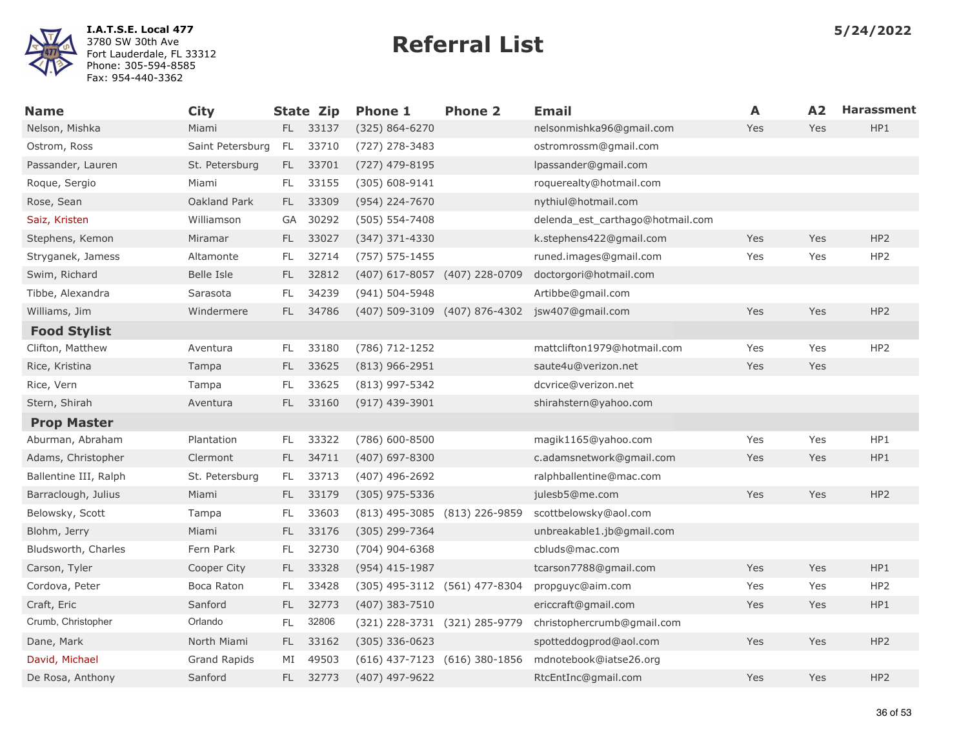

| <b>Name</b>           | <b>City</b>      |           | <b>State Zip</b> | <b>Phone 1</b>                | <b>Phone 2</b> | <b>Email</b>                     | A          | A2  | <b>Harassment</b> |
|-----------------------|------------------|-----------|------------------|-------------------------------|----------------|----------------------------------|------------|-----|-------------------|
| Nelson, Mishka        | Miami            |           | FL 33137         | $(325) 864 - 6270$            |                | nelsonmishka96@gmail.com         | <b>Yes</b> | Yes | HP1               |
| Ostrom, Ross          | Saint Petersburg | <b>FL</b> | 33710            | (727) 278-3483                |                | ostromrossm@gmail.com            |            |     |                   |
| Passander, Lauren     | St. Petersburg   | FL.       | 33701            | (727) 479-8195                |                | lpassander@gmail.com             |            |     |                   |
| Roque, Sergio         | Miami            | FL.       | 33155            | $(305) 608 - 9141$            |                | roquerealty@hotmail.com          |            |     |                   |
| Rose, Sean            | Oakland Park     | FL.       | 33309            | (954) 224-7670                |                | nythiul@hotmail.com              |            |     |                   |
| Saiz, Kristen         | Williamson       | GA        | 30292            | $(505) 554 - 7408$            |                | delenda_est_carthago@hotmail.com |            |     |                   |
| Stephens, Kemon       | Miramar          | FL.       | 33027            | $(347)$ 371-4330              |                | k.stephens422@gmail.com          | Yes        | Yes | HP <sub>2</sub>   |
| Stryganek, Jamess     | Altamonte        | FL        | 32714            | $(757) 575 - 1455$            |                | runed.images@gmail.com           | Yes        | Yes | HP <sub>2</sub>   |
| Swim, Richard         | Belle Isle       | FL.       | 32812            | (407) 617-8057 (407) 228-0709 |                | doctorgori@hotmail.com           |            |     |                   |
| Tibbe, Alexandra      | Sarasota         | FL.       | 34239            | (941) 504-5948                |                | Artibbe@gmail.com                |            |     |                   |
| Williams, Jim         | Windermere       | FL.       | 34786            | (407) 509-3109 (407) 876-4302 |                | jsw407@gmail.com                 | Yes        | Yes | HP <sub>2</sub>   |
| <b>Food Stylist</b>   |                  |           |                  |                               |                |                                  |            |     |                   |
| Clifton, Matthew      | Aventura         | FL        | 33180            | (786) 712-1252                |                | mattclifton1979@hotmail.com      | Yes        | Yes | HP <sub>2</sub>   |
| Rice, Kristina        | Tampa            | FL.       | 33625            | $(813)$ 966-2951              |                | saute4u@verizon.net              | Yes        | Yes |                   |
| Rice, Vern            | Tampa            | FL        | 33625            | (813) 997-5342                |                | dcvrice@verizon.net              |            |     |                   |
| Stern, Shirah         | Aventura         | FL.       | 33160            | $(917)$ 439-3901              |                | shirahstern@yahoo.com            |            |     |                   |
| <b>Prop Master</b>    |                  |           |                  |                               |                |                                  |            |     |                   |
| Aburman, Abraham      | Plantation       | FL.       | 33322            | (786) 600-8500                |                | magik1165@yahoo.com              | Yes        | Yes | HP1               |
| Adams, Christopher    | Clermont         | FL.       | 34711            | $(407)$ 697-8300              |                | c.adamsnetwork@gmail.com         | Yes        | Yes | HP1               |
| Ballentine III, Ralph | St. Petersburg   | FL        | 33713            | (407) 496-2692                |                | ralphballentine@mac.com          |            |     |                   |
| Barraclough, Julius   | Miami            | FL.       | 33179            | $(305)$ 975-5336              |                | julesb5@me.com                   | Yes        | Yes | HP <sub>2</sub>   |
| Belowsky, Scott       | Tampa            | FL        | 33603            | (813) 495-3085 (813) 226-9859 |                | scottbelowsky@aol.com            |            |     |                   |
| Blohm, Jerry          | Miami            | FL.       | 33176            | (305) 299-7364                |                | unbreakable1.jb@gmail.com        |            |     |                   |
| Bludsworth, Charles   | Fern Park        | FL        | 32730            | $(704)$ 904-6368              |                | cbluds@mac.com                   |            |     |                   |
| Carson, Tyler         | Cooper City      | FL.       | 33328            | $(954)$ 415-1987              |                | tcarson7788@gmail.com            | Yes        | Yes | HP1               |
| Cordova, Peter        | Boca Raton       | FL        | 33428            | (305) 495-3112 (561) 477-8304 |                | propguyc@aim.com                 | Yes        | Yes | HP <sub>2</sub>   |
| Craft, Eric           | Sanford          | FL.       | 32773            | (407) 383-7510                |                | ericcraft@gmail.com              | Yes        | Yes | HP1               |
| Crumb, Christopher    | Orlando          | FL        | 32806            | (321) 228-3731 (321) 285-9779 |                | christophercrumb@gmail.com       |            |     |                   |
| Dane, Mark            | North Miami      | FL.       | 33162            | $(305)$ 336-0623              |                | spotteddogprod@aol.com           | Yes        | Yes | HP <sub>2</sub>   |
| David, Michael        | Grand Rapids     | MI        | 49503            | (616) 437-7123 (616) 380-1856 |                | mdnotebook@iatse26.org           |            |     |                   |
| De Rosa, Anthony      | Sanford          | FL.       | 32773            | (407) 497-9622                |                | RtcEntInc@gmail.com              | Yes        | Yes | HP <sub>2</sub>   |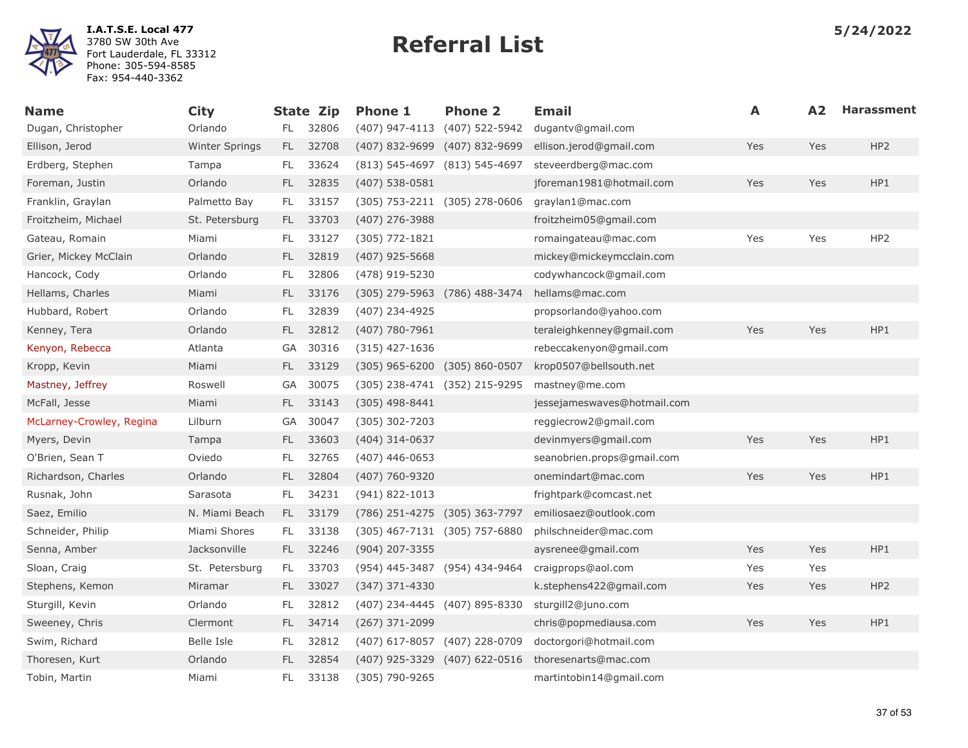

| <b>Name</b>              | <b>City</b>           |           | <b>State Zip</b> | <b>Phone 1</b>                | <b>Phone 2</b>                | Email                       | A   | A2  | <b>Harassment</b> |
|--------------------------|-----------------------|-----------|------------------|-------------------------------|-------------------------------|-----------------------------|-----|-----|-------------------|
| Dugan, Christopher       | Orlando               | FL        | 32806            | $(407)$ 947-4113              | (407) 522-5942                | dugantv@gmail.com           |     |     |                   |
| Ellison, Jerod           | <b>Winter Springs</b> | FL.       | 32708            | $(407)$ 832-9699              | (407) 832-9699                | ellison.jerod@gmail.com     | Yes | Yes | HP <sub>2</sub>   |
| Erdberg, Stephen         | Tampa                 | FL.       | 33624            |                               | (813) 545-4697 (813) 545-4697 | steveerdberg@mac.com        |     |     |                   |
| Foreman, Justin          | Orlando               | FL.       | 32835            | $(407)$ 538-0581              |                               | jforeman1981@hotmail.com    | Yes | Yes | HP1               |
| Franklin, Graylan        | Palmetto Bay          | FL.       | 33157            | (305) 753-2211 (305) 278-0606 |                               | graylan1@mac.com            |     |     |                   |
| Froitzheim, Michael      | St. Petersburg        | FL.       | 33703            | $(407)$ 276-3988              |                               | froitzheim05@gmail.com      |     |     |                   |
| Gateau, Romain           | Miami                 | FL.       | 33127            | (305) 772-1821                |                               | romaingateau@mac.com        | Yes | Yes | HP <sub>2</sub>   |
| Grier, Mickey McClain    | Orlando               | FL.       | 32819            | (407) 925-5668                |                               | mickey@mickeymcclain.com    |     |     |                   |
| Hancock, Cody            | Orlando               | FL.       | 32806            | (478) 919-5230                |                               | codywhancock@gmail.com      |     |     |                   |
| Hellams, Charles         | Miami                 | FL.       | 33176            | (305) 279-5963 (786) 488-3474 |                               | hellams@mac.com             |     |     |                   |
| Hubbard, Robert          | Orlando               | FL        | 32839            | (407) 234-4925                |                               | propsorlando@yahoo.com      |     |     |                   |
| Kenney, Tera             | Orlando               | FL.       | 32812            | $(407)$ 780-7961              |                               | teraleighkenney@gmail.com   | Yes | Yes | HP1               |
| Kenyon, Rebecca          | Atlanta               | GA        | 30316            | $(315)$ 427-1636              |                               | rebeccakenyon@gmail.com     |     |     |                   |
| Kropp, Kevin             | Miami                 | FL.       | 33129            | (305) 965-6200 (305) 860-0507 |                               | krop0507@bellsouth.net      |     |     |                   |
| Mastney, Jeffrey         | Roswell               | GA        | 30075            |                               | (305) 238-4741 (352) 215-9295 | mastney@me.com              |     |     |                   |
| McFall, Jesse            | Miami                 | FL.       | 33143            | $(305)$ 498-8441              |                               | jessejameswaves@hotmail.com |     |     |                   |
| McLarney-Crowley, Regina | Lilburn               | GA        | 30047            | (305) 302-7203                |                               | reggiecrow2@gmail.com       |     |     |                   |
| Myers, Devin             | Tampa                 | FL.       | 33603            | $(404)$ 314-0637              |                               | devinmyers@gmail.com        | Yes | Yes | HP1               |
| O'Brien, Sean T          | Oviedo                | FL        | 32765            | $(407)$ 446-0653              |                               | seanobrien.props@gmail.com  |     |     |                   |
| Richardson, Charles      | Orlando               | FL.       | 32804            | (407) 760-9320                |                               | onemindart@mac.com          | Yes | Yes | HP1               |
| Rusnak, John             | Sarasota              | FL.       | 34231            | (941) 822-1013                |                               | frightpark@comcast.net      |     |     |                   |
| Saez, Emilio             | N. Miami Beach        | FL.       | 33179            | (786) 251-4275 (305) 363-7797 |                               | emiliosaez@outlook.com      |     |     |                   |
| Schneider, Philip        | Miami Shores          | FL.       | 33138            | (305) 467-7131 (305) 757-6880 |                               | philschneider@mac.com       |     |     |                   |
| Senna, Amber             | Jacksonville          | FL.       | 32246            | (904) 207-3355                |                               | aysrenee@gmail.com          | Yes | Yes | HP1               |
| Sloan, Craig             | St. Petersburg        | FL.       | 33703            | (954) 445-3487 (954) 434-9464 |                               | craigprops@aol.com          | Yes | Yes |                   |
| Stephens, Kemon          | Miramar               | FL.       | 33027            | (347) 371-4330                |                               | k.stephens422@gmail.com     | Yes | Yes | HP <sub>2</sub>   |
| Sturgill, Kevin          | Orlando               | FL        | 32812            | (407) 234-4445 (407) 895-8330 |                               | sturgill2@juno.com          |     |     |                   |
| Sweeney, Chris           | Clermont              | FL.       | 34714            | (267) 371-2099                |                               | chris@popmediausa.com       | Yes | Yes | HP1               |
| Swim, Richard            | Belle Isle            | FL.       | 32812            | (407) 617-8057 (407) 228-0709 |                               | doctorgori@hotmail.com      |     |     |                   |
| Thoresen, Kurt           | Orlando               | <b>FL</b> | 32854            |                               | (407) 925-3329 (407) 622-0516 | thoresenarts@mac.com        |     |     |                   |
| Tobin, Martin            | Miami                 | FL.       | 33138            | (305) 790-9265                |                               | martintobin14@gmail.com     |     |     |                   |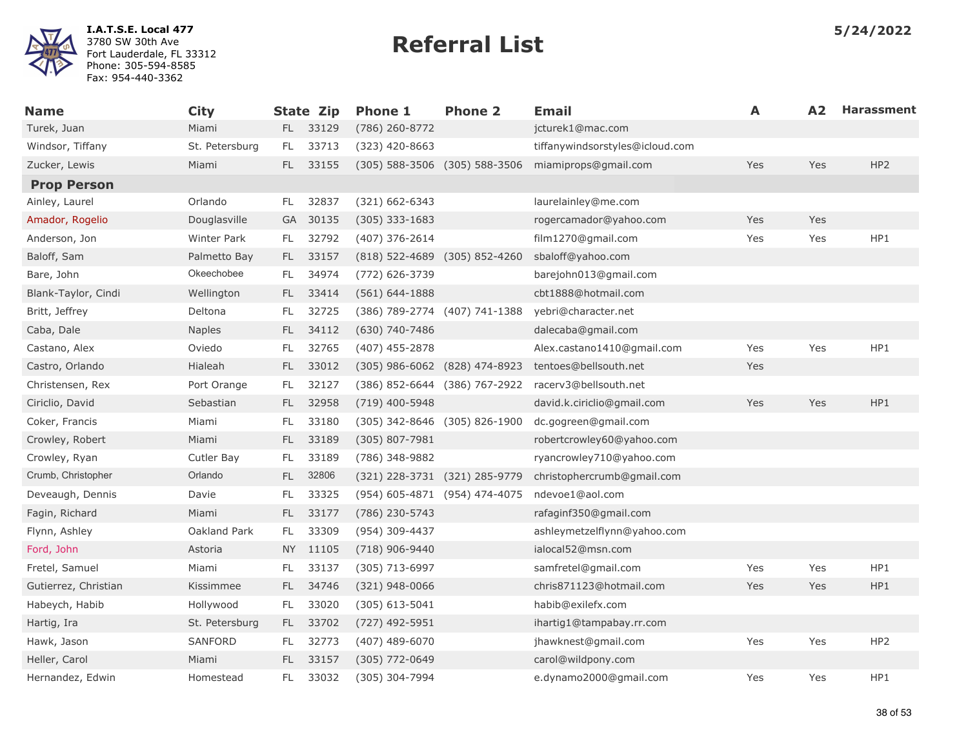

| <b>Name</b>          | <b>City</b>    |      | State Zip | <b>Phone 1</b>                    | <b>Phone 2</b>                | <b>Email</b>                    | A   | A <sub>2</sub> | <b>Harassment</b> |
|----------------------|----------------|------|-----------|-----------------------------------|-------------------------------|---------------------------------|-----|----------------|-------------------|
| Turek, Juan          | Miami          | FL.  | 33129     | (786) 260-8772                    |                               | jcturek1@mac.com                |     |                |                   |
| Windsor, Tiffany     | St. Petersburg | FL.  | 33713     | (323) 420-8663                    |                               | tiffanywindsorstyles@icloud.com |     |                |                   |
| Zucker, Lewis        | Miami          | FL.  | 33155     | (305) 588-3506 (305) 588-3506     |                               | miamiprops@gmail.com            | Yes | Yes            | HP <sub>2</sub>   |
| <b>Prop Person</b>   |                |      |           |                                   |                               |                                 |     |                |                   |
| Ainley, Laurel       | Orlando        | FL.  | 32837     | (321) 662-6343                    |                               | laurelainley@me.com             |     |                |                   |
| Amador, Rogelio      | Douglasville   |      | GA 30135  | $(305)$ 333-1683                  |                               | rogercamador@yahoo.com          | Yes | Yes            |                   |
| Anderson, Jon        | Winter Park    | FL.  | 32792     | (407) 376-2614                    |                               | film1270@gmail.com              | Yes | Yes            | HP1               |
| Baloff, Sam          | Palmetto Bay   | FL.  | 33157     | (818) 522-4689 (305) 852-4260     |                               | sbaloff@yahoo.com               |     |                |                   |
| Bare, John           | Okeechobee     | FL.  | 34974     | (772) 626-3739                    |                               | barejohn013@gmail.com           |     |                |                   |
| Blank-Taylor, Cindi  | Wellington     | FL.  | 33414     | $(561) 644 - 1888$                |                               | cbt1888@hotmail.com             |     |                |                   |
| Britt, Jeffrey       | Deltona        | FL   | 32725     |                                   | (386) 789-2774 (407) 741-1388 | yebri@character.net             |     |                |                   |
| Caba, Dale           | <b>Naples</b>  | FL.  | 34112     | (630) 740-7486                    |                               | dalecaba@gmail.com              |     |                |                   |
| Castano, Alex        | Oviedo         | FL.  | 32765     | $(407)$ 455-2878                  |                               | Alex.castano1410@gmail.com      | Yes | Yes            | HP1               |
| Castro, Orlando      | Hialeah        | FL.  | 33012     | $(305)$ 986-6062 $(828)$ 474-8923 |                               | tentoes@bellsouth.net           | Yes |                |                   |
| Christensen, Rex     | Port Orange    | FL.  | 32127     | (386) 852-6644 (386) 767-2922     |                               | racerv3@bellsouth.net           |     |                |                   |
| Ciriclio, David      | Sebastian      | FL.  | 32958     | (719) 400-5948                    |                               | david.k.ciriclio@gmail.com      | Yes | Yes            | HP1               |
| Coker, Francis       | Miami          | FL   | 33180     | (305) 342-8646 (305) 826-1900     |                               | dc.gogreen@gmail.com            |     |                |                   |
| Crowley, Robert      | Miami          | FL.  | 33189     | (305) 807-7981                    |                               | robertcrowley60@yahoo.com       |     |                |                   |
| Crowley, Ryan        | Cutler Bay     | FL.  | 33189     | (786) 348-9882                    |                               | ryancrowley710@yahoo.com        |     |                |                   |
| Crumb, Christopher   | Orlando        | FL.  | 32806     | (321) 228-3731 (321) 285-9779     |                               | christophercrumb@gmail.com      |     |                |                   |
| Deveaugh, Dennis     | Davie          | FL   | 33325     |                                   | (954) 605-4871 (954) 474-4075 | ndevoe1@aol.com                 |     |                |                   |
| Fagin, Richard       | Miami          | FL.  | 33177     | (786) 230-5743                    |                               | rafaginf350@gmail.com           |     |                |                   |
| Flynn, Ashley        | Oakland Park   | FL.  | 33309     | (954) 309-4437                    |                               | ashleymetzelflynn@yahoo.com     |     |                |                   |
| Ford, John           | Astoria        | NY I | 11105     | (718) 906-9440                    |                               | ialocal52@msn.com               |     |                |                   |
| Fretel, Samuel       | Miami          | FL.  | 33137     | (305) 713-6997                    |                               | samfretel@gmail.com             | Yes | Yes            | HP1               |
| Gutierrez, Christian | Kissimmee      | FL.  | 34746     | $(321)$ 948-0066                  |                               | chris871123@hotmail.com         | Yes | Yes            | HP1               |
| Habeych, Habib       | Hollywood      | FL.  | 33020     | $(305)$ 613-5041                  |                               | habib@exilefx.com               |     |                |                   |
| Hartig, Ira          | St. Petersburg | FL.  | 33702     | (727) 492-5951                    |                               | ihartig1@tampabay.rr.com        |     |                |                   |
| Hawk, Jason          | SANFORD        | FL.  | 32773     | $(407)$ 489-6070                  |                               | jhawknest@gmail.com             | Yes | Yes            | HP <sub>2</sub>   |
| Heller, Carol        | Miami          | FL   | 33157     | (305) 772-0649                    |                               | carol@wildpony.com              |     |                |                   |
| Hernandez, Edwin     | Homestead      | FL   | 33032     | (305) 304-7994                    |                               | e.dynamo2000@gmail.com          | Yes | Yes            | HP1               |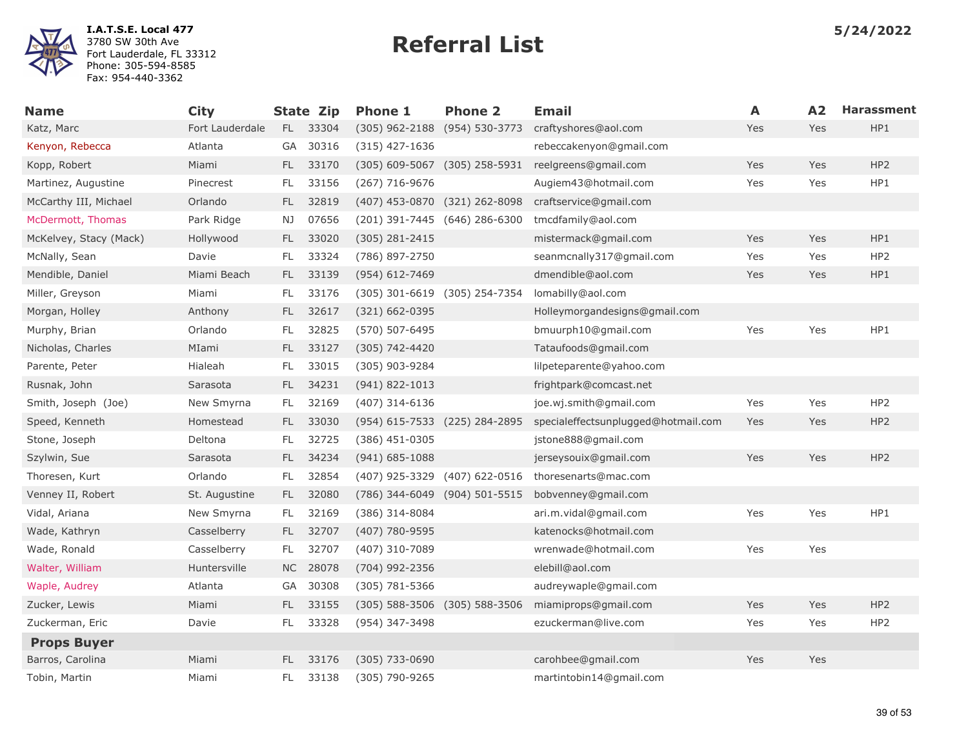

| <b>Name</b>            | <b>City</b>     |           | <b>State Zip</b> | <b>Phone 1</b>                | <b>Phone 2</b>     | <b>Email</b>                        | A   | A2  | <b>Harassment</b> |
|------------------------|-----------------|-----------|------------------|-------------------------------|--------------------|-------------------------------------|-----|-----|-------------------|
| Katz, Marc             | Fort Lauderdale |           | FL 33304         | (305) 962-2188 (954) 530-3773 |                    | craftyshores@aol.com                | Yes | Yes | HP1               |
| Kenyon, Rebecca        | Atlanta         | GA        | 30316            | $(315)$ 427-1636              |                    | rebeccakenyon@gmail.com             |     |     |                   |
| Kopp, Robert           | Miami           | FL.       | 33170            | (305) 609-5067 (305) 258-5931 |                    | reelgreens@gmail.com                | Yes | Yes | HP <sub>2</sub>   |
| Martinez, Augustine    | Pinecrest       | FL.       | 33156            | $(267)$ 716-9676              |                    | Augiem43@hotmail.com                | Yes | Yes | HP1               |
| McCarthy III, Michael  | Orlando         | FL.       | 32819            | (407) 453-0870 (321) 262-8098 |                    | craftservice@gmail.com              |     |     |                   |
| McDermott, Thomas      | Park Ridge      | NJ.       | 07656            | (201) 391-7445 (646) 286-6300 |                    | tmcdfamily@aol.com                  |     |     |                   |
| McKelvey, Stacy (Mack) | Hollywood       | FL.       | 33020            | $(305)$ 281-2415              |                    | mistermack@gmail.com                | Yes | Yes | HP1               |
| McNally, Sean          | Davie           | FL        | 33324            | (786) 897-2750                |                    | seanmcnally317@gmail.com            | Yes | Yes | HP <sub>2</sub>   |
| Mendible, Daniel       | Miami Beach     | FL.       | 33139            | $(954) 612 - 7469$            |                    | dmendible@aol.com                   | Yes | Yes | HP1               |
| Miller, Greyson        | Miami           | FL        | 33176            | (305) 301-6619 (305) 254-7354 |                    | lomabilly@aol.com                   |     |     |                   |
| Morgan, Holley         | Anthony         | FL.       | 32617            | $(321)$ 662-0395              |                    | Holleymorgandesigns@gmail.com       |     |     |                   |
| Murphy, Brian          | Orlando         | FL        | 32825            | (570) 507-6495                |                    | bmuurph10@gmail.com                 | Yes | Yes | HP1               |
| Nicholas, Charles      | MIami           | FL        | 33127            | (305) 742-4420                |                    | Tataufoods@gmail.com                |     |     |                   |
| Parente, Peter         | Hialeah         | FL        | 33015            | (305) 903-9284                |                    | lilpeteparente@yahoo.com            |     |     |                   |
| Rusnak, John           | Sarasota        | FL.       | 34231            | $(941) 822 - 1013$            |                    | frightpark@comcast.net              |     |     |                   |
| Smith, Joseph (Joe)    | New Smyrna      | FL        | 32169            | $(407)$ 314-6136              |                    | joe.wj.smith@gmail.com              | Yes | Yes | HP <sub>2</sub>   |
| Speed, Kenneth         | Homestead       | FL.       | 33030            | (954) 615-7533 (225) 284-2895 |                    | specialeffectsunplugged@hotmail.com | Yes | Yes | HP <sub>2</sub>   |
| Stone, Joseph          | Deltona         | FL.       | 32725            | (386) 451-0305                |                    | jstone888@gmail.com                 |     |     |                   |
| Szylwin, Sue           | Sarasota        | FL.       | 34234            | $(941) 685 - 1088$            |                    | jerseysouix@gmail.com               | Yes | Yes | HP <sub>2</sub>   |
| Thoresen, Kurt         | Orlando         | FL        | 32854            | (407) 925-3329                | (407) 622-0516     | thoresenarts@mac.com                |     |     |                   |
| Venney II, Robert      | St. Augustine   | FL.       | 32080            | (786) 344-6049                | $(904) 501 - 5515$ | bobvenney@gmail.com                 |     |     |                   |
| Vidal, Ariana          | New Smyrna      | FL.       | 32169            | (386) 314-8084                |                    | ari.m.vidal@gmail.com               | Yes | Yes | HP1               |
| Wade, Kathryn          | Casselberry     | FL.       | 32707            | (407) 780-9595                |                    | katenocks@hotmail.com               |     |     |                   |
| Wade, Ronald           | Casselberry     | FL.       | 32707            | (407) 310-7089                |                    | wrenwade@hotmail.com                | Yes | Yes |                   |
| Walter, William        | Huntersville    | <b>NC</b> | 28078            | (704) 992-2356                |                    | elebill@aol.com                     |     |     |                   |
| Waple, Audrey          | Atlanta         | GA        | 30308            | $(305)$ 781-5366              |                    | audreywaple@gmail.com               |     |     |                   |
| Zucker, Lewis          | Miami           | FL.       | 33155            | (305) 588-3506 (305) 588-3506 |                    | miamiprops@gmail.com                | Yes | Yes | HP <sub>2</sub>   |
| Zuckerman, Eric        | Davie           | FL.       | 33328            | (954) 347-3498                |                    | ezuckerman@live.com                 | Yes | Yes | HP <sub>2</sub>   |
| <b>Props Buyer</b>     |                 |           |                  |                               |                    |                                     |     |     |                   |
| Barros, Carolina       | Miami           | FL.       | 33176            | $(305)$ 733-0690              |                    | carohbee@gmail.com                  | Yes | Yes |                   |
| Tobin, Martin          | Miami           | FL.       | 33138            | (305) 790-9265                |                    | martintobin14@gmail.com             |     |     |                   |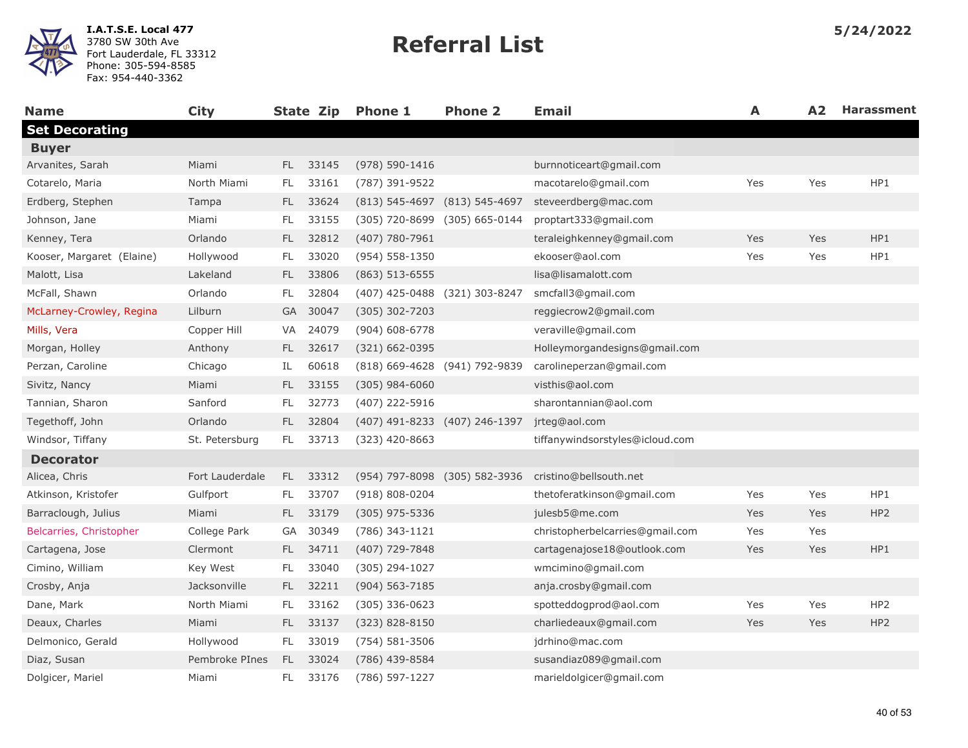

| <b>Name</b>               | <b>City</b>     |     |       | State Zip Phone 1  | <b>Phone 2</b>                | <b>Email</b>                    | A   | A <sub>2</sub> | <b>Harassment</b> |
|---------------------------|-----------------|-----|-------|--------------------|-------------------------------|---------------------------------|-----|----------------|-------------------|
| <b>Set Decorating</b>     |                 |     |       |                    |                               |                                 |     |                |                   |
| <b>Buyer</b>              |                 |     |       |                    |                               |                                 |     |                |                   |
| Arvanites, Sarah          | Miami           | FL. | 33145 | (978) 590-1416     |                               | burnnoticeart@gmail.com         |     |                |                   |
| Cotarelo, Maria           | North Miami     | FL. | 33161 | (787) 391-9522     |                               | macotarelo@gmail.com            | Yes | Yes            | HP1               |
| Erdberg, Stephen          | Tampa           | FL. | 33624 |                    | (813) 545-4697 (813) 545-4697 | steveerdberg@mac.com            |     |                |                   |
| Johnson, Jane             | Miami           | FL  | 33155 |                    | (305) 720-8699 (305) 665-0144 | proptart333@gmail.com           |     |                |                   |
| Kenney, Tera              | Orlando         | FL. | 32812 | (407) 780-7961     |                               | teraleighkenney@gmail.com       | Yes | Yes            | HP1               |
| Kooser, Margaret (Elaine) | Hollywood       | FL. | 33020 | $(954) 558 - 1350$ |                               | ekooser@aol.com                 | Yes | Yes            | HP1               |
| Malott, Lisa              | Lakeland        | FL. | 33806 | $(863)$ 513-6555   |                               | lisa@lisamalott.com             |     |                |                   |
| McFall, Shawn             | Orlando         | FL  | 32804 |                    | (407) 425-0488 (321) 303-8247 | smcfall3@gmail.com              |     |                |                   |
| McLarney-Crowley, Regina  | Lilburn         | GA  | 30047 | $(305)$ 302-7203   |                               | reggiecrow2@gmail.com           |     |                |                   |
| Mills, Vera               | Copper Hill     | VA  | 24079 | $(904) 608 - 6778$ |                               | veraville@gmail.com             |     |                |                   |
| Morgan, Holley            | Anthony         | FL. | 32617 | $(321) 662 - 0395$ |                               | Holleymorgandesigns@gmail.com   |     |                |                   |
| Perzan, Caroline          | Chicago         | IL  | 60618 |                    | (818) 669-4628 (941) 792-9839 | carolineperzan@gmail.com        |     |                |                   |
| Sivitz, Nancy             | Miami           | FL. | 33155 | $(305)$ 984-6060   |                               | visthis@aol.com                 |     |                |                   |
| Tannian, Sharon           | Sanford         | FL. | 32773 | (407) 222-5916     |                               | sharontannian@aol.com           |     |                |                   |
| Tegethoff, John           | Orlando         | FL. | 32804 |                    | (407) 491-8233 (407) 246-1397 | jrteg@aol.com                   |     |                |                   |
| Windsor, Tiffany          | St. Petersburg  | FL. | 33713 | (323) 420-8663     |                               | tiffanywindsorstyles@icloud.com |     |                |                   |
| <b>Decorator</b>          |                 |     |       |                    |                               |                                 |     |                |                   |
| Alicea, Chris             | Fort Lauderdale | FL. | 33312 |                    | (954) 797-8098 (305) 582-3936 | cristino@bellsouth.net          |     |                |                   |
| Atkinson, Kristofer       | Gulfport        | FL. | 33707 | $(918) 808 - 0204$ |                               | thetoferatkinson@gmail.com      | Yes | Yes            | HP1               |
| Barraclough, Julius       | Miami           | FL. | 33179 | $(305)$ 975-5336   |                               | julesb5@me.com                  | Yes | Yes            | HP <sub>2</sub>   |
| Belcarries, Christopher   | College Park    | GA  | 30349 | (786) 343-1121     |                               | christopherbelcarries@gmail.com | Yes | Yes            |                   |
| Cartagena, Jose           | Clermont        | FL. | 34711 | (407) 729-7848     |                               | cartagenajose18@outlook.com     | Yes | Yes            | HP1               |
| Cimino, William           | Key West        | FL. | 33040 | (305) 294-1027     |                               | wmcimino@gmail.com              |     |                |                   |
| Crosby, Anja              | Jacksonville    | FL. | 32211 | $(904) 563 - 7185$ |                               | anja.crosby@gmail.com           |     |                |                   |
| Dane, Mark                | North Miami     | FL. | 33162 | $(305)$ 336-0623   |                               | spotteddogprod@aol.com          | Yes | Yes            | HP <sub>2</sub>   |
| Deaux, Charles            | Miami           | FL. | 33137 | (323) 828-8150     |                               | charliedeaux@gmail.com          | Yes | Yes            | HP <sub>2</sub>   |
| Delmonico, Gerald         | Hollywood       | FL. | 33019 | (754) 581-3506     |                               | jdrhino@mac.com                 |     |                |                   |
| Diaz, Susan               | Pembroke PInes  | FL. | 33024 | (786) 439-8584     |                               | susandiaz089@gmail.com          |     |                |                   |
| Dolgicer, Mariel          | Miami           | FL. | 33176 | (786) 597-1227     |                               | marieldolgicer@gmail.com        |     |                |                   |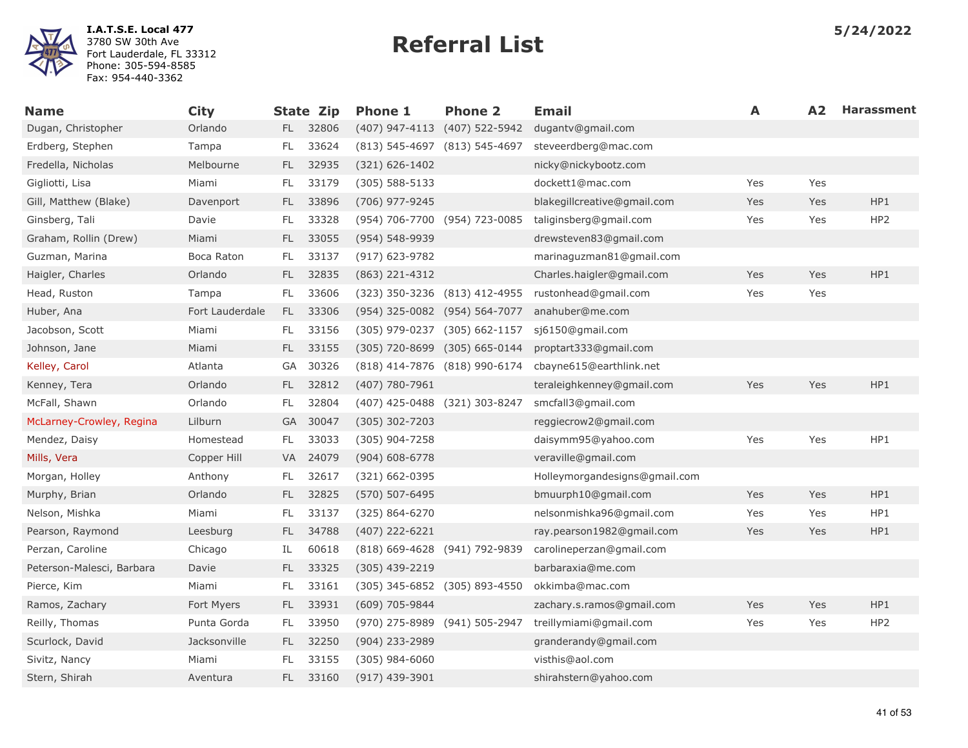

| <b>Name</b>               | <b>City</b>     |           | State Zip | <b>Phone 1</b>                | <b>Phone 2</b>                | <b>Email</b>                  | A   | A <sub>2</sub> | <b>Harassment</b> |
|---------------------------|-----------------|-----------|-----------|-------------------------------|-------------------------------|-------------------------------|-----|----------------|-------------------|
| Dugan, Christopher        | Orlando         | FL -      | 32806     | $(407)$ 947-4113              | (407) 522-5942                | dugantv@gmail.com             |     |                |                   |
| Erdberg, Stephen          | Tampa           | FL        | 33624     | (813) 545-4697 (813) 545-4697 |                               | steveerdberg@mac.com          |     |                |                   |
| Fredella, Nicholas        | Melbourne       | FL.       | 32935     | (321) 626-1402                |                               | nicky@nickybootz.com          |     |                |                   |
| Gigliotti, Lisa           | Miami           | FL        | 33179     | $(305) 588 - 5133$            |                               | dockett1@mac.com              | Yes | Yes            |                   |
| Gill, Matthew (Blake)     | Davenport       | FL.       | 33896     | (706) 977-9245                |                               | blakegillcreative@gmail.com   | Yes | Yes            | HP1               |
| Ginsberg, Tali            | Davie           | FL        | 33328     |                               | (954) 706-7700 (954) 723-0085 | taliginsberg@gmail.com        | Yes | Yes            | HP <sub>2</sub>   |
| Graham, Rollin (Drew)     | Miami           | FL        | 33055     | (954) 548-9939                |                               | drewsteven83@gmail.com        |     |                |                   |
| Guzman, Marina            | Boca Raton      | FL        | 33137     | (917) 623-9782                |                               | marinaguzman81@gmail.com      |     |                |                   |
| Haigler, Charles          | Orlando         | FL.       | 32835     | (863) 221-4312                |                               | Charles.haigler@gmail.com     | Yes | Yes            | HP1               |
| Head, Ruston              | Tampa           | FL.       | 33606     |                               | (323) 350-3236 (813) 412-4955 | rustonhead@gmail.com          | Yes | Yes            |                   |
| Huber, Ana                | Fort Lauderdale | FL.       | 33306     | (954) 325-0082 (954) 564-7077 |                               | anahuber@me.com               |     |                |                   |
| Jacobson, Scott           | Miami           | FL.       | 33156     | (305) 979-0237                | $(305) 662 - 1157$            | sj6150@gmail.com              |     |                |                   |
| Johnson, Jane             | Miami           | FL.       | 33155     |                               | (305) 720-8699 (305) 665-0144 | proptart333@gmail.com         |     |                |                   |
| Kelley, Carol             | Atlanta         | GA        | 30326     |                               | (818) 414-7876 (818) 990-6174 | cbayne615@earthlink.net       |     |                |                   |
| Kenney, Tera              | Orlando         | FL.       | 32812     | (407) 780-7961                |                               | teraleighkenney@gmail.com     | Yes | Yes            | HP1               |
| McFall, Shawn             | Orlando         | FL        | 32804     |                               | (407) 425-0488 (321) 303-8247 | smcfall3@gmail.com            |     |                |                   |
| McLarney-Crowley, Regina  | Lilburn         | <b>GA</b> | 30047     | $(305)$ 302-7203              |                               | reggiecrow2@gmail.com         |     |                |                   |
| Mendez, Daisy             | Homestead       | FL.       | 33033     | (305) 904-7258                |                               | daisymm95@yahoo.com           | Yes | Yes            | HP1               |
| Mills, Vera               | Copper Hill     | VA        | 24079     | $(904) 608 - 6778$            |                               | veraville@gmail.com           |     |                |                   |
| Morgan, Holley            | Anthony         | FL        | 32617     | (321) 662-0395                |                               | Holleymorgandesigns@gmail.com |     |                |                   |
| Murphy, Brian             | Orlando         | FL.       | 32825     | (570) 507-6495                |                               | bmuurph10@gmail.com           | Yes | Yes            | HP1               |
| Nelson, Mishka            | Miami           | FL        | 33137     | (325) 864-6270                |                               | nelsonmishka96@gmail.com      | Yes | Yes            | HP1               |
| Pearson, Raymond          | Leesburg        | FL.       | 34788     | (407) 222-6221                |                               | ray.pearson1982@gmail.com     | Yes | Yes            | HP1               |
| Perzan, Caroline          | Chicago         | IL.       | 60618     | (818) 669-4628 (941) 792-9839 |                               | carolineperzan@gmail.com      |     |                |                   |
| Peterson-Malesci, Barbara | Davie           | FL.       | 33325     | $(305)$ 439-2219              |                               | barbaraxia@me.com             |     |                |                   |
| Pierce, Kim               | Miami           | FL        | 33161     |                               | (305) 345-6852 (305) 893-4550 | okkimba@mac.com               |     |                |                   |
| Ramos, Zachary            | Fort Myers      | FL.       | 33931     | (609) 705-9844                |                               | zachary.s.ramos@gmail.com     | Yes | Yes            | HP1               |
| Reilly, Thomas            | Punta Gorda     | FL.       | 33950     |                               | (970) 275-8989 (941) 505-2947 | treillymiami@gmail.com        | Yes | Yes            | HP <sub>2</sub>   |
| Scurlock, David           | Jacksonville    | FL.       | 32250     | (904) 233-2989                |                               | granderandy@gmail.com         |     |                |                   |
| Sivitz, Nancy             | Miami           | FL.       | 33155     | $(305)$ 984-6060              |                               | visthis@aol.com               |     |                |                   |
| Stern, Shirah             | Aventura        | FL.       | 33160     | (917) 439-3901                |                               | shirahstern@yahoo.com         |     |                |                   |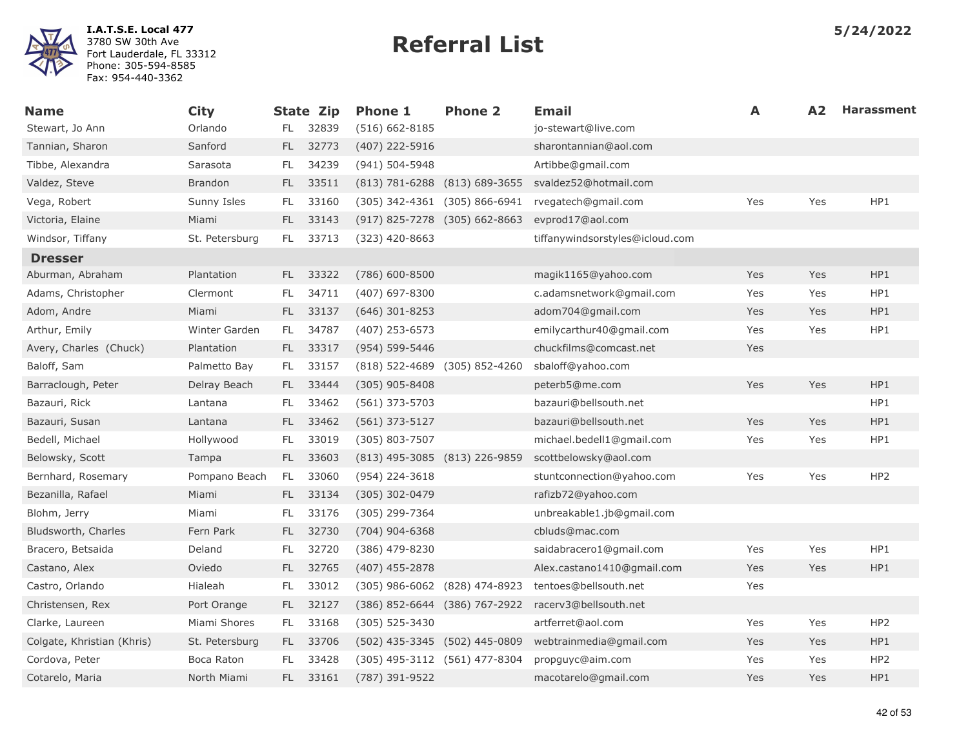

| <b>Name</b>                | <b>City</b>    |      | State Zip | <b>Phone 1</b>                | <b>Phone 2</b>                    | <b>Email</b>                    | A   | A <sub>2</sub> | <b>Harassment</b> |
|----------------------------|----------------|------|-----------|-------------------------------|-----------------------------------|---------------------------------|-----|----------------|-------------------|
| Stewart, Jo Ann            | Orlando        | FL.  | 32839     | $(516) 662 - 8185$            |                                   | jo-stewart@live.com             |     |                |                   |
| Tannian, Sharon            | Sanford        | FL - | 32773     | (407) 222-5916                |                                   | sharontannian@aol.com           |     |                |                   |
| Tibbe, Alexandra           | Sarasota       | FL.  | 34239     | (941) 504-5948                |                                   | Artibbe@gmail.com               |     |                |                   |
| Valdez, Steve              | <b>Brandon</b> | FL.  | 33511     |                               | $(813)$ 781-6288 $(813)$ 689-3655 | svaldez52@hotmail.com           |     |                |                   |
| Vega, Robert               | Sunny Isles    | FL.  | 33160     |                               | (305) 342-4361 (305) 866-6941     | rvegatech@gmail.com             | Yes | Yes            | HP1               |
| Victoria, Elaine           | Miami          | FL.  | 33143     |                               | (917) 825-7278 (305) 662-8663     | evprod17@aol.com                |     |                |                   |
| Windsor, Tiffany           | St. Petersburg | FL.  | 33713     | $(323)$ 420-8663              |                                   | tiffanywindsorstyles@icloud.com |     |                |                   |
| <b>Dresser</b>             |                |      |           |                               |                                   |                                 |     |                |                   |
| Aburman, Abraham           | Plantation     | FL - | 33322     | $(786)$ 600-8500              |                                   | magik1165@yahoo.com             | Yes | Yes            | HP1               |
| Adams, Christopher         | Clermont       | FL.  | 34711     | $(407)$ 697-8300              |                                   | c.adamsnetwork@gmail.com        | Yes | Yes            | HP1               |
| Adom, Andre                | Miami          | FL.  | 33137     | $(646)$ 301-8253              |                                   | adom704@gmail.com               | Yes | Yes            | HP1               |
| Arthur, Emily              | Winter Garden  | FL.  | 34787     | $(407)$ 253-6573              |                                   | emilycarthur40@gmail.com        | Yes | Yes            | HP1               |
| Avery, Charles (Chuck)     | Plantation     |      | FL 33317  | (954) 599-5446                |                                   | chuckfilms@comcast.net          | Yes |                |                   |
| Baloff, Sam                | Palmetto Bay   | FL.  | 33157     | (818) 522-4689 (305) 852-4260 |                                   | sbaloff@yahoo.com               |     |                |                   |
| Barraclough, Peter         | Delray Beach   | FL.  | 33444     | $(305)$ 905-8408              |                                   | peterb5@me.com                  | Yes | Yes            | HP1               |
| Bazauri, Rick              | Lantana        | FL.  | 33462     | (561) 373-5703                |                                   | bazauri@bellsouth.net           |     |                | HP1               |
| Bazauri, Susan             | Lantana        | FL.  | 33462     | $(561)$ 373-5127              |                                   | bazauri@bellsouth.net           | Yes | Yes            | HP1               |
| Bedell, Michael            | Hollywood      | FL.  | 33019     | (305) 803-7507                |                                   | michael.bedell1@gmail.com       | Yes | Yes            | HP1               |
| Belowsky, Scott            | Tampa          | FL.  | 33603     | (813) 495-3085 (813) 226-9859 |                                   | scottbelowsky@aol.com           |     |                |                   |
| Bernhard, Rosemary         | Pompano Beach  | FL   | 33060     | (954) 224-3618                |                                   | stuntconnection@yahoo.com       | Yes | Yes            | HP <sub>2</sub>   |
| Bezanilla, Rafael          | Miami          | FL.  | 33134     | (305) 302-0479                |                                   | rafizb72@yahoo.com              |     |                |                   |
| Blohm, Jerry               | Miami          | FL.  | 33176     | (305) 299-7364                |                                   | unbreakable1.jb@gmail.com       |     |                |                   |
| Bludsworth, Charles        | Fern Park      | FL.  | 32730     | $(704)$ 904-6368              |                                   | cbluds@mac.com                  |     |                |                   |
| Bracero, Betsaida          | Deland         | FL.  | 32720     | (386) 479-8230                |                                   | saidabracero1@gmail.com         | Yes | Yes            | HP1               |
| Castano, Alex              | Oviedo         | FL.  | 32765     | $(407)$ 455-2878              |                                   | Alex.castano1410@gmail.com      | Yes | Yes            | HP1               |
| Castro, Orlando            | Hialeah        | FL   | 33012     |                               | (305) 986-6062 (828) 474-8923     | tentoes@bellsouth.net           | Yes |                |                   |
| Christensen, Rex           | Port Orange    | FL - | 32127     |                               | (386) 852-6644 (386) 767-2922     | racerv3@bellsouth.net           |     |                |                   |
| Clarke, Laureen            | Miami Shores   | FL.  | 33168     | $(305)$ 525-3430              |                                   | artferret@aol.com               | Yes | Yes            | HP <sub>2</sub>   |
| Colgate, Khristian (Khris) | St. Petersburg | FL - | 33706     | (502) 435-3345 (502) 445-0809 |                                   | webtrainmedia@gmail.com         | Yes | Yes            | HP1               |
| Cordova, Peter             | Boca Raton     | FL.  | 33428     |                               | (305) 495-3112 (561) 477-8304     | propguyc@aim.com                | Yes | Yes            | HP <sub>2</sub>   |
| Cotarelo, Maria            | North Miami    | FL - | 33161     | (787) 391-9522                |                                   | macotarelo@gmail.com            | Yes | Yes            | HP1               |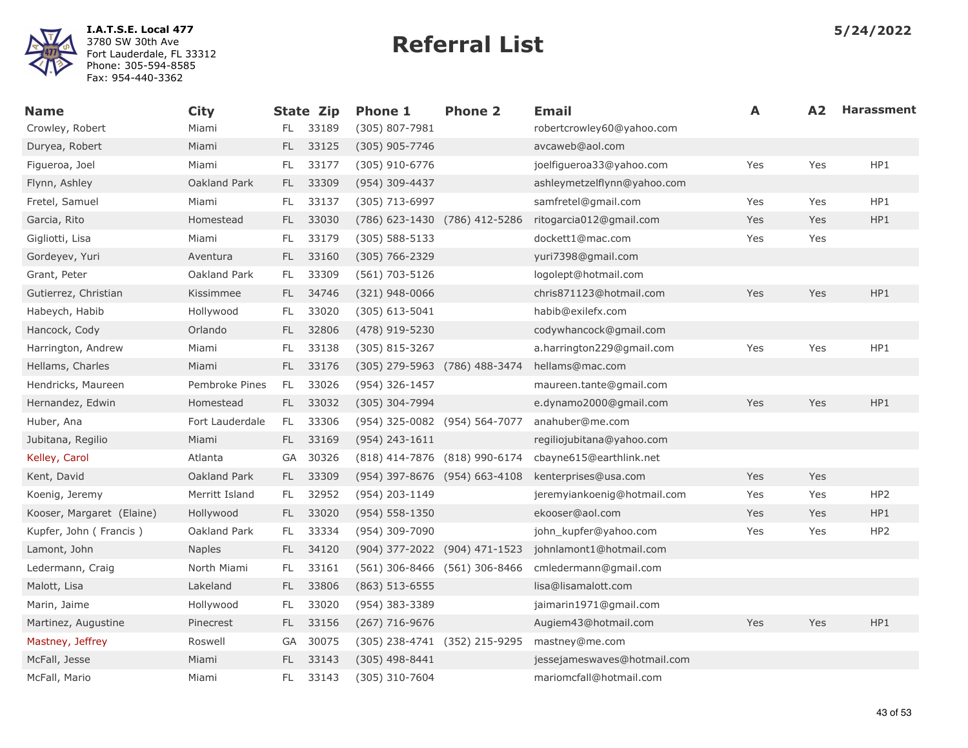

| <b>Name</b>               | <b>City</b>     |           | <b>State Zip</b> | <b>Phone 1</b>                | <b>Phone 2</b> | <b>Email</b>                | A   | A <sub>2</sub> | <b>Harassment</b> |
|---------------------------|-----------------|-----------|------------------|-------------------------------|----------------|-----------------------------|-----|----------------|-------------------|
| Crowley, Robert           | Miami           | FL.       | 33189            | (305) 807-7981                |                | robertcrowley60@yahoo.com   |     |                |                   |
| Duryea, Robert            | Miami           | FL.       | 33125            | (305) 905-7746                |                | avcaweb@aol.com             |     |                |                   |
| Figueroa, Joel            | Miami           | FL.       | 33177            | (305) 910-6776                |                | joelfigueroa33@yahoo.com    | Yes | Yes            | HP1               |
| Flynn, Ashley             | Oakland Park    | FL.       | 33309            | (954) 309-4437                |                | ashleymetzelflynn@yahoo.com |     |                |                   |
| Fretel, Samuel            | Miami           | <b>FL</b> | 33137            | (305) 713-6997                |                | samfretel@gmail.com         | Yes | Yes            | HP1               |
| Garcia, Rito              | Homestead       | FL.       | 33030            | (786) 623-1430 (786) 412-5286 |                | ritogarcia012@gmail.com     | Yes | Yes            | HP1               |
| Gigliotti, Lisa           | Miami           | FL.       | 33179            | $(305)$ 588-5133              |                | dockett1@mac.com            | Yes | Yes            |                   |
| Gordeyev, Yuri            | Aventura        | FL.       | 33160            | $(305) 766 - 2329$            |                | yuri7398@gmail.com          |     |                |                   |
| Grant, Peter              | Oakland Park    | FL.       | 33309            | (561) 703-5126                |                | logolept@hotmail.com        |     |                |                   |
| Gutierrez, Christian      | Kissimmee       | FL.       | 34746            | $(321)$ 948-0066              |                | chris871123@hotmail.com     | Yes | Yes            | HP1               |
| Habeych, Habib            | Hollywood       | FL        | 33020            | $(305)$ 613-5041              |                | habib@exilefx.com           |     |                |                   |
| Hancock, Cody             | Orlando         | FL.       | 32806            | (478) 919-5230                |                | codywhancock@gmail.com      |     |                |                   |
| Harrington, Andrew        | Miami           | FL.       | 33138            | (305) 815-3267                |                | a.harrington229@gmail.com   | Yes | Yes            | HP1               |
| Hellams, Charles          | Miami           | FL.       | 33176            | (305) 279-5963 (786) 488-3474 |                | hellams@mac.com             |     |                |                   |
| Hendricks, Maureen        | Pembroke Pines  | FL.       | 33026            | (954) 326-1457                |                | maureen.tante@gmail.com     |     |                |                   |
| Hernandez, Edwin          | Homestead       | FL.       | 33032            | (305) 304-7994                |                | e.dynamo2000@gmail.com      | Yes | Yes            | HP1               |
| Huber, Ana                | Fort Lauderdale | FL.       | 33306            | (954) 325-0082 (954) 564-7077 |                | anahuber@me.com             |     |                |                   |
| Jubitana, Regilio         | Miami           | FL -      | 33169            | $(954)$ 243-1611              |                | regiliojubitana@yahoo.com   |     |                |                   |
| Kelley, Carol             | Atlanta         | GA        | 30326            | (818) 414-7876 (818) 990-6174 |                | cbayne615@earthlink.net     |     |                |                   |
| Kent, David               | Oakland Park    | FL.       | 33309            | (954) 397-8676 (954) 663-4108 |                | kenterprises@usa.com        | Yes | Yes            |                   |
| Koenig, Jeremy            | Merritt Island  | FL.       | 32952            | (954) 203-1149                |                | jeremyiankoenig@hotmail.com | Yes | Yes            | HP <sub>2</sub>   |
| Kooser, Margaret (Elaine) | Hollywood       | FL.       | 33020            | $(954) 558 - 1350$            |                | ekooser@aol.com             | Yes | Yes            | HP1               |
| Kupfer, John (Francis)    | Oakland Park    | FL.       | 33334            | (954) 309-7090                |                | john_kupfer@yahoo.com       | Yes | Yes            | HP <sub>2</sub>   |
| Lamont, John              | <b>Naples</b>   | FL.       | 34120            | (904) 377-2022 (904) 471-1523 |                | johnlamont1@hotmail.com     |     |                |                   |
| Ledermann, Craig          | North Miami     | FL        | 33161            | (561) 306-8466 (561) 306-8466 |                | cmledermann@gmail.com       |     |                |                   |
| Malott, Lisa              | Lakeland        | FL.       | 33806            | $(863) 513 - 6555$            |                | lisa@lisamalott.com         |     |                |                   |
| Marin, Jaime              | Hollywood       | FL.       | 33020            | (954) 383-3389                |                | jaimarin1971@gmail.com      |     |                |                   |
| Martinez, Augustine       | Pinecrest       | FL.       | 33156            | $(267)$ 716-9676              |                | Augiem43@hotmail.com        | Yes | Yes            | HP1               |
| Mastney, Jeffrey          | Roswell         | GA        | 30075            | (305) 238-4741 (352) 215-9295 |                | mastney@me.com              |     |                |                   |
| McFall, Jesse             | Miami           | FL.       | 33143            | $(305)$ 498-8441              |                | jessejameswaves@hotmail.com |     |                |                   |
| McFall, Mario             | Miami           | FL        | 33143            | (305) 310-7604                |                | mariomcfall@hotmail.com     |     |                |                   |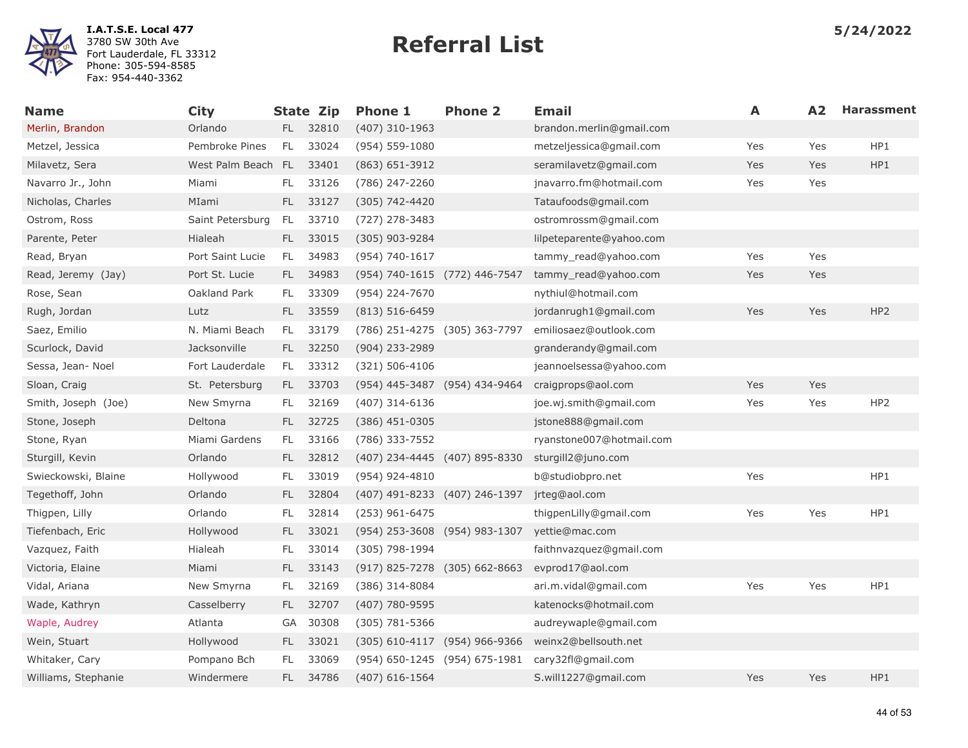

| <b>Name</b>         | <b>City</b>        |               | <b>State Zip</b> | <b>Phone 1</b>                    | <b>Phone 2</b> | <b>Email</b>             | A   | A2  | <b>Harassment</b> |
|---------------------|--------------------|---------------|------------------|-----------------------------------|----------------|--------------------------|-----|-----|-------------------|
| Merlin, Brandon     | Orlando            | FL.           | 32810            | $(407)$ 310-1963                  |                | brandon.merlin@gmail.com |     |     |                   |
| Metzel, Jessica     | Pembroke Pines     | <b>FL</b>     | 33024            | $(954) 559 - 1080$                |                | metzeljessica@gmail.com  | Yes | Yes | HP1               |
| Milavetz, Sera      | West Palm Beach FL |               | 33401            | $(863) 651 - 3912$                |                | seramilavetz@gmail.com   | Yes | Yes | HP1               |
| Navarro Jr., John   | Miami              | FL.           | 33126            | (786) 247-2260                    |                | jnavarro.fm@hotmail.com  | Yes | Yes |                   |
| Nicholas, Charles   | MIami              | FL.           | 33127            | $(305)$ 742-4420                  |                | Tataufoods@gmail.com     |     |     |                   |
| Ostrom, Ross        | Saint Petersburg   | FL            | 33710            | (727) 278-3483                    |                | ostromrossm@gmail.com    |     |     |                   |
| Parente, Peter      | Hialeah            | FL.           | 33015            | $(305)$ 903-9284                  |                | lilpeteparente@yahoo.com |     |     |                   |
| Read, Bryan         | Port Saint Lucie   | FL.           | 34983            | (954) 740-1617                    |                | tammy_read@yahoo.com     | Yes | Yes |                   |
| Read, Jeremy (Jay)  | Port St. Lucie     | FL.           | 34983            | (954) 740-1615 (772) 446-7547     |                | tammy read@yahoo.com     | Yes | Yes |                   |
| Rose, Sean          | Oakland Park       | FL.           | 33309            | (954) 224-7670                    |                | nythiul@hotmail.com      |     |     |                   |
| Rugh, Jordan        | Lutz               | FL.           | 33559            | $(813)$ 516-6459                  |                | jordanrugh1@gmail.com    | Yes | Yes | HP <sub>2</sub>   |
| Saez, Emilio        | N. Miami Beach     | FL.           | 33179            | (786) 251-4275 (305) 363-7797     |                | emiliosaez@outlook.com   |     |     |                   |
| Scurlock, David     | Jacksonville       | FL.           | 32250            | $(904)$ 233-2989                  |                | granderandy@gmail.com    |     |     |                   |
| Sessa, Jean- Noel   | Fort Lauderdale    | FL.           | 33312            | $(321) 506 - 4106$                |                | jeannoelsessa@yahoo.com  |     |     |                   |
| Sloan, Craig        | St. Petersburg     | FL.           | 33703            | (954) 445-3487 (954) 434-9464     |                | craigprops@aol.com       | Yes | Yes |                   |
| Smith, Joseph (Joe) | New Smyrna         | FL.           | 32169            | $(407)$ 314-6136                  |                | joe.wj.smith@gmail.com   | Yes | Yes | HP2               |
| Stone, Joseph       | Deltona            | FL.           | 32725            | $(386)$ 451-0305                  |                | jstone888@gmail.com      |     |     |                   |
| Stone, Ryan         | Miami Gardens      | FL.           | 33166            | (786) 333-7552                    |                | ryanstone007@hotmail.com |     |     |                   |
| Sturgill, Kevin     | Orlando            | FL.           | 32812            | (407) 234-4445 (407) 895-8330     |                | sturgill2@juno.com       |     |     |                   |
| Swieckowski, Blaine | Hollywood          | FL.           | 33019            | (954) 924-4810                    |                | b@studiobpro.net         | Yes |     | HP1               |
| Tegethoff, John     | Orlando            | FL.           | 32804            | (407) 491-8233 (407) 246-1397     |                | jrteg@aol.com            |     |     |                   |
| Thigpen, Lilly      | Orlando            | $\mathsf{FL}$ | 32814            | $(253)$ 961-6475                  |                | thigpenLilly@gmail.com   | Yes | Yes | HP1               |
| Tiefenbach, Eric    | Hollywood          | FL.           | 33021            | (954) 253-3608 (954) 983-1307     |                | yettie@mac.com           |     |     |                   |
| Vazquez, Faith      | Hialeah            | FL.           | 33014            | (305) 798-1994                    |                | faithnvazquez@gmail.com  |     |     |                   |
| Victoria, Elaine    | Miami              | <b>FL</b>     | 33143            | (917) 825-7278 (305) 662-8663     |                | evprod17@aol.com         |     |     |                   |
| Vidal, Ariana       | New Smyrna         | FL.           | 32169            | (386) 314-8084                    |                | ari.m.vidal@gmail.com    | Yes | Yes | HP1               |
| Wade, Kathryn       | Casselberry        | FL.           | 32707            | $(407)$ 780-9595                  |                | katenocks@hotmail.com    |     |     |                   |
| Waple, Audrey       | Atlanta            | GA            | 30308            | $(305) 781 - 5366$                |                | audreywaple@gmail.com    |     |     |                   |
| Wein, Stuart        | Hollywood          | FL.           | 33021            | $(305)$ 610-4117 $(954)$ 966-9366 |                | weinx2@bellsouth.net     |     |     |                   |
| Whitaker, Cary      | Pompano Bch        | FL            | 33069            | (954) 650-1245 (954) 675-1981     |                | cary32fl@gmail.com       |     |     |                   |
| Williams, Stephanie | Windermere         | FL.           | 34786            | $(407)$ 616-1564                  |                | S.will1227@gmail.com     | Yes | Yes | HP1               |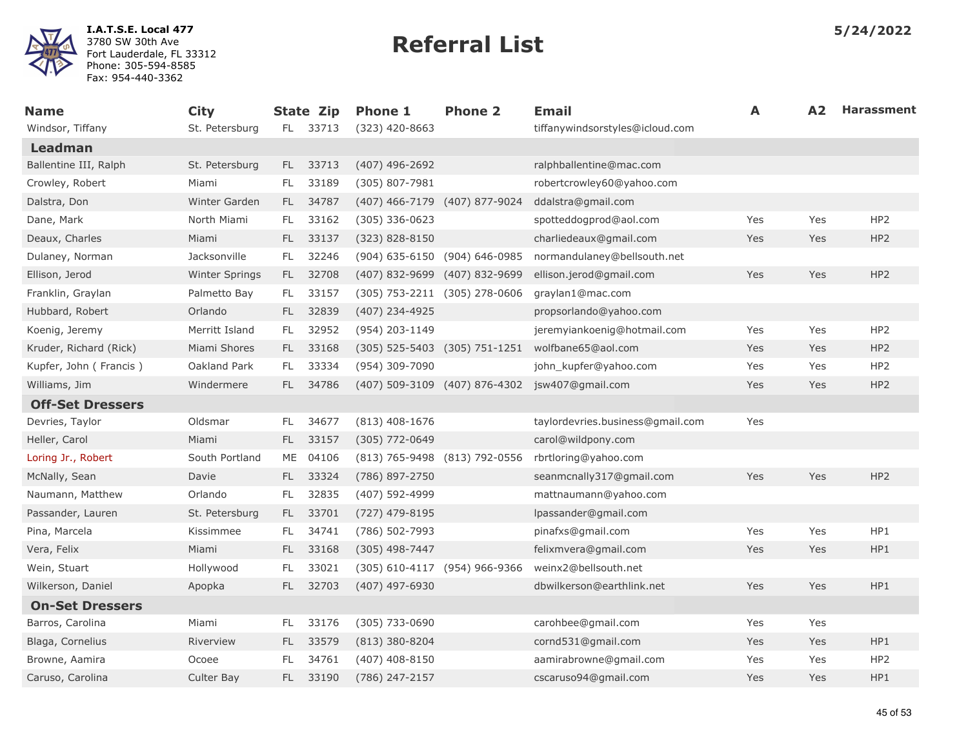

| <b>Name</b>             | <b>City</b>          |      | <b>State Zip</b> | <b>Phone 1</b>                | <b>Phone 2</b>                | <b>Email</b>                     | A   | A2  | <b>Harassment</b> |
|-------------------------|----------------------|------|------------------|-------------------------------|-------------------------------|----------------------------------|-----|-----|-------------------|
| Windsor, Tiffany        | St. Petersburg       |      | FL 33713         | $(323)$ 420-8663              |                               | tiffanywindsorstyles@icloud.com  |     |     |                   |
| <b>Leadman</b>          |                      |      |                  |                               |                               |                                  |     |     |                   |
| Ballentine III, Ralph   | St. Petersburg       | FL - | 33713            | $(407)$ 496-2692              |                               | ralphballentine@mac.com          |     |     |                   |
| Crowley, Robert         | Miami                | FL.  | 33189            | (305) 807-7981                |                               | robertcrowley60@yahoo.com        |     |     |                   |
| Dalstra, Don            | <b>Winter Garden</b> | FL.  | 34787            | (407) 466-7179 (407) 877-9024 |                               | ddalstra@gmail.com               |     |     |                   |
| Dane, Mark              | North Miami          | FL.  | 33162            | $(305)$ 336-0623              |                               | spotteddogprod@aol.com           | Yes | Yes | HP <sub>2</sub>   |
| Deaux, Charles          | Miami                | FL - | 33137            | (323) 828-8150                |                               | charliedeaux@gmail.com           | Yes | Yes | HP <sub>2</sub>   |
| Dulaney, Norman         | Jacksonville         | FL.  | 32246            | (904) 635-6150 (904) 646-0985 |                               | normandulaney@bellsouth.net      |     |     |                   |
| Ellison, Jerod          | Winter Springs       | FL - | 32708            | (407) 832-9699                | (407) 832-9699                | ellison.jerod@gmail.com          | Yes | Yes | HP2               |
| Franklin, Graylan       | Palmetto Bay         | FL.  | 33157            |                               | (305) 753-2211 (305) 278-0606 | graylan1@mac.com                 |     |     |                   |
| Hubbard, Robert         | Orlando              | FL.  | 32839            | (407) 234-4925                |                               | propsorlando@yahoo.com           |     |     |                   |
| Koenig, Jeremy          | Merritt Island       | FL.  | 32952            | (954) 203-1149                |                               | jeremyiankoenig@hotmail.com      | Yes | Yes | HP <sub>2</sub>   |
| Kruder, Richard (Rick)  | Miami Shores         | FL - | 33168            |                               | (305) 525-5403 (305) 751-1251 | wolfbane65@aol.com               | Yes | Yes | HP <sub>2</sub>   |
| Kupfer, John (Francis)  | Oakland Park         | FL.  | 33334            | (954) 309-7090                |                               | john_kupfer@yahoo.com            | Yes | Yes | HP <sub>2</sub>   |
| Williams, Jim           | Windermere           | FL.  | 34786            |                               | (407) 509-3109 (407) 876-4302 | jsw407@gmail.com                 | Yes | Yes | HP <sub>2</sub>   |
| <b>Off-Set Dressers</b> |                      |      |                  |                               |                               |                                  |     |     |                   |
| Devries, Taylor         | Oldsmar              | FL.  | 34677            | $(813)$ 408-1676              |                               | taylordevries.business@gmail.com | Yes |     |                   |
| Heller, Carol           | Miami                | FL.  | 33157            | $(305)$ 772-0649              |                               | carol@wildpony.com               |     |     |                   |
| Loring Jr., Robert      | South Portland       | ME   | 04106            | (813) 765-9498 (813) 792-0556 |                               | rbrtloring@yahoo.com             |     |     |                   |
| McNally, Sean           | Davie                | FL.  | 33324            | (786) 897-2750                |                               | seanmcnally317@gmail.com         | Yes | Yes | HP <sub>2</sub>   |
| Naumann, Matthew        | Orlando              | FL.  | 32835            | (407) 592-4999                |                               | mattnaumann@yahoo.com            |     |     |                   |
| Passander, Lauren       | St. Petersburg       | FL - | 33701            | (727) 479-8195                |                               | lpassander@gmail.com             |     |     |                   |
| Pina, Marcela           | Kissimmee            | FL.  | 34741            | (786) 502-7993                |                               | pinafxs@gmail.com                | Yes | Yes | HP1               |
| Vera, Felix             | Miami                | FL.  | 33168            | (305) 498-7447                |                               | felixmvera@gmail.com             | Yes | Yes | HP1               |
| Wein, Stuart            | Hollywood            | FL.  | 33021            | (305) 610-4117 (954) 966-9366 |                               | weinx2@bellsouth.net             |     |     |                   |
| Wilkerson, Daniel       | Apopka               | FL.  | 32703            | (407) 497-6930                |                               | dbwilkerson@earthlink.net        | Yes | Yes | HP1               |
| <b>On-Set Dressers</b>  |                      |      |                  |                               |                               |                                  |     |     |                   |
| Barros, Carolina        | Miami                | FL.  | 33176            | (305) 733-0690                |                               | carohbee@gmail.com               | Yes | Yes |                   |
| Blaga, Cornelius        | Riverview            | FL.  | 33579            | (813) 380-8204                |                               | cornd531@gmail.com               | Yes | Yes | HP1               |
| Browne, Aamira          | Ocoee                | FL   | 34761            | $(407)$ 408-8150              |                               | aamirabrowne@gmail.com           | Yes | Yes | HP <sub>2</sub>   |
| Caruso, Carolina        | Culter Bay           |      | FL 33190         | (786) 247-2157                |                               | cscaruso94@gmail.com             | Yes | Yes | HP1               |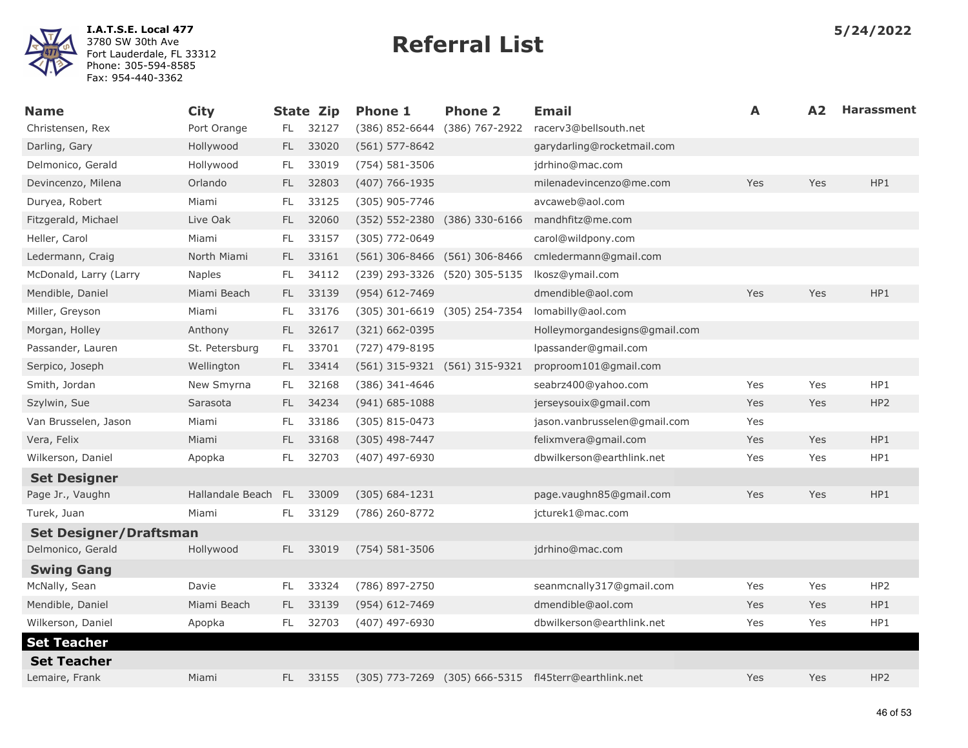

| <b>Name</b>                   | <b>City</b>         |     | <b>State Zip</b> | <b>Phone 1</b>                | <b>Phone 2</b>                | Email                                                | A   | A <sub>2</sub> | <b>Harassment</b> |
|-------------------------------|---------------------|-----|------------------|-------------------------------|-------------------------------|------------------------------------------------------|-----|----------------|-------------------|
| Christensen, Rex              | Port Orange         | FL. | 32127            | (386) 852-6644 (386) 767-2922 |                               | racerv3@bellsouth.net                                |     |                |                   |
| Darling, Gary                 | Hollywood           | FL. | 33020            | $(561) 577 - 8642$            |                               | garydarling@rocketmail.com                           |     |                |                   |
| Delmonico, Gerald             | Hollywood           | FL. | 33019            | (754) 581-3506                |                               | jdrhino@mac.com                                      |     |                |                   |
| Devincenzo, Milena            | Orlando             | FL. | 32803            | (407) 766-1935                |                               | milenadevincenzo@me.com                              | Yes | Yes            | HP1               |
| Duryea, Robert                | Miami               | FL. | 33125            | (305) 905-7746                |                               | avcaweb@aol.com                                      |     |                |                   |
| Fitzgerald, Michael           | Live Oak            | FL. | 32060            |                               | (352) 552-2380 (386) 330-6166 | mandhfitz@me.com                                     |     |                |                   |
| Heller, Carol                 | Miami               | FL. | 33157            | (305) 772-0649                |                               | carol@wildpony.com                                   |     |                |                   |
| Ledermann, Craig              | North Miami         | FL. | 33161            | (561) 306-8466 (561) 306-8466 |                               | cmledermann@gmail.com                                |     |                |                   |
| McDonald, Larry (Larry        | <b>Naples</b>       | FL. | 34112            | (239) 293-3326 (520) 305-5135 |                               | lkosz@ymail.com                                      |     |                |                   |
| Mendible, Daniel              | Miami Beach         | FL. | 33139            | $(954) 612 - 7469$            |                               | dmendible@aol.com                                    | Yes | Yes            | HP1               |
| Miller, Greyson               | Miami               | FL. | 33176            | (305) 301-6619 (305) 254-7354 |                               | lomabilly@aol.com                                    |     |                |                   |
| Morgan, Holley                | Anthony             | FL. | 32617            | (321) 662-0395                |                               | Holleymorgandesigns@gmail.com                        |     |                |                   |
| Passander, Lauren             | St. Petersburg      | FL. | 33701            | (727) 479-8195                |                               | lpassander@gmail.com                                 |     |                |                   |
| Serpico, Joseph               | Wellington          | FL. | 33414            | (561) 315-9321 (561) 315-9321 |                               | proproom101@gmail.com                                |     |                |                   |
| Smith, Jordan                 | New Smyrna          | FL. | 32168            | (386) 341-4646                |                               | seabrz400@yahoo.com                                  | Yes | Yes            | HP1               |
| Szylwin, Sue                  | Sarasota            | FL. | 34234            | $(941) 685 - 1088$            |                               | jerseysouix@gmail.com                                | Yes | Yes            | HP <sub>2</sub>   |
| Van Brusselen, Jason          | Miami               | FL. | 33186            | (305) 815-0473                |                               | jason.vanbrusselen@gmail.com                         | Yes |                |                   |
| Vera, Felix                   | Miami               | FL. | 33168            | $(305)$ 498-7447              |                               | felixmvera@gmail.com                                 | Yes | Yes            | HP1               |
| Wilkerson, Daniel             | Apopka              | FL. | 32703            | (407) 497-6930                |                               | dbwilkerson@earthlink.net                            | Yes | Yes            | HP1               |
| <b>Set Designer</b>           |                     |     |                  |                               |                               |                                                      |     |                |                   |
| Page Jr., Vaughn              | Hallandale Beach FL |     | 33009            | $(305) 684 - 1231$            |                               | page.vaughn85@gmail.com                              | Yes | Yes            | HP1               |
| Turek, Juan                   | Miami               | FL. | 33129            | (786) 260-8772                |                               | jcturek1@mac.com                                     |     |                |                   |
| <b>Set Designer/Draftsman</b> |                     |     |                  |                               |                               |                                                      |     |                |                   |
| Delmonico, Gerald             | Hollywood           | FL  | 33019            | (754) 581-3506                |                               | jdrhino@mac.com                                      |     |                |                   |
| <b>Swing Gang</b>             |                     |     |                  |                               |                               |                                                      |     |                |                   |
| McNally, Sean                 | Davie               | FL  | 33324            | (786) 897-2750                |                               | seanmcnally317@gmail.com                             | Yes | Yes            | HP <sub>2</sub>   |
| Mendible, Daniel              | Miami Beach         | FL. | 33139            | (954) 612-7469                |                               | dmendible@aol.com                                    | Yes | Yes            | HP1               |
| Wilkerson, Daniel             | Apopka              | FL. | 32703            | (407) 497-6930                |                               | dbwilkerson@earthlink.net                            | Yes | Yes            | HP1               |
| <b>Set Teacher</b>            |                     |     |                  |                               |                               |                                                      |     |                |                   |
| <b>Set Teacher</b>            |                     |     |                  |                               |                               |                                                      |     |                |                   |
| Lemaire, Frank                | Miami               | FL. | 33155            |                               |                               | (305) 773-7269 (305) 666-5315 fl45terr@earthlink.net | Yes | Yes            | HP <sub>2</sub>   |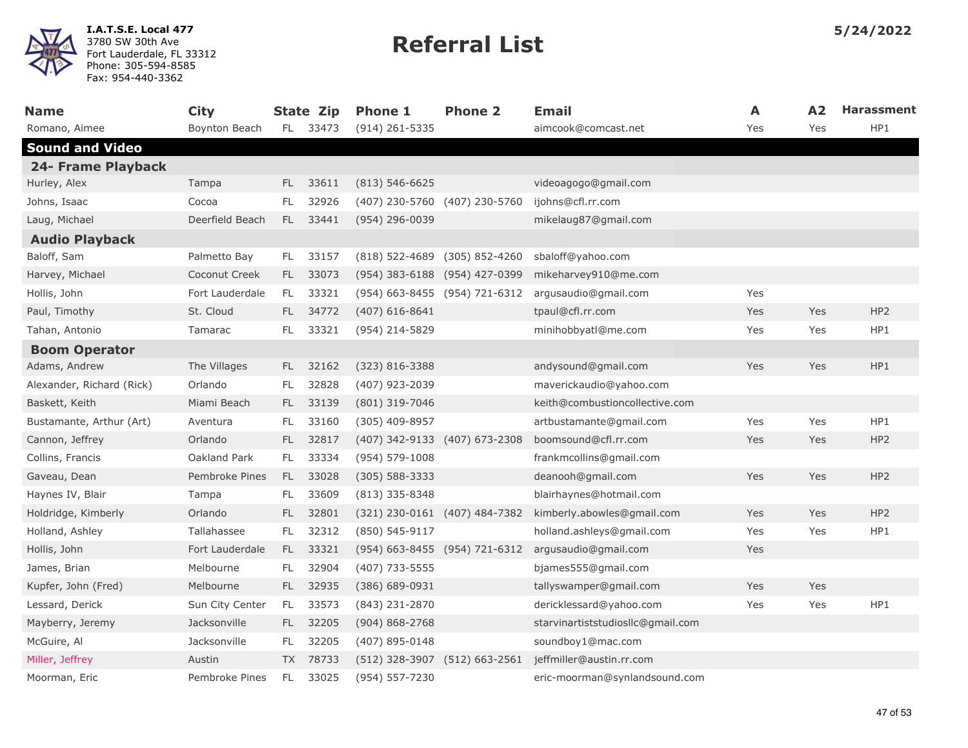

| <b>Name</b>               | <b>City</b>     |           | <b>State Zip</b> | <b>Phone 1</b>                | <b>Phone 2</b>                | <b>Email</b>                      | A   | A2         | <b>Harassment</b> |
|---------------------------|-----------------|-----------|------------------|-------------------------------|-------------------------------|-----------------------------------|-----|------------|-------------------|
| Romano, Aimee             | Boynton Beach   | FL.       | 33473            | $(914)$ 261-5335              |                               | aimcook@comcast.net               | Yes | Yes        | HP1               |
| <b>Sound and Video</b>    |                 |           |                  |                               |                               |                                   |     |            |                   |
| 24- Frame Playback        |                 |           |                  |                               |                               |                                   |     |            |                   |
| Hurley, Alex              | Tampa           | FL.       | 33611            | $(813) 546 - 6625$            |                               | videoagogo@gmail.com              |     |            |                   |
| Johns, Isaac              | Cocoa           | FL.       | 32926            |                               | (407) 230-5760 (407) 230-5760 | ijohns@cfl.rr.com                 |     |            |                   |
| Laug, Michael             | Deerfield Beach | <b>FL</b> | 33441            | (954) 296-0039                |                               | mikelaug87@gmail.com              |     |            |                   |
| <b>Audio Playback</b>     |                 |           |                  |                               |                               |                                   |     |            |                   |
| Baloff, Sam               | Palmetto Bay    | FL.       | 33157            |                               | (818) 522-4689 (305) 852-4260 | sbaloff@yahoo.com                 |     |            |                   |
| Harvey, Michael           | Coconut Creek   | FL.       | 33073            |                               | (954) 383-6188 (954) 427-0399 | mikeharvey910@me.com              |     |            |                   |
| Hollis, John              | Fort Lauderdale | FL.       | 33321            |                               | (954) 663-8455 (954) 721-6312 | argusaudio@gmail.com              | Yes |            |                   |
| Paul, Timothy             | St. Cloud       | FL.       | 34772            | $(407)$ 616-8641              |                               | tpaul@cfl.rr.com                  | Yes | Yes        | HP <sub>2</sub>   |
| Tahan, Antonio            | Tamarac         | FL.       | 33321            | (954) 214-5829                |                               | minihobbyatl@me.com               | Yes | Yes        | HP1               |
| <b>Boom Operator</b>      |                 |           |                  |                               |                               |                                   |     |            |                   |
| Adams, Andrew             | The Villages    | FL.       | 32162            | $(323) 816 - 3388$            |                               | andysound@gmail.com               | Yes | Yes        | HP1               |
| Alexander, Richard (Rick) | Orlando         | FL.       | 32828            | (407) 923-2039                |                               | maverickaudio@yahoo.com           |     |            |                   |
| Baskett, Keith            | Miami Beach     | FL.       | 33139            | (801) 319-7046                |                               | keith@combustioncollective.com    |     |            |                   |
| Bustamante, Arthur (Art)  | Aventura        | FL.       | 33160            | (305) 409-8957                |                               | artbustamante@gmail.com           | Yes | Yes        | HP1               |
| Cannon, Jeffrey           | Orlando         | FL.       | 32817            |                               | (407) 342-9133 (407) 673-2308 | boomsound@cfl.rr.com              | Yes | Yes        | HP <sub>2</sub>   |
| Collins, Francis          | Oakland Park    | FL.       | 33334            | $(954) 579 - 1008$            |                               | frankmcollins@gmail.com           |     |            |                   |
| Gaveau, Dean              | Pembroke Pines  | FL.       | 33028            | $(305) 588 - 3333$            |                               | deanooh@gmail.com                 | Yes | Yes        | HP <sub>2</sub>   |
| Haynes IV, Blair          | Tampa           | FL.       | 33609            | $(813)$ 335-8348              |                               | blairhaynes@hotmail.com           |     |            |                   |
| Holdridge, Kimberly       | Orlando         | FL.       | 32801            |                               | (321) 230-0161 (407) 484-7382 | kimberly.abowles@gmail.com        | Yes | <b>Yes</b> | HP <sub>2</sub>   |
| Holland, Ashley           | Tallahassee     | FL.       | 32312            | (850) 545-9117                |                               | holland.ashleys@gmail.com         | Yes | Yes        | HP1               |
| Hollis, John              | Fort Lauderdale | FL.       | 33321            |                               | (954) 663-8455 (954) 721-6312 | argusaudio@gmail.com              | Yes |            |                   |
| James, Brian              | Melbourne       | FL.       | 32904            | (407) 733-5555                |                               | bjames555@gmail.com               |     |            |                   |
| Kupfer, John (Fred)       | Melbourne       | FL.       | 32935            | $(386) 689 - 0931$            |                               | tallyswamper@gmail.com            | Yes | Yes        |                   |
| Lessard, Derick           | Sun City Center | FL.       | 33573            | (843) 231-2870                |                               | dericklessard@yahoo.com           | Yes | Yes        | HP1               |
| Mayberry, Jeremy          | Jacksonville    | FL.       | 32205            | $(904)868 - 2768$             |                               | starvinartiststudiosllc@gmail.com |     |            |                   |
| McGuire, Al               | Jacksonville    | FL.       | 32205            | (407) 895-0148                |                               | soundboy1@mac.com                 |     |            |                   |
| Miller, Jeffrey           | Austin          | TX        | 78733            | (512) 328-3907 (512) 663-2561 |                               | jeffmiller@austin.rr.com          |     |            |                   |
| Moorman, Eric             | Pembroke Pines  | FL.       | 33025            | (954) 557-7230                |                               | eric-moorman@synlandsound.com     |     |            |                   |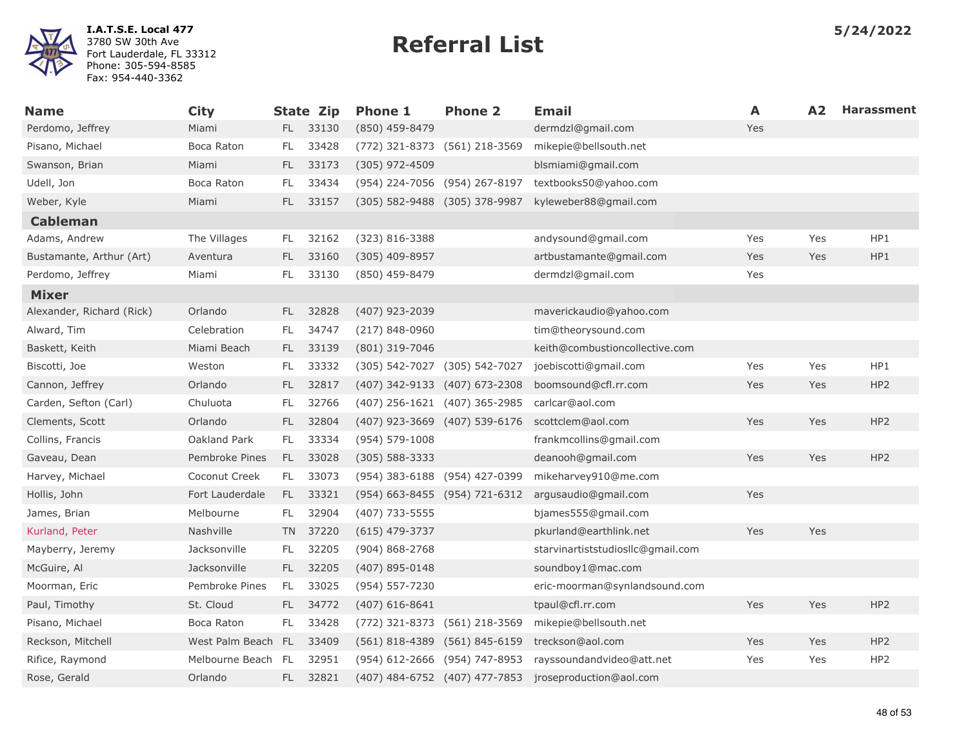

| <b>Name</b>               | <b>City</b>        |      | <b>State Zip</b> | <b>Phone 1</b>                | <b>Phone 2</b> | <b>Email</b>                      | A   | A <sub>2</sub> | <b>Harassment</b> |
|---------------------------|--------------------|------|------------------|-------------------------------|----------------|-----------------------------------|-----|----------------|-------------------|
| Perdomo, Jeffrey          | Miami              |      | FL 33130         | (850) 459-8479                |                | dermdzl@gmail.com                 | Yes |                |                   |
| Pisano, Michael           | Boca Raton         | FL.  | 33428            | (772) 321-8373 (561) 218-3569 |                | mikepie@bellsouth.net             |     |                |                   |
| Swanson, Brian            | Miami              | FL.  | 33173            | (305) 972-4509                |                | blsmiami@gmail.com                |     |                |                   |
| Udell, Jon                | Boca Raton         | FL.  | 33434            | (954) 224-7056 (954) 267-8197 |                | textbooks50@yahoo.com             |     |                |                   |
| Weber, Kyle               | Miami              | FL.  | 33157            | (305) 582-9488 (305) 378-9987 |                | kyleweber88@gmail.com             |     |                |                   |
| <b>Cableman</b>           |                    |      |                  |                               |                |                                   |     |                |                   |
| Adams, Andrew             | The Villages       | FL   | 32162            | (323) 816-3388                |                | andysound@gmail.com               | Yes | Yes            | HP1               |
| Bustamante, Arthur (Art)  | Aventura           | FL.  | 33160            | $(305)$ 409-8957              |                | artbustamante@gmail.com           | Yes | Yes            | HP1               |
| Perdomo, Jeffrey          | Miami              | FL.  | 33130            | (850) 459-8479                |                | dermdzl@gmail.com                 | Yes |                |                   |
| <b>Mixer</b>              |                    |      |                  |                               |                |                                   |     |                |                   |
| Alexander, Richard (Rick) | Orlando            | FL.  | 32828            | $(407)$ 923-2039              |                | maverickaudio@yahoo.com           |     |                |                   |
| Alward, Tim               | Celebration        | FL.  | 34747            | $(217) 848 - 0960$            |                | tim@theorysound.com               |     |                |                   |
| Baskett, Keith            | Miami Beach        | FL.  | 33139            | (801) 319-7046                |                | keith@combustioncollective.com    |     |                |                   |
| Biscotti, Joe             | Weston             | FL.  | 33332            | (305) 542-7027 (305) 542-7027 |                | joebiscotti@gmail.com             | Yes | Yes            | HP1               |
| Cannon, Jeffrey           | Orlando            | FL.  | 32817            | (407) 342-9133 (407) 673-2308 |                | boomsound@cfl.rr.com              | Yes | Yes            | HP <sub>2</sub>   |
| Carden, Sefton (Carl)     | Chuluota           | FL.  | 32766            | (407) 256-1621 (407) 365-2985 |                | carlcar@aol.com                   |     |                |                   |
| Clements, Scott           | Orlando            | FL.  | 32804            | (407) 923-3669 (407) 539-6176 |                | scottclem@aol.com                 | Yes | Yes            | HP <sub>2</sub>   |
| Collins, Francis          | Oakland Park       | FL.  | 33334            | $(954) 579 - 1008$            |                | frankmcollins@gmail.com           |     |                |                   |
| Gaveau, Dean              | Pembroke Pines     | FL.  | 33028            | (305) 588-3333                |                | deanooh@gmail.com                 | Yes | Yes            | HP <sub>2</sub>   |
| Harvey, Michael           | Coconut Creek      | FL.  | 33073            | (954) 383-6188 (954) 427-0399 |                | mikeharvey910@me.com              |     |                |                   |
| Hollis, John              | Fort Lauderdale    | FL - | 33321            | (954) 663-8455 (954) 721-6312 |                | argusaudio@gmail.com              | Yes |                |                   |
| James, Brian              | Melbourne          | FL.  | 32904            | (407) 733-5555                |                | bjames555@gmail.com               |     |                |                   |
| Kurland, Peter            | Nashville          |      | TN 37220         | $(615)$ 479-3737              |                | pkurland@earthlink.net            | Yes | Yes            |                   |
| Mayberry, Jeremy          | Jacksonville       | FL.  | 32205            | $(904) 868 - 2768$            |                | starvinartiststudiosllc@gmail.com |     |                |                   |
| McGuire, Al               | Jacksonville       | FL.  | 32205            | $(407)$ 895-0148              |                | soundboy1@mac.com                 |     |                |                   |
| Moorman, Eric             | Pembroke Pines     | FL.  | 33025            | (954) 557-7230                |                | eric-moorman@synlandsound.com     |     |                |                   |
| Paul, Timothy             | St. Cloud          | FL - | 34772            | $(407)$ 616-8641              |                | tpaul@cfl.rr.com                  | Yes | Yes            | HP <sub>2</sub>   |
| Pisano, Michael           | Boca Raton         | FL.  | 33428            | (772) 321-8373 (561) 218-3569 |                | mikepie@bellsouth.net             |     |                |                   |
| Reckson, Mitchell         | West Palm Beach FL |      | 33409            | (561) 818-4389 (561) 845-6159 |                | treckson@aol.com                  | Yes | Yes            | HP <sub>2</sub>   |
| Rifice, Raymond           | Melbourne Beach FL |      | 32951            | (954) 612-2666 (954) 747-8953 |                | rayssoundandvideo@att.net         | Yes | Yes            | HP <sub>2</sub>   |
| Rose, Gerald              | Orlando            | FL.  | 32821            | (407) 484-6752 (407) 477-7853 |                | jroseproduction@aol.com           |     |                |                   |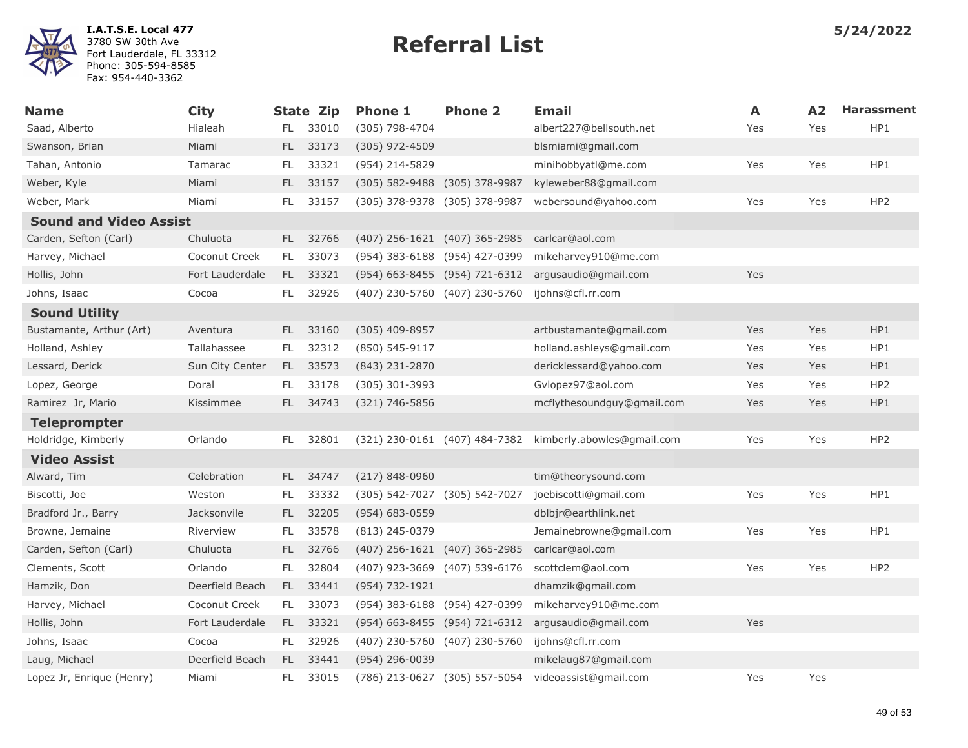

| <b>Name</b>                   | <b>City</b>     |      | <b>State Zip</b> | <b>Phone 1</b>                | <b>Phone 2</b> | <b>Email</b>               | A   | A2  | <b>Harassment</b> |
|-------------------------------|-----------------|------|------------------|-------------------------------|----------------|----------------------------|-----|-----|-------------------|
| Saad, Alberto                 | Hialeah         | FL.  | 33010            | (305) 798-4704                |                | albert227@bellsouth.net    | Yes | Yes | HP1               |
| Swanson, Brian                | Miami           | FL.  | 33173            | $(305)$ 972-4509              |                | blsmiami@gmail.com         |     |     |                   |
| Tahan, Antonio                | Tamarac         | FL.  | 33321            | (954) 214-5829                |                | minihobbyatl@me.com        | Yes | Yes | HP1               |
| Weber, Kyle                   | Miami           | FL.  | 33157            | $(305)$ 582-9488              | (305) 378-9987 | kyleweber88@gmail.com      |     |     |                   |
| Weber, Mark                   | Miami           | FL.  | 33157            | (305) 378-9378 (305) 378-9987 |                | webersound@yahoo.com       | Yes | Yes | HP <sub>2</sub>   |
| <b>Sound and Video Assist</b> |                 |      |                  |                               |                |                            |     |     |                   |
| Carden, Sefton (Carl)         | Chuluota        |      | FL 32766         | (407) 256-1621 (407) 365-2985 |                | carlcar@aol.com            |     |     |                   |
| Harvey, Michael               | Coconut Creek   | FL.  | 33073            | (954) 383-6188 (954) 427-0399 |                | mikeharvey910@me.com       |     |     |                   |
| Hollis, John                  | Fort Lauderdale | FL.  | 33321            | (954) 663-8455 (954) 721-6312 |                | argusaudio@gmail.com       | Yes |     |                   |
| Johns, Isaac                  | Cocoa           | FL.  | 32926            | (407) 230-5760 (407) 230-5760 |                | ijohns@cfl.rr.com          |     |     |                   |
| <b>Sound Utility</b>          |                 |      |                  |                               |                |                            |     |     |                   |
| Bustamante, Arthur (Art)      | Aventura        | FL.  | 33160            | (305) 409-8957                |                | artbustamante@gmail.com    | Yes | Yes | HP1               |
| Holland, Ashley               | Tallahassee     | FL.  | 32312            | (850) 545-9117                |                | holland.ashleys@gmail.com  | Yes | Yes | HP1               |
| Lessard, Derick               | Sun City Center | FL.  | 33573            | $(843)$ 231-2870              |                | dericklessard@yahoo.com    | Yes | Yes | HP1               |
| Lopez, George                 | Doral           | FL.  | 33178            | (305) 301-3993                |                | Gvlopez97@aol.com          | Yes | Yes | HP <sub>2</sub>   |
| Ramirez Jr, Mario             | Kissimmee       | FL.  | 34743            | $(321) 746 - 5856$            |                | mcflythesoundguy@gmail.com | Yes | Yes | HP1               |
| <b>Teleprompter</b>           |                 |      |                  |                               |                |                            |     |     |                   |
| Holdridge, Kimberly           | Orlando         | FL   | 32801            | (321) 230-0161 (407) 484-7382 |                | kimberly.abowles@gmail.com | Yes | Yes | HP2               |
| <b>Video Assist</b>           |                 |      |                  |                               |                |                            |     |     |                   |
| Alward, Tim                   | Celebration     | FL.  | 34747            | $(217) 848 - 0960$            |                | tim@theorysound.com        |     |     |                   |
| Biscotti, Joe                 | Weston          | FL.  | 33332            | (305) 542-7027 (305) 542-7027 |                | joebiscotti@gmail.com      | Yes | Yes | HP1               |
| Bradford Jr., Barry           | Jacksonvile     | FL.  | 32205            | (954) 683-0559                |                | dblbjr@earthlink.net       |     |     |                   |
| Browne, Jemaine               | Riverview       | FL.  | 33578            | (813) 245-0379                |                | Jemainebrowne@gmail.com    | Yes | Yes | HP1               |
| Carden, Sefton (Carl)         | Chuluota        | FL - | 32766            | (407) 256-1621 (407) 365-2985 |                | carlcar@aol.com            |     |     |                   |
| Clements, Scott               | Orlando         | FL.  | 32804            | (407) 923-3669 (407) 539-6176 |                | scottclem@aol.com          | Yes | Yes | HP <sub>2</sub>   |
| Hamzik, Don                   | Deerfield Beach | FL - | 33441            | (954) 732-1921                |                | dhamzik@gmail.com          |     |     |                   |
| Harvey, Michael               | Coconut Creek   | FL.  | 33073            | (954) 383-6188 (954) 427-0399 |                | mikeharvey910@me.com       |     |     |                   |
| Hollis, John                  | Fort Lauderdale | FL.  | 33321            | (954) 663-8455 (954) 721-6312 |                | argusaudio@gmail.com       | Yes |     |                   |
| Johns, Isaac                  | Cocoa           | FL.  | 32926            | (407) 230-5760 (407) 230-5760 |                | ijohns@cfl.rr.com          |     |     |                   |
| Laug, Michael                 | Deerfield Beach | FL.  | 33441            | (954) 296-0039                |                | mikelaug87@gmail.com       |     |     |                   |
| Lopez Jr, Enrique (Henry)     | Miami           | FL.  | 33015            | (786) 213-0627 (305) 557-5054 |                | videoassist@gmail.com      | Yes | Yes |                   |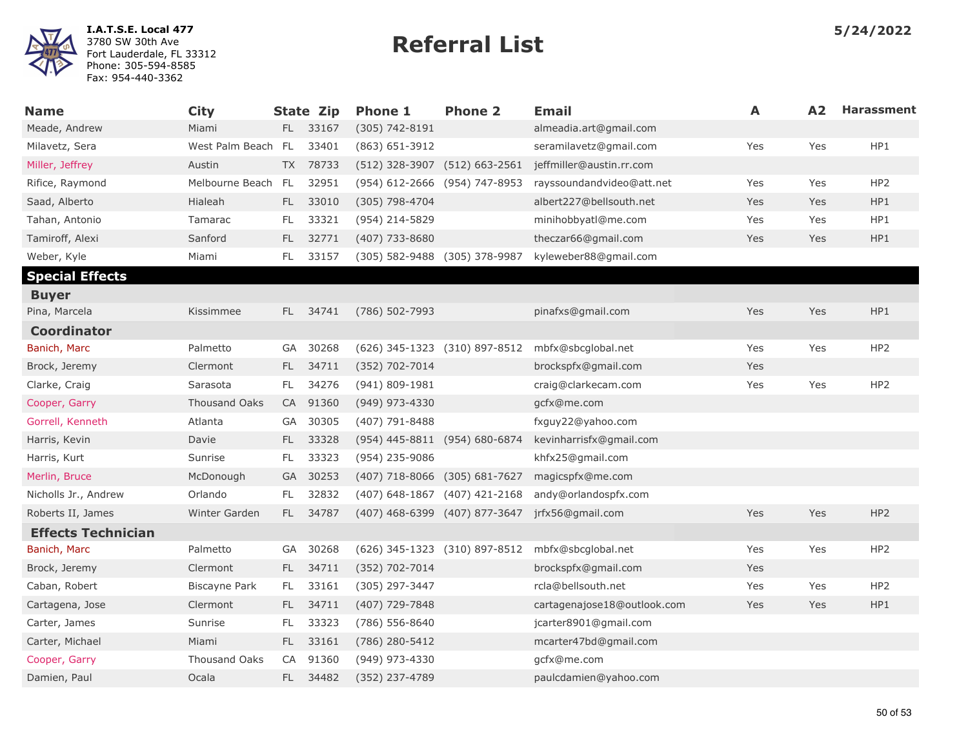| <b>Name</b>               | <b>City</b>          |           | <b>State Zip</b> | <b>Phone 1</b>                | <b>Phone 2</b>                | Email                       | A   | A2  | <b>Harassment</b> |
|---------------------------|----------------------|-----------|------------------|-------------------------------|-------------------------------|-----------------------------|-----|-----|-------------------|
| Meade, Andrew             | Miami                |           | FL 33167         | (305) 742-8191                |                               | almeadia.art@gmail.com      |     |     |                   |
| Milavetz, Sera            | West Palm Beach FL   |           | 33401            | $(863)$ 651-3912              |                               | seramilavetz@gmail.com      | Yes | Yes | HP1               |
| Miller, Jeffrey           | Austin               |           | TX 78733         | (512) 328-3907 (512) 663-2561 |                               | jeffmiller@austin.rr.com    |     |     |                   |
| Rifice, Raymond           | Melbourne Beach      | FL        | 32951            | (954) 612-2666 (954) 747-8953 |                               | rayssoundandvideo@att.net   | Yes | Yes | HP <sub>2</sub>   |
| Saad, Alberto             | Hialeah              | FL.       | 33010            | (305) 798-4704                |                               | albert227@bellsouth.net     | Yes | Yes | HP1               |
| Tahan, Antonio            | Tamarac              | FL.       | 33321            | (954) 214-5829                |                               | minihobbyatl@me.com         | Yes | Yes | HP1               |
| Tamiroff, Alexi           | Sanford              | FL.       | 32771            | (407) 733-8680                |                               | theczar66@gmail.com         | Yes | Yes | HP1               |
| Weber, Kyle               | Miami                | FL.       | 33157            | (305) 582-9488 (305) 378-9987 |                               | kyleweber88@gmail.com       |     |     |                   |
| <b>Special Effects</b>    |                      |           |                  |                               |                               |                             |     |     |                   |
| <b>Buyer</b>              |                      |           |                  |                               |                               |                             |     |     |                   |
| Pina, Marcela             | Kissimmee            | FL.       | 34741            | (786) 502-7993                |                               | pinafxs@gmail.com           | Yes | Yes | HP1               |
| <b>Coordinator</b>        |                      |           |                  |                               |                               |                             |     |     |                   |
| Banich, Marc              | Palmetto             | GA        | 30268            |                               | (626) 345-1323 (310) 897-8512 | mbfx@sbcqlobal.net          | Yes | Yes | HP <sub>2</sub>   |
| Brock, Jeremy             | Clermont             | FL.       | 34711            | (352) 702-7014                |                               | brockspfx@gmail.com         | Yes |     |                   |
| Clarke, Craig             | Sarasota             | FL.       | 34276            | $(941) 809 - 1981$            |                               | craig@clarkecam.com         | Yes | Yes | HP2               |
| Cooper, Garry             | <b>Thousand Oaks</b> |           | CA 91360         | (949) 973-4330                |                               | gcfx@me.com                 |     |     |                   |
| Gorrell, Kenneth          | Atlanta              | GA        | 30305            | (407) 791-8488                |                               | fxguy22@yahoo.com           |     |     |                   |
| Harris, Kevin             | Davie                | FL.       | 33328            | (954) 445-8811 (954) 680-6874 |                               | kevinharrisfx@gmail.com     |     |     |                   |
| Harris, Kurt              | Sunrise              | <b>FL</b> | 33323            | (954) 235-9086                |                               | khfx25@gmail.com            |     |     |                   |
| Merlin, Bruce             | McDonough            | <b>GA</b> | 30253            | (407) 718-8066 (305) 681-7627 |                               | magicspfx@me.com            |     |     |                   |
| Nicholls Jr., Andrew      | Orlando              | FL.       | 32832            | (407) 648-1867 (407) 421-2168 |                               | andy@orlandospfx.com        |     |     |                   |
| Roberts II, James         | Winter Garden        | FL.       | 34787            | (407) 468-6399 (407) 877-3647 |                               | jrfx56@gmail.com            | Yes | Yes | HP <sub>2</sub>   |
| <b>Effects Technician</b> |                      |           |                  |                               |                               |                             |     |     |                   |
| Banich, Marc              | Palmetto             | GA        | 30268            |                               | (626) 345-1323 (310) 897-8512 | mbfx@sbcqlobal.net          | Yes | Yes | HP <sub>2</sub>   |
| Brock, Jeremy             | Clermont             | FL.       | 34711            | (352) 702-7014                |                               | brockspfx@gmail.com         | Yes |     |                   |
| Caban, Robert             | Biscayne Park        | FL.       | 33161            | (305) 297-3447                |                               | rcla@bellsouth.net          | Yes | Yes | HP <sub>2</sub>   |
| Cartagena, Jose           | Clermont             | FL.       | 34711            | (407) 729-7848                |                               | cartagenajose18@outlook.com | Yes | Yes | HP1               |
| Carter, James             | Sunrise              | FL        | 33323            | (786) 556-8640                |                               | jcarter8901@gmail.com       |     |     |                   |
| Carter, Michael           | Miami                | FL.       | 33161            | (786) 280-5412                |                               | mcarter47bd@gmail.com       |     |     |                   |
| Cooper, Garry             | <b>Thousand Oaks</b> | CA        | 91360            | (949) 973-4330                |                               | gcfx@me.com                 |     |     |                   |
| Damien, Paul              | Ocala                | FL.       | 34482            | (352) 237-4789                |                               | paulcdamien@yahoo.com       |     |     |                   |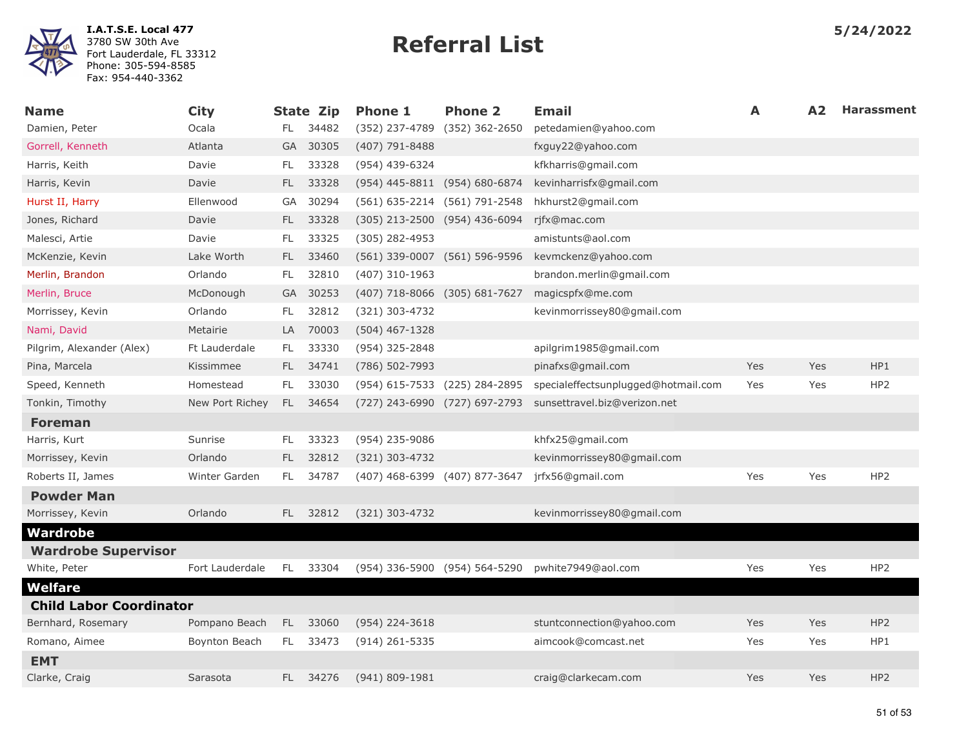

| <b>Name</b>                    | <b>City</b>     |           | State Zip | <b>Phone 1</b>                | <b>Phone 2</b> | Email                               | Α          | A <sub>2</sub> | <b>Harassment</b> |
|--------------------------------|-----------------|-----------|-----------|-------------------------------|----------------|-------------------------------------|------------|----------------|-------------------|
| Damien, Peter                  | Ocala           | FL.       | 34482     | (352) 237-4789                | (352) 362-2650 | petedamien@yahoo.com                |            |                |                   |
| Gorrell, Kenneth               | Atlanta         |           | GA 30305  | $(407)$ 791-8488              |                | fxguy22@yahoo.com                   |            |                |                   |
| Harris, Keith                  | Davie           | FL.       | 33328     | (954) 439-6324                |                | kfkharris@gmail.com                 |            |                |                   |
| Harris, Kevin                  | Davie           | FL.       | 33328     | (954) 445-8811 (954) 680-6874 |                | kevinharrisfx@gmail.com             |            |                |                   |
| Hurst II, Harry                | Ellenwood       | <b>GA</b> | 30294     | (561) 635-2214 (561) 791-2548 |                | hkhurst2@gmail.com                  |            |                |                   |
| Jones, Richard                 | Davie           | FL.       | 33328     | (305) 213-2500 (954) 436-6094 |                | rjfx@mac.com                        |            |                |                   |
| Malesci, Artie                 | Davie           | FL        | 33325     | $(305)$ 282-4953              |                | amistunts@aol.com                   |            |                |                   |
| McKenzie, Kevin                | Lake Worth      | FL.       | 33460     | (561) 339-0007 (561) 596-9596 |                | kevmckenz@yahoo.com                 |            |                |                   |
| Merlin, Brandon                | Orlando         | FL.       | 32810     | (407) 310-1963                |                | brandon.merlin@gmail.com            |            |                |                   |
| Merlin, Bruce                  | McDonough       | <b>GA</b> | 30253     | (407) 718-8066 (305) 681-7627 |                | magicspfx@me.com                    |            |                |                   |
| Morrissey, Kevin               | Orlando         | FL        | 32812     | (321) 303-4732                |                | kevinmorrissey80@gmail.com          |            |                |                   |
| Nami, David                    | Metairie        | LA.       | 70003     | $(504)$ 467-1328              |                |                                     |            |                |                   |
| Pilgrim, Alexander (Alex)      | Ft Lauderdale   | FL.       | 33330     | (954) 325-2848                |                | apilgrim1985@gmail.com              |            |                |                   |
| Pina, Marcela                  | Kissimmee       | FL.       | 34741     | (786) 502-7993                |                | pinafxs@gmail.com                   | Yes        | Yes            | HP1               |
| Speed, Kenneth                 | Homestead       | FL.       | 33030     | (954) 615-7533 (225) 284-2895 |                | specialeffectsunplugged@hotmail.com | Yes        | Yes            | HP <sub>2</sub>   |
| Tonkin, Timothy                | New Port Richey | FL.       | 34654     | (727) 243-6990 (727) 697-2793 |                | sunsettravel.biz@verizon.net        |            |                |                   |
| <b>Foreman</b>                 |                 |           |           |                               |                |                                     |            |                |                   |
| Harris, Kurt                   | Sunrise         | FL.       | 33323     | (954) 235-9086                |                | khfx25@gmail.com                    |            |                |                   |
| Morrissey, Kevin               | Orlando         | FL.       | 32812     | (321) 303-4732                |                | kevinmorrissey80@gmail.com          |            |                |                   |
| Roberts II, James              | Winter Garden   | FL        | 34787     | (407) 468-6399 (407) 877-3647 |                | jrfx56@gmail.com                    | Yes        | Yes            | HP <sub>2</sub>   |
| <b>Powder Man</b>              |                 |           |           |                               |                |                                     |            |                |                   |
| Morrissey, Kevin               | Orlando         | FL.       | 32812     | (321) 303-4732                |                | kevinmorrissey80@gmail.com          |            |                |                   |
| Wardrobe                       |                 |           |           |                               |                |                                     |            |                |                   |
| <b>Wardrobe Supervisor</b>     |                 |           |           |                               |                |                                     |            |                |                   |
| White, Peter                   | Fort Lauderdale | FL.       | 33304     | (954) 336-5900 (954) 564-5290 |                | pwhite7949@aol.com                  | Yes        | Yes            | HP <sub>2</sub>   |
| Welfare                        |                 |           |           |                               |                |                                     |            |                |                   |
| <b>Child Labor Coordinator</b> |                 |           |           |                               |                |                                     |            |                |                   |
| Bernhard, Rosemary             | Pompano Beach   | FL.       | 33060     | $(954)$ 224-3618              |                | stuntconnection@yahoo.com           | <b>Yes</b> | Yes            | HP <sub>2</sub>   |
| Romano, Aimee                  | Boynton Beach   | FL.       | 33473     | $(914)$ 261-5335              |                | aimcook@comcast.net                 | Yes        | Yes            | HP1               |
| <b>EMT</b>                     |                 |           |           |                               |                |                                     |            |                |                   |
| Clarke, Craig                  | Sarasota        | FL -      | 34276     | (941) 809-1981                |                | craig@clarkecam.com                 | Yes        | Yes            | HP <sub>2</sub>   |
|                                |                 |           |           |                               |                |                                     |            |                |                   |